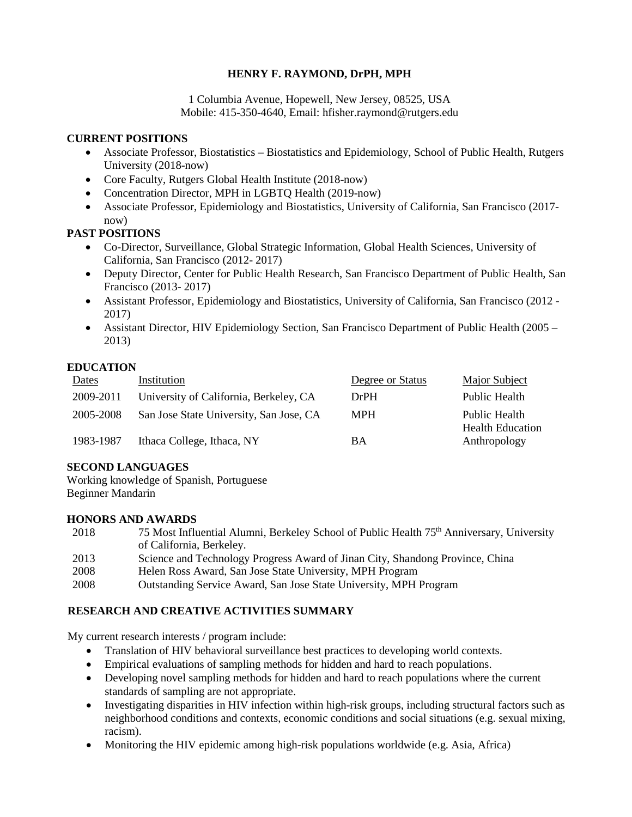## **HENRY F. RAYMOND, DrPH, MPH**

1 Columbia Avenue, Hopewell, New Jersey, 08525, USA Mobile: 415-350-4640, Email: hfisher.raymond@rutgers.edu

#### **CURRENT POSITIONS**

- Associate Professor, Biostatistics Biostatistics and Epidemiology, School of Public Health, Rutgers University (2018-now)
- Core Faculty, Rutgers Global Health Institute (2018-now)
- Concentration Director, MPH in LGBTQ Health (2019-now)
- Associate Professor, Epidemiology and Biostatistics, University of California, San Francisco (2017 now)

## **PAST POSITIONS**

- Co-Director, Surveillance, Global Strategic Information, Global Health Sciences, University of California, San Francisco (2012- 2017)
- Deputy Director, Center for Public Health Research, San Francisco Department of Public Health, San Francisco (2013- 2017)
- Assistant Professor, Epidemiology and Biostatistics, University of California, San Francisco (2012 2017)
- Assistant Director, HIV Epidemiology Section, San Francisco Department of Public Health (2005 2013)

## **EDUCATION**

| Dates     | Institution                             | Degree or Status | Major Subject                            |
|-----------|-----------------------------------------|------------------|------------------------------------------|
| 2009-2011 | University of California, Berkeley, CA  | DrPH             | Public Health                            |
| 2005-2008 | San Jose State University, San Jose, CA | <b>MPH</b>       | Public Health<br><b>Health Education</b> |
| 1983-1987 | Ithaca College, Ithaca, NY              | BA               | Anthropology                             |

#### **SECOND LANGUAGES**

Working knowledge of Spanish, Portuguese Beginner Mandarin

#### **HONORS AND AWARDS**

| 2018 | 75 Most Influential Alumni, Berkeley School of Public Health 75 <sup>th</sup> Anniversary, University |
|------|-------------------------------------------------------------------------------------------------------|
|      | of California, Berkeley.                                                                              |
| 2013 | Science and Technology Progress Award of Jinan City, Shandong Province, China                         |

- 2008 Helen Ross Award, San Jose State University, MPH Program
- 2008 Outstanding Service Award, San Jose State University, MPH Program

## **RESEARCH AND CREATIVE ACTIVITIES SUMMARY**

My current research interests / program include:

- Translation of HIV behavioral surveillance best practices to developing world contexts.
- Empirical evaluations of sampling methods for hidden and hard to reach populations.
- Developing novel sampling methods for hidden and hard to reach populations where the current standards of sampling are not appropriate.
- Investigating disparities in HIV infection within high-risk groups, including structural factors such as neighborhood conditions and contexts, economic conditions and social situations (e.g. sexual mixing, racism).
- Monitoring the HIV epidemic among high-risk populations worldwide (e.g. Asia, Africa)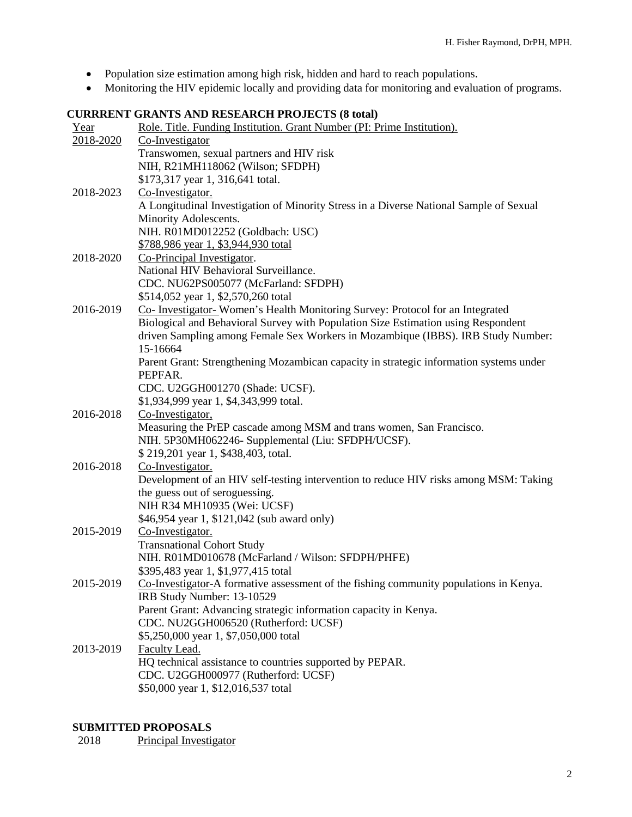- Population size estimation among high risk, hidden and hard to reach populations.
- Monitoring the HIV epidemic locally and providing data for monitoring and evaluation of programs.

# **CURRRENT GRANTS AND RESEARCH PROJECTS (8 total)**

| Year      | Role. Title. Funding Institution. Grant Number (PI: Prime Institution).                |
|-----------|----------------------------------------------------------------------------------------|
| 2018-2020 | Co-Investigator                                                                        |
|           | Transwomen, sexual partners and HIV risk                                               |
|           | NIH, R21MH118062 (Wilson; SFDPH)                                                       |
|           | \$173,317 year 1, 316,641 total.                                                       |
| 2018-2023 | Co-Investigator.                                                                       |
|           | A Longitudinal Investigation of Minority Stress in a Diverse National Sample of Sexual |
|           | Minority Adolescents.                                                                  |
|           | NIH. R01MD012252 (Goldbach: USC)                                                       |
|           | \$788,986 year 1, \$3,944,930 total                                                    |
| 2018-2020 | Co-Principal Investigator.                                                             |
|           | National HIV Behavioral Surveillance.                                                  |
|           | CDC. NU62PS005077 (McFarland: SFDPH)                                                   |
|           | \$514,052 year 1, \$2,570,260 total                                                    |
| 2016-2019 | Co- Investigator- Women's Health Monitoring Survey: Protocol for an Integrated         |
|           | Biological and Behavioral Survey with Population Size Estimation using Respondent      |
|           | driven Sampling among Female Sex Workers in Mozambique (IBBS). IRB Study Number:       |
|           | 15-16664                                                                               |
|           | Parent Grant: Strengthening Mozambican capacity in strategic information systems under |
|           | PEPFAR.                                                                                |
|           | CDC. U2GGH001270 (Shade: UCSF).                                                        |
|           | \$1,934,999 year 1, \$4,343,999 total.                                                 |
| 2016-2018 | Co-Investigator,                                                                       |
|           | Measuring the PrEP cascade among MSM and trans women, San Francisco.                   |
|           | NIH. 5P30MH062246- Supplemental (Liu: SFDPH/UCSF).                                     |
|           | \$219,201 year 1, \$438,403, total.                                                    |
| 2016-2018 | Co-Investigator.                                                                       |
|           | Development of an HIV self-testing intervention to reduce HIV risks among MSM: Taking  |
|           | the guess out of seroguessing.                                                         |
|           | NIH R34 MH10935 (Wei: UCSF)                                                            |
|           | \$46,954 year 1, \$121,042 (sub award only)                                            |
| 2015-2019 | Co-Investigator.                                                                       |
|           | <b>Transnational Cohort Study</b>                                                      |
|           | NIH. R01MD010678 (McFarland / Wilson: SFDPH/PHFE)                                      |
|           | \$395,483 year 1, \$1,977,415 total                                                    |
| 2015-2019 | Co-Investigator-A formative assessment of the fishing community populations in Kenya.  |
|           | IRB Study Number: 13-10529                                                             |
|           | Parent Grant: Advancing strategic information capacity in Kenya.                       |
|           | CDC. NU2GGH006520 (Rutherford: UCSF)                                                   |
|           | \$5,250,000 year 1, \$7,050,000 total                                                  |
| 2013-2019 | Faculty Lead.                                                                          |
|           | HQ technical assistance to countries supported by PEPAR.                               |
|           | CDC. U2GGH000977 (Rutherford: UCSF)                                                    |
|           | \$50,000 year 1, \$12,016,537 total                                                    |

# **SUBMITTED PROPOSALS**<br>2018 Principal Investig

Principal Investigator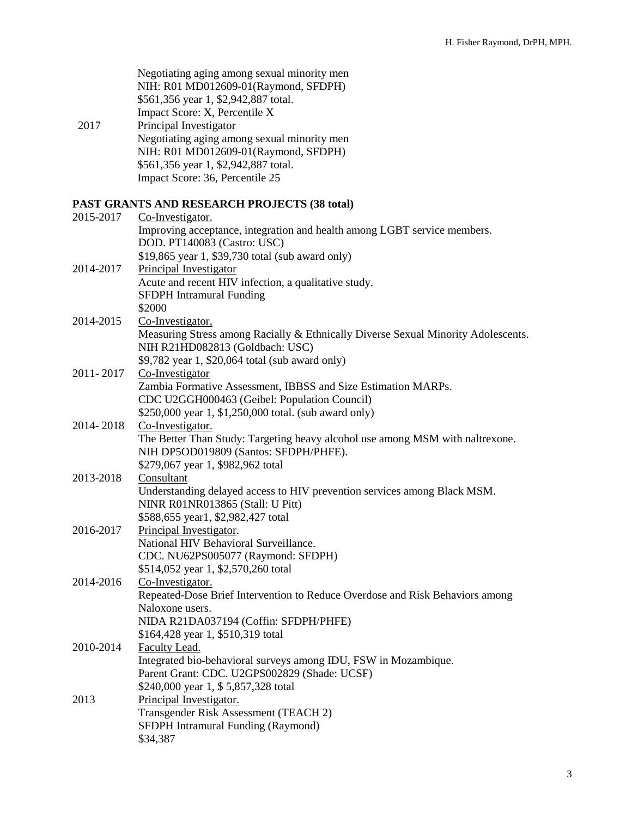Negotiating aging among sexual minority men NIH: R01 MD012609-01(Raymond, SFDPH) \$561,356 year 1, \$2,942,887 total. Impact Score: X, Percentile X

2017 Principal Investigator Negotiating aging among sexual minority men NIH: R01 MD012609-01(Raymond, SFDPH) \$561,356 year 1, \$2,942,887 total. Impact Score: 36, Percentile 25

## **PAST GRANTS AND RESEARCH PROJECTS (38 total)**

| 2015-2017 | FAST GRANTS AND RESEARCH FROJECTS (50 IOM)<br>Co-Investigator.                    |
|-----------|-----------------------------------------------------------------------------------|
|           | Improving acceptance, integration and health among LGBT service members.          |
|           | DOD. PT140083 (Castro: USC)                                                       |
|           | \$19,865 year 1, \$39,730 total (sub award only)                                  |
| 2014-2017 | Principal Investigator                                                            |
|           | Acute and recent HIV infection, a qualitative study.                              |
|           | <b>SFDPH</b> Intramural Funding                                                   |
|           | \$2000                                                                            |
| 2014-2015 | Co-Investigator,                                                                  |
|           | Measuring Stress among Racially & Ethnically Diverse Sexual Minority Adolescents. |
|           | NIH R21HD082813 (Goldbach: USC)                                                   |
|           | \$9,782 year 1, \$20,064 total (sub award only)                                   |
| 2011-2017 | Co-Investigator                                                                   |
|           | Zambia Formative Assessment, IBBSS and Size Estimation MARPs.                     |
|           | CDC U2GGH000463 (Geibel: Population Council)                                      |
|           | \$250,000 year 1, \$1,250,000 total. (sub award only)                             |
| 2014-2018 | Co-Investigator.                                                                  |
|           | The Better Than Study: Targeting heavy alcohol use among MSM with naltrexone.     |
|           | NIH DP5OD019809 (Santos: SFDPH/PHFE).                                             |
|           | \$279,067 year 1, \$982,962 total                                                 |
| 2013-2018 | Consultant                                                                        |
|           | Understanding delayed access to HIV prevention services among Black MSM.          |
|           | NINR R01NR013865 (Stall: U Pitt)                                                  |
|           | \$588,655 year1, \$2,982,427 total                                                |
| 2016-2017 | Principal Investigator.                                                           |
|           | National HIV Behavioral Surveillance.                                             |
|           | CDC. NU62PS005077 (Raymond: SFDPH)                                                |
|           | \$514,052 year 1, \$2,570,260 total                                               |
| 2014-2016 | Co-Investigator.                                                                  |
|           | Repeated-Dose Brief Intervention to Reduce Overdose and Risk Behaviors among      |
|           | Naloxone users.                                                                   |
|           | NIDA R21DA037194 (Coffin: SFDPH/PHFE)                                             |
|           | \$164,428 year 1, \$510,319 total                                                 |
| 2010-2014 | Faculty Lead.                                                                     |
|           | Integrated bio-behavioral surveys among IDU, FSW in Mozambique.                   |
|           | Parent Grant: CDC. U2GPS002829 (Shade: UCSF)                                      |
|           | \$240,000 year 1, \$5,857,328 total                                               |
| 2013      | Principal Investigator.                                                           |
|           | Transgender Risk Assessment (TEACH 2)                                             |
|           | SFDPH Intramural Funding (Raymond)                                                |
|           | \$34,387                                                                          |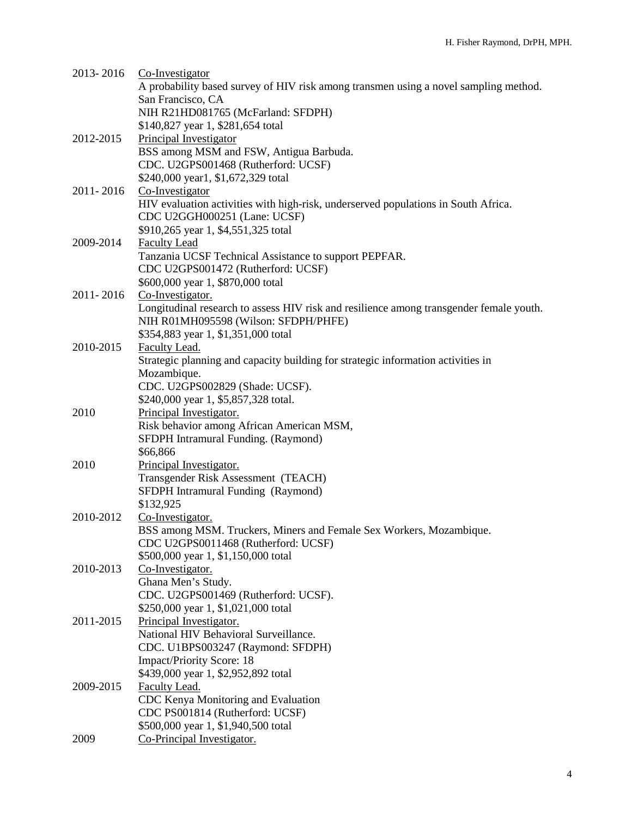| 2013-2016 | Co-Investigator                                                                         |
|-----------|-----------------------------------------------------------------------------------------|
|           | A probability based survey of HIV risk among transmen using a novel sampling method.    |
|           | San Francisco, CA                                                                       |
|           | NIH R21HD081765 (McFarland: SFDPH)                                                      |
|           | \$140,827 year 1, \$281,654 total                                                       |
| 2012-2015 | Principal Investigator                                                                  |
|           | BSS among MSM and FSW, Antigua Barbuda.                                                 |
|           |                                                                                         |
|           | CDC. U2GPS001468 (Rutherford: UCSF)                                                     |
|           | \$240,000 year1, \$1,672,329 total                                                      |
| 2011-2016 | Co-Investigator                                                                         |
|           | HIV evaluation activities with high-risk, underserved populations in South Africa.      |
|           | CDC U2GGH000251 (Lane: UCSF)                                                            |
|           | \$910,265 year 1, \$4,551,325 total                                                     |
| 2009-2014 | <b>Faculty Lead</b>                                                                     |
|           | Tanzania UCSF Technical Assistance to support PEPFAR.                                   |
|           | CDC U2GPS001472 (Rutherford: UCSF)                                                      |
|           | \$600,000 year 1, \$870,000 total                                                       |
| 2011-2016 | Co-Investigator.                                                                        |
|           | Longitudinal research to assess HIV risk and resilience among transgender female youth. |
|           | NIH R01MH095598 (Wilson: SFDPH/PHFE)                                                    |
|           | \$354,883 year 1, \$1,351,000 total                                                     |
| 2010-2015 | Faculty Lead.                                                                           |
|           | Strategic planning and capacity building for strategic information activities in        |
|           |                                                                                         |
|           | Mozambique.                                                                             |
|           | CDC. U2GPS002829 (Shade: UCSF).                                                         |
|           | \$240,000 year 1, \$5,857,328 total.                                                    |
| 2010      | Principal Investigator.                                                                 |
|           | Risk behavior among African American MSM,                                               |
|           | SFDPH Intramural Funding. (Raymond)                                                     |
|           | \$66,866                                                                                |
| 2010      | Principal Investigator.                                                                 |
|           | Transgender Risk Assessment (TEACH)                                                     |
|           | SFDPH Intramural Funding (Raymond)                                                      |
|           | \$132,925                                                                               |
| 2010-2012 | Co-Investigator.                                                                        |
|           | BSS among MSM. Truckers, Miners and Female Sex Workers, Mozambique.                     |
|           | CDC U2GPS0011468 (Rutherford: UCSF)                                                     |
|           | \$500,000 year 1, \$1,150,000 total                                                     |
| 2010-2013 | Co-Investigator.                                                                        |
|           | Ghana Men's Study.                                                                      |
|           |                                                                                         |
|           | CDC. U2GPS001469 (Rutherford: UCSF).                                                    |
|           | \$250,000 year 1, \$1,021,000 total                                                     |
| 2011-2015 | Principal Investigator.                                                                 |
|           | National HIV Behavioral Surveillance.                                                   |
|           | CDC. U1BPS003247 (Raymond: SFDPH)                                                       |
|           | <b>Impact/Priority Score: 18</b>                                                        |
|           | \$439,000 year 1, \$2,952,892 total                                                     |
| 2009-2015 | Faculty Lead.                                                                           |
|           | CDC Kenya Monitoring and Evaluation                                                     |
|           | CDC PS001814 (Rutherford: UCSF)                                                         |
|           | \$500,000 year 1, \$1,940,500 total                                                     |
| 2009      | Co-Principal Investigator.                                                              |
|           |                                                                                         |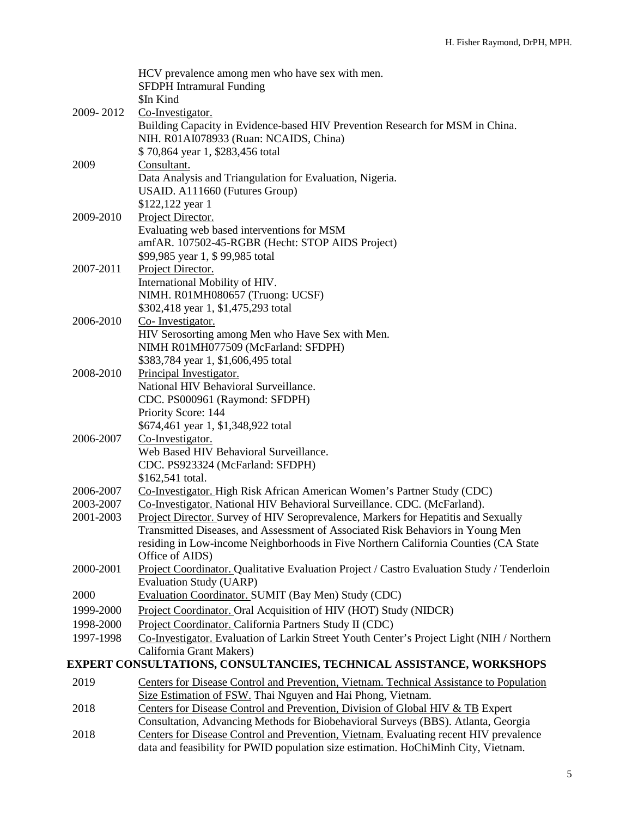|           | HCV prevalence among men who have sex with men.<br><b>SFDPH</b> Intramural Funding                                                                     |
|-----------|--------------------------------------------------------------------------------------------------------------------------------------------------------|
|           | \$In Kind                                                                                                                                              |
| 2009-2012 | Co-Investigator.                                                                                                                                       |
|           | Building Capacity in Evidence-based HIV Prevention Research for MSM in China.                                                                          |
|           | NIH. R01AI078933 (Ruan: NCAIDS, China)                                                                                                                 |
|           | \$70,864 year 1, \$283,456 total                                                                                                                       |
| 2009      | Consultant.                                                                                                                                            |
|           | Data Analysis and Triangulation for Evaluation, Nigeria.                                                                                               |
|           | USAID. A111660 (Futures Group)                                                                                                                         |
|           | \$122,122 year 1                                                                                                                                       |
| 2009-2010 | Project Director.                                                                                                                                      |
|           | Evaluating web based interventions for MSM                                                                                                             |
|           | amfAR. 107502-45-RGBR (Hecht: STOP AIDS Project)                                                                                                       |
|           | \$99,985 year 1, \$99,985 total                                                                                                                        |
| 2007-2011 | Project Director.                                                                                                                                      |
|           | International Mobility of HIV.                                                                                                                         |
|           | NIMH. R01MH080657 (Truong: UCSF)                                                                                                                       |
|           | \$302,418 year 1, \$1,475,293 total                                                                                                                    |
| 2006-2010 | Co-Investigator.                                                                                                                                       |
|           | HIV Serosorting among Men who Have Sex with Men.<br>NIMH R01MH077509 (McFarland: SFDPH)                                                                |
|           | \$383,784 year 1, \$1,606,495 total                                                                                                                    |
| 2008-2010 | Principal Investigator.                                                                                                                                |
|           | National HIV Behavioral Surveillance.                                                                                                                  |
|           | CDC. PS000961 (Raymond: SFDPH)                                                                                                                         |
|           | Priority Score: 144                                                                                                                                    |
|           | \$674,461 year 1, \$1,348,922 total                                                                                                                    |
| 2006-2007 | Co-Investigator.                                                                                                                                       |
|           | Web Based HIV Behavioral Surveillance.                                                                                                                 |
|           | CDC. PS923324 (McFarland: SFDPH)                                                                                                                       |
|           | \$162,541 total.                                                                                                                                       |
| 2006-2007 | Co-Investigator. High Risk African American Women's Partner Study (CDC)                                                                                |
| 2003-2007 | Co-Investigator. National HIV Behavioral Surveillance. CDC. (McFarland).                                                                               |
| 2001-2003 | Project Director. Survey of HIV Seroprevalence, Markers for Hepatitis and Sexually                                                                     |
|           | Transmitted Diseases, and Assessment of Associated Risk Behaviors in Young Men                                                                         |
|           | residing in Low-income Neighborhoods in Five Northern California Counties (CA State                                                                    |
|           | Office of AIDS)                                                                                                                                        |
| 2000-2001 | Project Coordinator. Qualitative Evaluation Project / Castro Evaluation Study / Tenderloin                                                             |
| 2000      | <b>Evaluation Study (UARP)</b><br>Evaluation Coordinator. SUMIT (Bay Men) Study (CDC)                                                                  |
| 1999-2000 | Project Coordinator. Oral Acquisition of HIV (HOT) Study (NIDCR)                                                                                       |
| 1998-2000 | Project Coordinator. California Partners Study II (CDC)                                                                                                |
| 1997-1998 | Co-Investigator. Evaluation of Larkin Street Youth Center's Project Light (NIH / Northern                                                              |
|           | California Grant Makers)                                                                                                                               |
|           | EXPERT CONSULTATIONS, CONSULTANCIES, TECHNICAL ASSISTANCE, WORKSHOPS                                                                                   |
|           |                                                                                                                                                        |
| 2019      | Centers for Disease Control and Prevention, Vietnam. Technical Assistance to Population<br>Size Estimation of FSW. Thai Nguyen and Hai Phong, Vietnam. |
| 2018      | Centers for Disease Control and Prevention, Division of Global HIV & TB Expert                                                                         |
|           | Consultation, Advancing Methods for Biobehavioral Surveys (BBS). Atlanta, Georgia                                                                      |
| 2018      | Centers for Disease Control and Prevention Vietnam Evaluating recent HIV prevalence                                                                    |

2018 Centers for Disease Control and Prevention, Vietnam. Evaluating recent HIV prevalence data and feasibility for PWID population size estimation. HoChiMinh City, Vietnam.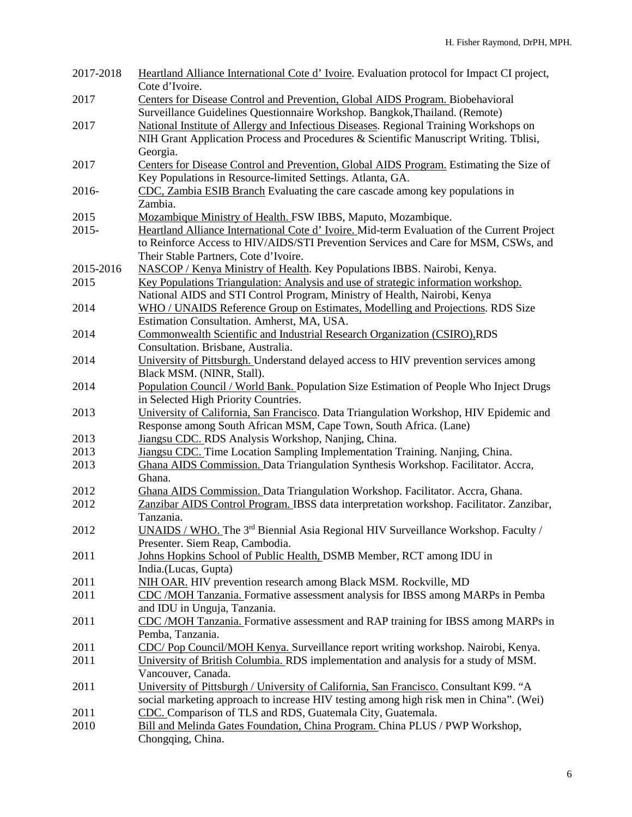| 2017-2018    | Heartland Alliance International Cote d'Ivoire. Evaluation protocol for Impact CI project,                                                 |  |  |  |  |
|--------------|--------------------------------------------------------------------------------------------------------------------------------------------|--|--|--|--|
|              | Cote d'Ivoire.                                                                                                                             |  |  |  |  |
| 2017         | Centers for Disease Control and Prevention, Global AIDS Program. Biobehavioral                                                             |  |  |  |  |
|              | Surveillance Guidelines Questionnaire Workshop. Bangkok, Thailand. (Remote)                                                                |  |  |  |  |
| 2017         | National Institute of Allergy and Infectious Diseases. Regional Training Workshops on                                                      |  |  |  |  |
|              | NIH Grant Application Process and Procedures & Scientific Manuscript Writing. Tblisi,                                                      |  |  |  |  |
|              | Georgia.                                                                                                                                   |  |  |  |  |
| 2017         | Centers for Disease Control and Prevention, Global AIDS Program. Estimating the Size of                                                    |  |  |  |  |
|              | Key Populations in Resource-limited Settings. Atlanta, GA.                                                                                 |  |  |  |  |
| 2016-        | CDC, Zambia ESIB Branch Evaluating the care cascade among key populations in                                                               |  |  |  |  |
|              | Zambia.                                                                                                                                    |  |  |  |  |
| 2015         | Mozambique Ministry of Health. FSW IBBS, Maputo, Mozambique.                                                                               |  |  |  |  |
| $2015 -$     | Heartland Alliance International Cote d' Ivoire. Mid-term Evaluation of the Current Project                                                |  |  |  |  |
|              | to Reinforce Access to HIV/AIDS/STI Prevention Services and Care for MSM, CSWs, and                                                        |  |  |  |  |
|              | Their Stable Partners, Cote d'Ivoire.                                                                                                      |  |  |  |  |
| 2015-2016    | NASCOP / Kenya Ministry of Health. Key Populations IBBS. Nairobi, Kenya.                                                                   |  |  |  |  |
| 2015         | Key Populations Triangulation: Analysis and use of strategic information workshop.                                                         |  |  |  |  |
|              | National AIDS and STI Control Program, Ministry of Health, Nairobi, Kenya                                                                  |  |  |  |  |
| 2014         | WHO / UNAIDS Reference Group on Estimates, Modelling and Projections. RDS Size<br>Estimation Consultation. Amherst, MA, USA.               |  |  |  |  |
| 2014         | Commonwealth Scientific and Industrial Research Organization (CSIRO),RDS                                                                   |  |  |  |  |
|              | Consultation. Brisbane, Australia.                                                                                                         |  |  |  |  |
| 2014         | University of Pittsburgh. Understand delayed access to HIV prevention services among                                                       |  |  |  |  |
|              | Black MSM. (NINR, Stall).                                                                                                                  |  |  |  |  |
| 2014         | Population Council / World Bank. Population Size Estimation of People Who Inject Drugs                                                     |  |  |  |  |
|              | in Selected High Priority Countries.                                                                                                       |  |  |  |  |
| 2013         | University of California, San Francisco. Data Triangulation Workshop, HIV Epidemic and                                                     |  |  |  |  |
|              | Response among South African MSM, Cape Town, South Africa. (Lane)                                                                          |  |  |  |  |
| 2013         | Jiangsu CDC. RDS Analysis Workshop, Nanjing, China.                                                                                        |  |  |  |  |
| 2013         | Jiangsu CDC. Time Location Sampling Implementation Training. Nanjing, China.                                                               |  |  |  |  |
| 2013         | Ghana AIDS Commission. Data Triangulation Synthesis Workshop. Facilitator. Accra,                                                          |  |  |  |  |
|              | Ghana.                                                                                                                                     |  |  |  |  |
| 2012         | Ghana AIDS Commission. Data Triangulation Workshop. Facilitator. Accra, Ghana.                                                             |  |  |  |  |
| 2012         | Zanzibar AIDS Control Program. IBSS data interpretation workshop. Facilitator. Zanzibar,                                                   |  |  |  |  |
|              | Tanzania.                                                                                                                                  |  |  |  |  |
| 2012         | UNAIDS / WHO. The 3 <sup>rd</sup> Biennial Asia Regional HIV Surveillance Workshop. Faculty /                                              |  |  |  |  |
|              | Presenter. Siem Reap, Cambodia.                                                                                                            |  |  |  |  |
| 2011         | Johns Hopkins School of Public Health, DSMB Member, RCT among IDU in                                                                       |  |  |  |  |
|              | India.(Lucas, Gupta)                                                                                                                       |  |  |  |  |
| 2011         | NIH OAR. HIV prevention research among Black MSM. Rockville, MD                                                                            |  |  |  |  |
| 2011         | CDC /MOH Tanzania. Formative assessment analysis for IBSS among MARPs in Pemba                                                             |  |  |  |  |
|              | and IDU in Unguja, Tanzania.                                                                                                               |  |  |  |  |
| 2011         | CDC /MOH Tanzania. Formative assessment and RAP training for IBSS among MARPs in                                                           |  |  |  |  |
|              | Pemba, Tanzania.                                                                                                                           |  |  |  |  |
| 2011         | CDC/Pop Council/MOH Kenya. Surveillance report writing workshop. Nairobi, Kenya.                                                           |  |  |  |  |
| 2011         | University of British Columbia. RDS implementation and analysis for a study of MSM.                                                        |  |  |  |  |
|              | Vancouver, Canada.                                                                                                                         |  |  |  |  |
| 2011         | University of Pittsburgh / University of California, San Francisco. Consultant K99. "A                                                     |  |  |  |  |
|              | social marketing approach to increase HIV testing among high risk men in China". (Wei)                                                     |  |  |  |  |
| 2011<br>2010 | CDC. Comparison of TLS and RDS, Guatemala City, Guatemala.<br>Bill and Melinda Gates Foundation, China Program. China PLUS / PWP Workshop, |  |  |  |  |
|              | Chongqing, China.                                                                                                                          |  |  |  |  |
|              |                                                                                                                                            |  |  |  |  |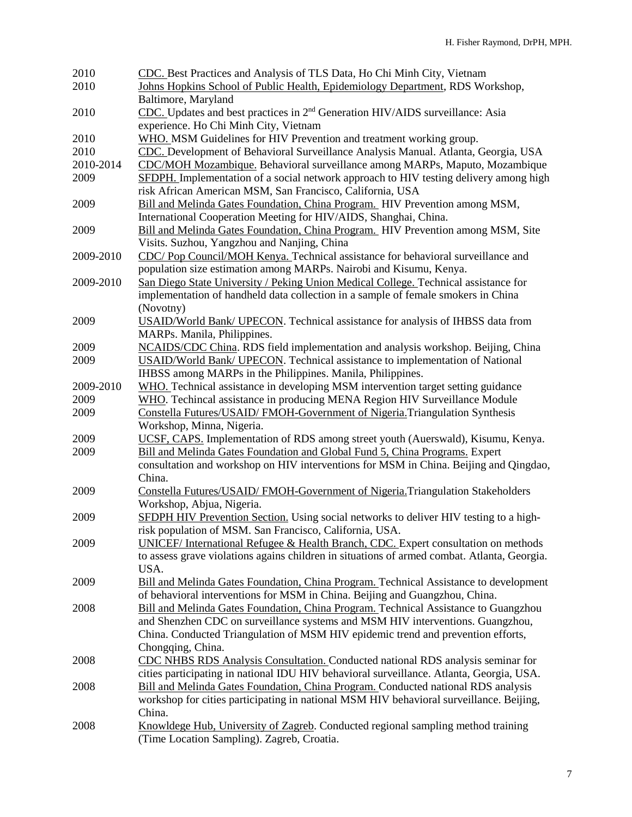| 2010      | CDC. Best Practices and Analysis of TLS Data, Ho Chi Minh City, Vietnam                      |  |  |  |  |
|-----------|----------------------------------------------------------------------------------------------|--|--|--|--|
| 2010      | Johns Hopkins School of Public Health, Epidemiology Department, RDS Workshop,                |  |  |  |  |
|           | Baltimore, Maryland                                                                          |  |  |  |  |
| 2010      | CDC. Updates and best practices in 2 <sup>nd</sup> Generation HIV/AIDS surveillance: Asia    |  |  |  |  |
|           | experience. Ho Chi Minh City, Vietnam                                                        |  |  |  |  |
| 2010      | WHO. MSM Guidelines for HIV Prevention and treatment working group.                          |  |  |  |  |
| 2010      | CDC. Development of Behavioral Surveillance Analysis Manual. Atlanta, Georgia, USA           |  |  |  |  |
| 2010-2014 | CDC/MOH Mozambique. Behavioral surveillance among MARPs, Maputo, Mozambique                  |  |  |  |  |
| 2009      | SFDPH. Implementation of a social network approach to HIV testing delivery among high        |  |  |  |  |
|           | risk African American MSM, San Francisco, California, USA                                    |  |  |  |  |
| 2009      | Bill and Melinda Gates Foundation, China Program. HIV Prevention among MSM,                  |  |  |  |  |
|           | International Cooperation Meeting for HIV/AIDS, Shanghai, China.                             |  |  |  |  |
| 2009      | Bill and Melinda Gates Foundation, China Program. HIV Prevention among MSM, Site             |  |  |  |  |
|           | Visits. Suzhou, Yangzhou and Nanjing, China                                                  |  |  |  |  |
| 2009-2010 | CDC/Pop Council/MOH Kenya. Technical assistance for behavioral surveillance and              |  |  |  |  |
|           | population size estimation among MARPs. Nairobi and Kisumu, Kenya.                           |  |  |  |  |
| 2009-2010 | San Diego State University / Peking Union Medical College. Technical assistance for          |  |  |  |  |
|           |                                                                                              |  |  |  |  |
|           | implementation of handheld data collection in a sample of female smokers in China            |  |  |  |  |
|           | (Novotny)                                                                                    |  |  |  |  |
| 2009      | USAID/World Bank/ UPECON. Technical assistance for analysis of IHBSS data from               |  |  |  |  |
|           | MARPs. Manila, Philippines.                                                                  |  |  |  |  |
| 2009      | NCAIDS/CDC China. RDS field implementation and analysis workshop. Beijing, China             |  |  |  |  |
| 2009      | <b>USAID/World Bank/ UPECON.</b> Technical assistance to implementation of National          |  |  |  |  |
|           | IHBSS among MARPs in the Philippines. Manila, Philippines.                                   |  |  |  |  |
| 2009-2010 | WHO. Technical assistance in developing MSM intervention target setting guidance             |  |  |  |  |
| 2009      | WHO. Techincal assistance in producing MENA Region HIV Surveillance Module                   |  |  |  |  |
| 2009      | Constella Futures/USAID/ FMOH-Government of Nigeria. Triangulation Synthesis                 |  |  |  |  |
|           | Workshop, Minna, Nigeria.                                                                    |  |  |  |  |
| 2009      | UCSF, CAPS. Implementation of RDS among street youth (Auerswald), Kisumu, Kenya.             |  |  |  |  |
| 2009      | Bill and Melinda Gates Foundation and Global Fund 5, China Programs. Expert                  |  |  |  |  |
|           | consultation and workshop on HIV interventions for MSM in China. Beijing and Qingdao,        |  |  |  |  |
|           | China.                                                                                       |  |  |  |  |
| 2009      | Constella Futures/USAID/ FMOH-Government of Nigeria.Triangulation Stakeholders               |  |  |  |  |
|           | Workshop, Abjua, Nigeria.                                                                    |  |  |  |  |
| 2009      | SFDPH HIV Prevention Section. Using social networks to deliver HIV testing to a high-        |  |  |  |  |
|           | risk population of MSM. San Francisco, California, USA.                                      |  |  |  |  |
| 2009      | <b>UNICEF/International Refugee &amp; Health Branch, CDC.</b> Expert consultation on methods |  |  |  |  |
|           | to assess grave violations agains children in situations of armed combat. Atlanta, Georgia.  |  |  |  |  |
|           | USA.                                                                                         |  |  |  |  |
| 2009      | Bill and Melinda Gates Foundation, China Program. Technical Assistance to development        |  |  |  |  |
|           | of behavioral interventions for MSM in China. Beijing and Guangzhou, China.                  |  |  |  |  |
| 2008      | Bill and Melinda Gates Foundation, China Program. Technical Assistance to Guangzhou          |  |  |  |  |
|           | and Shenzhen CDC on surveillance systems and MSM HIV interventions. Guangzhou,               |  |  |  |  |
|           | China. Conducted Triangulation of MSM HIV epidemic trend and prevention efforts,             |  |  |  |  |
|           | Chongqing, China.                                                                            |  |  |  |  |
| 2008      | CDC NHBS RDS Analysis Consultation. Conducted national RDS analysis seminar for              |  |  |  |  |
|           | cities participating in national IDU HIV behavioral surveillance. Atlanta, Georgia, USA.     |  |  |  |  |
| 2008      | Bill and Melinda Gates Foundation, China Program. Conducted national RDS analysis            |  |  |  |  |
|           | workshop for cities participating in national MSM HIV behavioral surveillance. Beijing,      |  |  |  |  |
|           | China.                                                                                       |  |  |  |  |
| 2008      | Knowldege Hub, University of Zagreb. Conducted regional sampling method training             |  |  |  |  |
|           | (Time Location Sampling). Zagreb, Croatia.                                                   |  |  |  |  |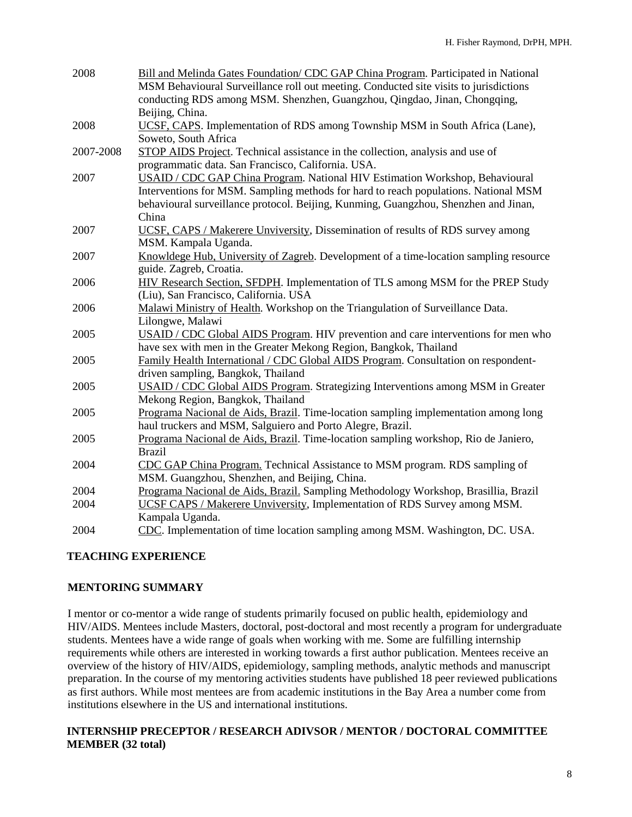| 2008      | Bill and Melinda Gates Foundation/ CDC GAP China Program. Participated in National      |  |  |  |  |
|-----------|-----------------------------------------------------------------------------------------|--|--|--|--|
|           | MSM Behavioural Surveillance roll out meeting. Conducted site visits to jurisdictions   |  |  |  |  |
|           | conducting RDS among MSM. Shenzhen, Guangzhou, Qingdao, Jinan, Chongqing,               |  |  |  |  |
|           | Beijing, China.                                                                         |  |  |  |  |
| 2008      | UCSF, CAPS. Implementation of RDS among Township MSM in South Africa (Lane),            |  |  |  |  |
|           | Soweto, South Africa                                                                    |  |  |  |  |
| 2007-2008 | STOP AIDS Project. Technical assistance in the collection, analysis and use of          |  |  |  |  |
|           | programmatic data. San Francisco, California. USA.                                      |  |  |  |  |
| 2007      | USAID / CDC GAP China Program. National HIV Estimation Workshop, Behavioural            |  |  |  |  |
|           | Interventions for MSM. Sampling methods for hard to reach populations. National MSM     |  |  |  |  |
|           | behavioural surveillance protocol. Beijing, Kunming, Guangzhou, Shenzhen and Jinan,     |  |  |  |  |
|           | China                                                                                   |  |  |  |  |
| 2007      | UCSF, CAPS / Makerere Unviversity, Dissemination of results of RDS survey among         |  |  |  |  |
|           | MSM. Kampala Uganda.                                                                    |  |  |  |  |
| 2007      | Knowldege Hub, University of Zagreb. Development of a time-location sampling resource   |  |  |  |  |
|           | guide. Zagreb, Croatia.                                                                 |  |  |  |  |
| 2006      | HIV Research Section, SFDPH. Implementation of TLS among MSM for the PREP Study         |  |  |  |  |
|           | (Liu), San Francisco, California. USA                                                   |  |  |  |  |
| 2006      | Malawi Ministry of Health. Workshop on the Triangulation of Surveillance Data.          |  |  |  |  |
|           | Lilongwe, Malawi                                                                        |  |  |  |  |
| 2005      | USAID / CDC Global AIDS Program. HIV prevention and care interventions for men who      |  |  |  |  |
|           | have sex with men in the Greater Mekong Region, Bangkok, Thailand                       |  |  |  |  |
| 2005      | Family Health International / CDC Global AIDS Program. Consultation on respondent-      |  |  |  |  |
|           | driven sampling, Bangkok, Thailand                                                      |  |  |  |  |
| 2005      | <b>USAID</b> / CDC Global AIDS Program. Strategizing Interventions among MSM in Greater |  |  |  |  |
|           | Mekong Region, Bangkok, Thailand                                                        |  |  |  |  |
| 2005      | Programa Nacional de Aids, Brazil. Time-location sampling implementation among long     |  |  |  |  |
|           | haul truckers and MSM, Salguiero and Porto Alegre, Brazil.                              |  |  |  |  |
| 2005      | Programa Nacional de Aids, Brazil. Time-location sampling workshop, Rio de Janiero,     |  |  |  |  |
|           | <b>Brazil</b>                                                                           |  |  |  |  |
| 2004      | CDC GAP China Program. Technical Assistance to MSM program. RDS sampling of             |  |  |  |  |
|           | MSM. Guangzhou, Shenzhen, and Beijing, China.                                           |  |  |  |  |
| 2004      | Programa Nacional de Aids, Brazil. Sampling Methodology Workshop, Brasillia, Brazil     |  |  |  |  |
| 2004      | UCSF CAPS / Makerere Unviversity, Implementation of RDS Survey among MSM.               |  |  |  |  |
|           | Kampala Uganda.                                                                         |  |  |  |  |
| 2004      | CDC. Implementation of time location sampling among MSM. Washington, DC. USA.           |  |  |  |  |

## **TEACHING EXPERIENCE**

#### **MENTORING SUMMARY**

I mentor or co-mentor a wide range of students primarily focused on public health, epidemiology and HIV/AIDS. Mentees include Masters, doctoral, post-doctoral and most recently a program for undergraduate students. Mentees have a wide range of goals when working with me. Some are fulfilling internship requirements while others are interested in working towards a first author publication. Mentees receive an overview of the history of HIV/AIDS, epidemiology, sampling methods, analytic methods and manuscript preparation. In the course of my mentoring activities students have published 18 peer reviewed publications as first authors. While most mentees are from academic institutions in the Bay Area a number come from institutions elsewhere in the US and international institutions.

#### **INTERNSHIP PRECEPTOR / RESEARCH ADIVSOR / MENTOR / DOCTORAL COMMITTEE MEMBER (32 total)**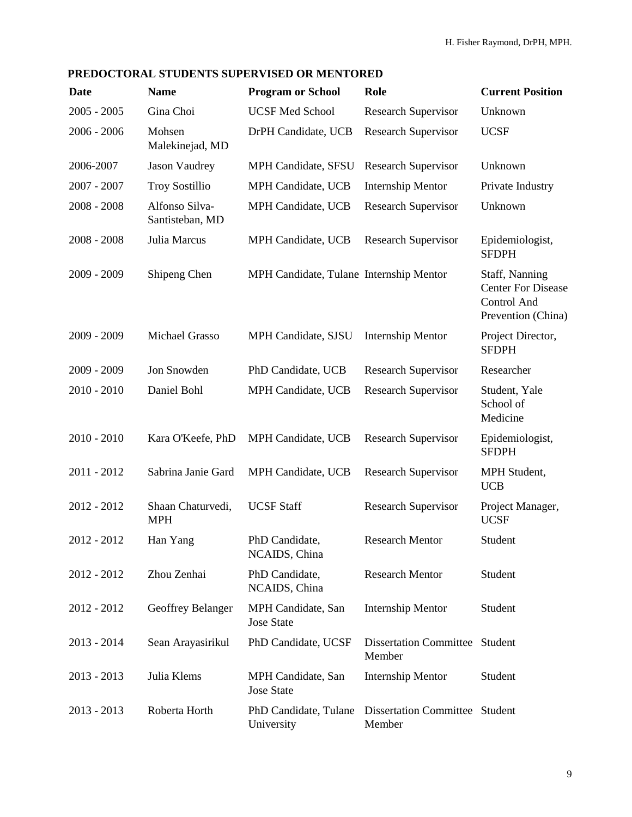# **PREDOCTORAL STUDENTS SUPERVISED OR MENTORED**

| <b>Date</b>   | <b>Name</b>                       | <b>Program or School</b>                        | Role                                            | <b>Current Position</b>                                                                 |
|---------------|-----------------------------------|-------------------------------------------------|-------------------------------------------------|-----------------------------------------------------------------------------------------|
| $2005 - 2005$ | Gina Choi                         | <b>UCSF Med School</b>                          | <b>Research Supervisor</b>                      | Unknown                                                                                 |
| $2006 - 2006$ | Mohsen<br>Malekinejad, MD         | DrPH Candidate, UCB                             | <b>Research Supervisor</b>                      | <b>UCSF</b>                                                                             |
| 2006-2007     | <b>Jason Vaudrey</b>              | MPH Candidate, SFSU                             | <b>Research Supervisor</b>                      | Unknown                                                                                 |
| $2007 - 2007$ | <b>Troy Sostillio</b>             | <b>MPH Candidate, UCB</b>                       | <b>Internship Mentor</b>                        | Private Industry                                                                        |
| $2008 - 2008$ | Alfonso Silva-<br>Santisteban, MD | MPH Candidate, UCB                              | <b>Research Supervisor</b>                      | Unknown                                                                                 |
| $2008 - 2008$ | Julia Marcus                      | MPH Candidate, UCB                              | <b>Research Supervisor</b>                      | Epidemiologist,<br><b>SFDPH</b>                                                         |
| 2009 - 2009   | Shipeng Chen                      | MPH Candidate, Tulane Internship Mentor         |                                                 | Staff, Nanning<br><b>Center For Disease</b><br><b>Control And</b><br>Prevention (China) |
| $2009 - 2009$ | Michael Grasso                    | MPH Candidate, SJSU                             | <b>Internship Mentor</b>                        | Project Director,<br><b>SFDPH</b>                                                       |
| 2009 - 2009   | Jon Snowden                       | PhD Candidate, UCB                              | <b>Research Supervisor</b>                      | Researcher                                                                              |
| $2010 - 2010$ | Daniel Bohl                       | MPH Candidate, UCB                              | <b>Research Supervisor</b>                      | Student, Yale<br>School of<br>Medicine                                                  |
| $2010 - 2010$ | Kara O'Keefe, PhD                 | MPH Candidate, UCB                              | <b>Research Supervisor</b>                      | Epidemiologist,<br><b>SFDPH</b>                                                         |
| $2011 - 2012$ | Sabrina Janie Gard                | MPH Candidate, UCB                              | <b>Research Supervisor</b>                      | MPH Student,<br><b>UCB</b>                                                              |
| $2012 - 2012$ | Shaan Chaturvedi,<br><b>MPH</b>   | <b>UCSF Staff</b>                               | <b>Research Supervisor</b>                      | Project Manager,<br><b>UCSF</b>                                                         |
| 2012 - 2012   | Han Yang                          | PhD Candidate,<br>NCAIDS, China                 | <b>Research Mentor</b>                          | Student                                                                                 |
| 2012 - 2012   | Zhou Zenhai                       | PhD Candidate,<br>NCAIDS, China                 | <b>Research Mentor</b>                          | Student                                                                                 |
| 2012 - 2012   | Geoffrey Belanger                 | MPH Candidate, San<br><b>Jose State</b>         | <b>Internship Mentor</b>                        | Student                                                                                 |
| $2013 - 2014$ | Sean Arayasirikul                 | PhD Candidate, UCSF                             | <b>Dissertation Committee Student</b><br>Member |                                                                                         |
| $2013 - 2013$ | Julia Klems                       | <b>MPH Candidate</b> , San<br><b>Jose State</b> | <b>Internship Mentor</b>                        | Student                                                                                 |
| $2013 - 2013$ | Roberta Horth                     | PhD Candidate, Tulane<br>University             | Dissertation Committee Student<br>Member        |                                                                                         |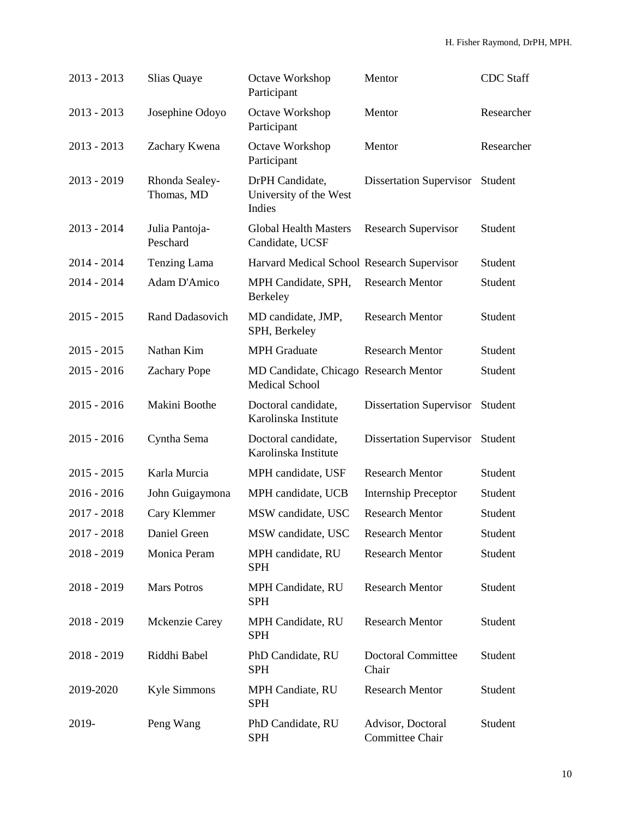| $2013 - 2013$ | Slias Quaye                  | Octave Workshop<br>Participant                                 | Mentor                               | <b>CDC</b> Staff |
|---------------|------------------------------|----------------------------------------------------------------|--------------------------------------|------------------|
| $2013 - 2013$ | Josephine Odoyo              | Octave Workshop<br>Participant                                 | Mentor                               | Researcher       |
| $2013 - 2013$ | Zachary Kwena                | Octave Workshop<br>Participant                                 | Mentor                               | Researcher       |
| 2013 - 2019   | Rhonda Sealey-<br>Thomas, MD | DrPH Candidate,<br>University of the West<br>Indies            | <b>Dissertation Supervisor</b>       | Student          |
| $2013 - 2014$ | Julia Pantoja-<br>Peschard   | <b>Global Health Masters</b><br>Candidate, UCSF                | <b>Research Supervisor</b>           | Student          |
| $2014 - 2014$ | Tenzing Lama                 | Harvard Medical School Research Supervisor                     |                                      | Student          |
| 2014 - 2014   | Adam D'Amico                 | MPH Candidate, SPH,<br>Berkeley                                | <b>Research Mentor</b>               | Student          |
| $2015 - 2015$ | Rand Dadasovich              | MD candidate, JMP,<br>SPH, Berkeley                            | <b>Research Mentor</b>               | Student          |
| $2015 - 2015$ | Nathan Kim                   | <b>MPH</b> Graduate                                            | <b>Research Mentor</b>               | Student          |
| $2015 - 2016$ | <b>Zachary Pope</b>          | MD Candidate, Chicago Research Mentor<br><b>Medical School</b> |                                      | Student          |
| $2015 - 2016$ | Makini Boothe                | Doctoral candidate,<br>Karolinska Institute                    | <b>Dissertation Supervisor</b>       | Student          |
| $2015 - 2016$ | Cyntha Sema                  | Doctoral candidate,<br>Karolinska Institute                    | <b>Dissertation Supervisor</b>       | Student          |
| $2015 - 2015$ | Karla Murcia                 | MPH candidate, USF                                             | <b>Research Mentor</b>               | Student          |
| $2016 - 2016$ | John Guigaymona              | MPH candidate, UCB                                             | <b>Internship Preceptor</b>          | Student          |
| $2017 - 2018$ | Cary Klemmer                 | MSW candidate, USC                                             | <b>Research Mentor</b>               | Student          |
| 2017 - 2018   | Daniel Green                 | MSW candidate, USC                                             | <b>Research Mentor</b>               | Student          |
| 2018 - 2019   | Monica Peram                 | MPH candidate, RU<br><b>SPH</b>                                | <b>Research Mentor</b>               | Student          |
| $2018 - 2019$ | <b>Mars Potros</b>           | MPH Candidate, RU<br><b>SPH</b>                                | <b>Research Mentor</b>               | Student          |
| 2018 - 2019   | Mckenzie Carey               | MPH Candidate, RU<br><b>SPH</b>                                | <b>Research Mentor</b>               | Student          |
| 2018 - 2019   | Riddhi Babel                 | PhD Candidate, RU<br><b>SPH</b>                                | <b>Doctoral Committee</b><br>Chair   | Student          |
| 2019-2020     | Kyle Simmons                 | MPH Candiate, RU<br><b>SPH</b>                                 | <b>Research Mentor</b>               | Student          |
| 2019-         | Peng Wang                    | PhD Candidate, RU<br><b>SPH</b>                                | Advisor, Doctoral<br>Committee Chair | Student          |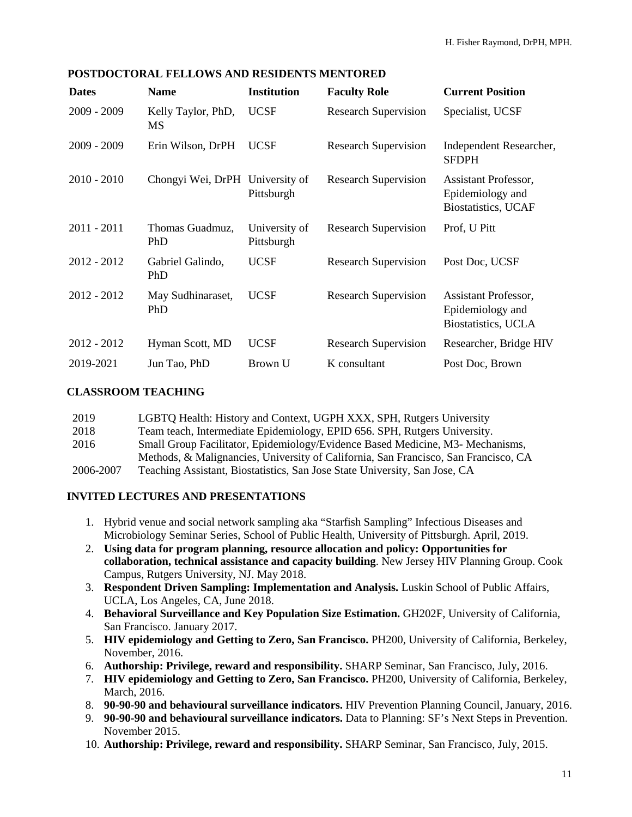| <b>Dates</b>  | <b>Name</b>                     | <b>Institution</b>          | <b>Faculty Role</b>         | <b>Current Position</b>                                                 |
|---------------|---------------------------------|-----------------------------|-----------------------------|-------------------------------------------------------------------------|
| $2009 - 2009$ | Kelly Taylor, PhD,<br><b>MS</b> | <b>UCSF</b>                 | <b>Research Supervision</b> | Specialist, UCSF                                                        |
| $2009 - 2009$ | Erin Wilson, DrPH               | <b>UCSF</b>                 | <b>Research Supervision</b> | Independent Researcher,<br><b>SFDPH</b>                                 |
| $2010 - 2010$ | Chongyi Wei, DrPH University of | Pittsburgh                  | <b>Research Supervision</b> | Assistant Professor,<br>Epidemiology and<br><b>Biostatistics</b> , UCAF |
| $2011 - 2011$ | Thomas Guadmuz,<br>PhD          | University of<br>Pittsburgh | <b>Research Supervision</b> | Prof, U Pitt                                                            |
| $2012 - 2012$ | Gabriel Galindo,<br>PhD         | <b>UCSF</b>                 | <b>Research Supervision</b> | Post Doc, UCSF                                                          |
| $2012 - 2012$ | May Sudhinaraset,<br>PhD        | <b>UCSF</b>                 | <b>Research Supervision</b> | Assistant Professor,<br>Epidemiology and<br>Biostatistics, UCLA         |
| 2012 - 2012   | Hyman Scott, MD                 | <b>UCSF</b>                 | <b>Research Supervision</b> | Researcher, Bridge HIV                                                  |
| 2019-2021     | Jun Tao, PhD                    | Brown U                     | K consultant                | Post Doc, Brown                                                         |

#### **CLASSROOM TEACHING**

| 2019      | LGBTQ Health: History and Context, UGPH XXX, SPH, Rutgers University                |
|-----------|-------------------------------------------------------------------------------------|
| 2018      | Team teach, Intermediate Epidemiology, EPID 656. SPH, Rutgers University.           |
| 2016      | Small Group Facilitator, Epidemiology/Evidence Based Medicine, M3- Mechanisms,      |
|           | Methods, & Malignancies, University of California, San Francisco, San Francisco, CA |
| 2006-2007 | Teaching Assistant, Biostatistics, San Jose State University, San Jose, CA          |

#### **INVITED LECTURES AND PRESENTATIONS**

- 1. Hybrid venue and social network sampling aka "Starfish Sampling" Infectious Diseases and Microbiology Seminar Series, School of Public Health, University of Pittsburgh. April, 2019.
- 2. **Using data for program planning, resource allocation and policy: Opportunities for collaboration, technical assistance and capacity building**. New Jersey HIV Planning Group. Cook Campus, Rutgers University, NJ. May 2018.
- 3. **Respondent Driven Sampling: Implementation and Analysis.** Luskin School of Public Affairs, UCLA, Los Angeles, CA, June 2018.
- 4. **Behavioral Surveillance and Key Population Size Estimation.** GH202F, University of California, San Francisco. January 2017.
- 5. **HIV epidemiology and Getting to Zero, San Francisco.** PH200, University of California, Berkeley, November, 2016.
- 6. **Authorship: Privilege, reward and responsibility.** SHARP Seminar, San Francisco, July, 2016.
- 7. **HIV epidemiology and Getting to Zero, San Francisco.** PH200, University of California, Berkeley, March, 2016.
- 8. **90-90-90 and behavioural surveillance indicators.** HIV Prevention Planning Council, January, 2016.
- 9. **90-90-90 and behavioural surveillance indicators.** Data to Planning: SF's Next Steps in Prevention. November 2015.
- 10. **Authorship: Privilege, reward and responsibility.** SHARP Seminar, San Francisco, July, 2015.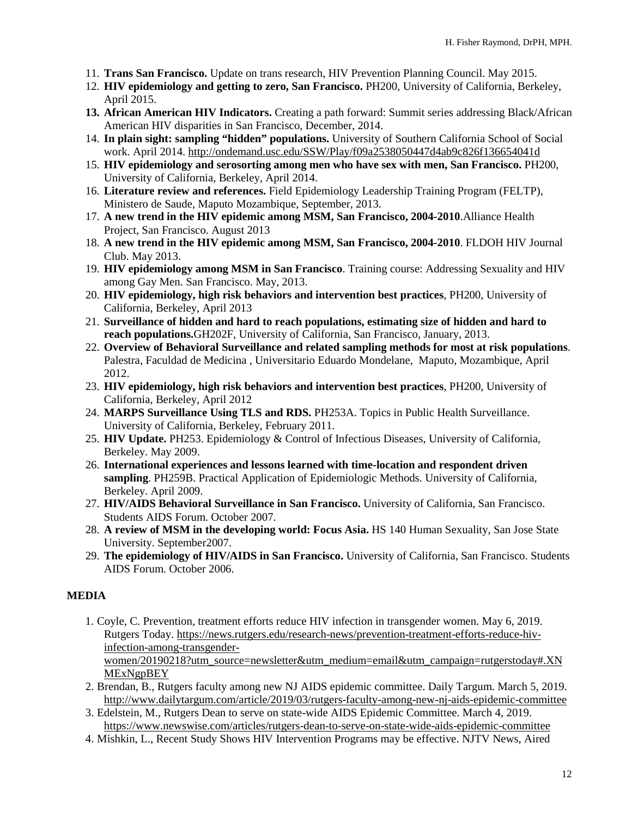- 11. **Trans San Francisco.** Update on trans research, HIV Prevention Planning Council. May 2015.
- 12. **HIV epidemiology and getting to zero, San Francisco.** PH200, University of California, Berkeley, April 2015.
- **13. African American HIV Indicators.** Creating a path forward: Summit series addressing Black/African American HIV disparities in San Francisco, December, 2014.
- 14. **In plain sight: sampling "hidden" populations.** University of Southern California School of Social work. April 2014.<http://ondemand.usc.edu/SSW/Play/f09a2538050447d4ab9c826f136654041d>
- 15. **HIV epidemiology and serosorting among men who have sex with men, San Francisco.** PH200, University of California, Berkeley, April 2014.
- 16. **Literature review and references.** Field Epidemiology Leadership Training Program (FELTP), Ministero de Saude, Maputo Mozambique, September, 2013.
- 17. **A new trend in the HIV epidemic among MSM, San Francisco, 2004-2010**.Alliance Health Project, San Francisco. August 2013
- 18. **A new trend in the HIV epidemic among MSM, San Francisco, 2004-2010**. FLDOH HIV Journal Club. May 2013.
- 19. **HIV epidemiology among MSM in San Francisco**. Training course: Addressing Sexuality and HIV among Gay Men. San Francisco. May, 2013.
- 20. **HIV epidemiology, high risk behaviors and intervention best practices**, PH200, University of California, Berkeley, April 2013
- 21. **Surveillance of hidden and hard to reach populations, estimating size of hidden and hard to reach populations.**GH202F, University of California, San Francisco, January, 2013.
- 22. **Overview of Behavioral Surveillance and related sampling methods for most at risk populations**. Palestra, Faculdad de Medicina , Universitario Eduardo Mondelane, Maputo, Mozambique, April 2012.
- 23. **HIV epidemiology, high risk behaviors and intervention best practices**, PH200, University of California, Berkeley, April 2012
- 24. **MARPS Surveillance Using TLS and RDS.** PH253A. Topics in Public Health Surveillance. University of California, Berkeley, February 2011.
- 25. **HIV Update.** PH253. Epidemiology & Control of Infectious Diseases, University of California, Berkeley. May 2009.
- 26. **International experiences and lessons learned with time-location and respondent driven sampling**. PH259B. Practical Application of Epidemiologic Methods. University of California, Berkeley. April 2009.
- 27. **HIV/AIDS Behavioral Surveillance in San Francisco.** University of California, San Francisco. Students AIDS Forum. October 2007.
- 28. **A review of MSM in the developing world: Focus Asia.** HS 140 Human Sexuality, San Jose State University. September2007.
- 29. **The epidemiology of HIV/AIDS in San Francisco.** University of California, San Francisco. Students AIDS Forum. October 2006.

## **MEDIA**

1. Coyle, C. Prevention, treatment efforts reduce HIV infection in transgender women. May 6, 2019. Rutgers Today. [https://news.rutgers.edu/research-news/prevention-treatment-efforts-reduce-hiv](https://news.rutgers.edu/research-news/prevention-treatment-efforts-reduce-hiv-infection-among-transgender-women/20190218?utm_source=newsletter&utm_medium=email&utm_campaign=rutgerstoday#.XNMExNgpBEY)[infection-among-transgender-](https://news.rutgers.edu/research-news/prevention-treatment-efforts-reduce-hiv-infection-among-transgender-women/20190218?utm_source=newsletter&utm_medium=email&utm_campaign=rutgerstoday#.XNMExNgpBEY)

[women/20190218?utm\\_source=newsletter&utm\\_medium=email&utm\\_campaign=rutgerstoday#.XN](https://news.rutgers.edu/research-news/prevention-treatment-efforts-reduce-hiv-infection-among-transgender-women/20190218?utm_source=newsletter&utm_medium=email&utm_campaign=rutgerstoday#.XNMExNgpBEY) [MExNgpBEY](https://news.rutgers.edu/research-news/prevention-treatment-efforts-reduce-hiv-infection-among-transgender-women/20190218?utm_source=newsletter&utm_medium=email&utm_campaign=rutgerstoday#.XNMExNgpBEY)

- 2. Brendan, B., Rutgers faculty among new NJ AIDS epidemic committee. Daily Targum. March 5, 2019. <http://www.dailytargum.com/article/2019/03/rutgers-faculty-among-new-nj-aids-epidemic-committee>
- 3. Edelstein, M., Rutgers Dean to serve on state-wide AIDS Epidemic Committee. March 4, 2019. <https://www.newswise.com/articles/rutgers-dean-to-serve-on-state-wide-aids-epidemic-committee>
- 4. Mishkin, L., Recent Study Shows HIV Intervention Programs may be effective. NJTV News, Aired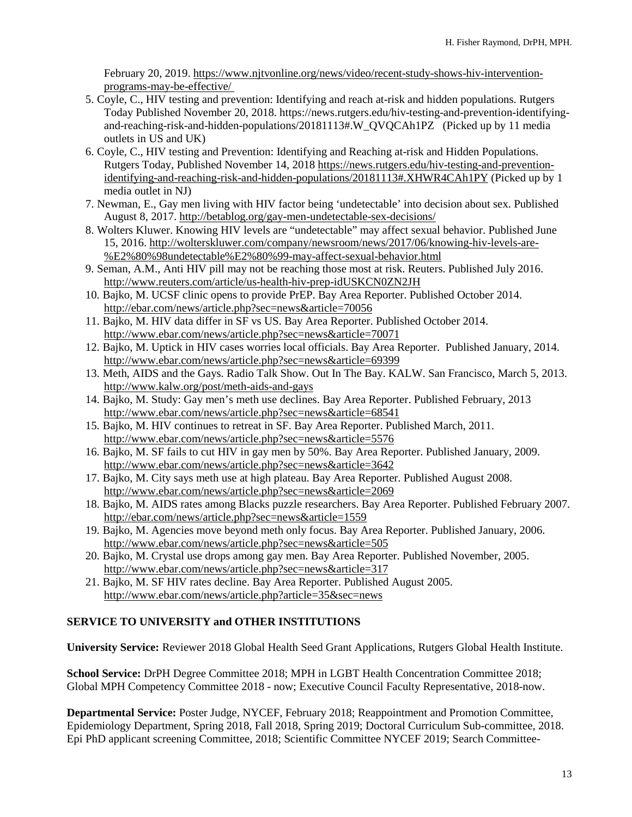February 20, 2019. [https://www.njtvonline.org/news/video/recent-study-shows-hiv-intervention](https://www.njtvonline.org/news/video/recent-study-shows-hiv-intervention-programs-may-be-effective/)[programs-may-be-effective/](https://www.njtvonline.org/news/video/recent-study-shows-hiv-intervention-programs-may-be-effective/)

- 5. Coyle, C., HIV testing and prevention: Identifying and reach at-risk and hidden populations. Rutgers Today Published November 20, 2018. [https://news.rutgers.edu/hiv-testing-and-prevention-identifying](https://news.rutgers.edu/hiv-testing-and-prevention-identifying-and-reaching-risk-and-hidden-populations/20181113#.W_QVQCAh1PZ)[and-reaching-risk-and-hidden-populations/20181113#.W\\_QVQCAh1PZ](https://news.rutgers.edu/hiv-testing-and-prevention-identifying-and-reaching-risk-and-hidden-populations/20181113#.W_QVQCAh1PZ) (Picked up by 11 media outlets in US and UK)
- 6. Coyle, C., HIV testing and Prevention: Identifying and Reaching at-risk and Hidden Populations. Rutgers Today, Published November 14, 2018 [https://news.rutgers.edu/hiv-testing-and-prevention](https://news.rutgers.edu/hiv-testing-and-prevention-identifying-and-reaching-risk-and-hidden-populations/20181113#.XHWR4CAh1PY)[identifying-and-reaching-risk-and-hidden-populations/20181113#.XHWR4CAh1PY](https://news.rutgers.edu/hiv-testing-and-prevention-identifying-and-reaching-risk-and-hidden-populations/20181113#.XHWR4CAh1PY) (Picked up by 1 media outlet in NJ)
- 7. Newman, E., Gay men living with HIV factor being 'undetectable' into decision about sex. Published August 8, 2017.<http://betablog.org/gay-men-undetectable-sex-decisions/>
- 8. Wolters Kluwer. Knowing HIV levels are "undetectable" may affect sexual behavior. Published June 15, 2016. [http://wolterskluwer.com/company/newsroom/news/2017/06/knowing-hiv-levels-are-](http://wolterskluwer.com/company/newsroom/news/2017/06/knowing-hiv-levels-are-%E2%80%98undetectable%E2%80%99-may-affect-sexual-behavior.html) [%E2%80%98undetectable%E2%80%99-may-affect-sexual-behavior.html](http://wolterskluwer.com/company/newsroom/news/2017/06/knowing-hiv-levels-are-%E2%80%98undetectable%E2%80%99-may-affect-sexual-behavior.html)
- 9. Seman, A.M., Anti HIV pill may not be reaching those most at risk. Reuters. Published July 2016. <http://www.reuters.com/article/us-health-hiv-prep-idUSKCN0ZN2JH>
- 10. Bajko, M. UCSF clinic opens to provide PrEP. Bay Area Reporter. Published October 2014. <http://ebar.com/news/article.php?sec=news&article=70056>
- 11. Bajko, M. HIV data differ in SF vs US. Bay Area Reporter. Published October 2014. <http://www.ebar.com/news/article.php?sec=news&article=70071>
- 12. Bajko, M. Uptick in HIV cases worries local officials. Bay Area Reporter. Published January, 2014. <http://www.ebar.com/news/article.php?sec=news&article=69399>
- 13. Meth, AIDS and the Gays. Radio Talk Show. Out In The Bay. KALW. San Francisco, March 5, 2013. <http://www.kalw.org/post/meth-aids-and-gays>
- 14. Bajko, M. Study: Gay men's meth use declines. Bay Area Reporter. Published February, 2013 <http://www.ebar.com/news/article.php?sec=news&article=68541>
- 15. Bajko, M. HIV continues to retreat in SF. Bay Area Reporter. Published March, 2011. <http://www.ebar.com/news/article.php?sec=news&article=5576>
- 16. Bajko, M. SF fails to cut HIV in gay men by 50%. Bay Area Reporter. Published January, 2009. <http://www.ebar.com/news/article.php?sec=news&article=3642>
- 17. Bajko, M. City says meth use at high plateau. Bay Area Reporter. Published August 2008. <http://www.ebar.com/news/article.php?sec=news&article=2069>
- 18. Bajko, M. AIDS rates among Blacks puzzle researchers. Bay Area Reporter. Published February 2007. <http://ebar.com/news/article.php?sec=news&article=1559>
- 19. Bajko, M. Agencies move beyond meth only focus. Bay Area Reporter. Published January, 2006. <http://www.ebar.com/news/article.php?sec=news&article=505>
- 20. Bajko, M. Crystal use drops among gay men. Bay Area Reporter. Published November, 2005. <http://www.ebar.com/news/article.php?sec=news&article=317>
- 21. Bajko, M. SF HIV rates decline. Bay Area Reporter. Published August 2005. <http://www.ebar.com/news/article.php?article=35&sec=news>

# **SERVICE TO UNIVERSITY and OTHER INSTITUTIONS**

**University Service:** Reviewer 2018 Global Health Seed Grant Applications, Rutgers Global Health Institute.

**School Service:** DrPH Degree Committee 2018; MPH in LGBT Health Concentration Committee 2018; Global MPH Competency Committee 2018 - now; Executive Council Faculty Representative, 2018-now.

**Departmental Service:** Poster Judge, NYCEF, February 2018; Reappointment and Promotion Committee, Epidemiology Department, Spring 2018, Fall 2018, Spring 2019; Doctoral Curriculum Sub-committee, 2018. Epi PhD applicant screening Committee, 2018; Scientific Committee NYCEF 2019; Search Committee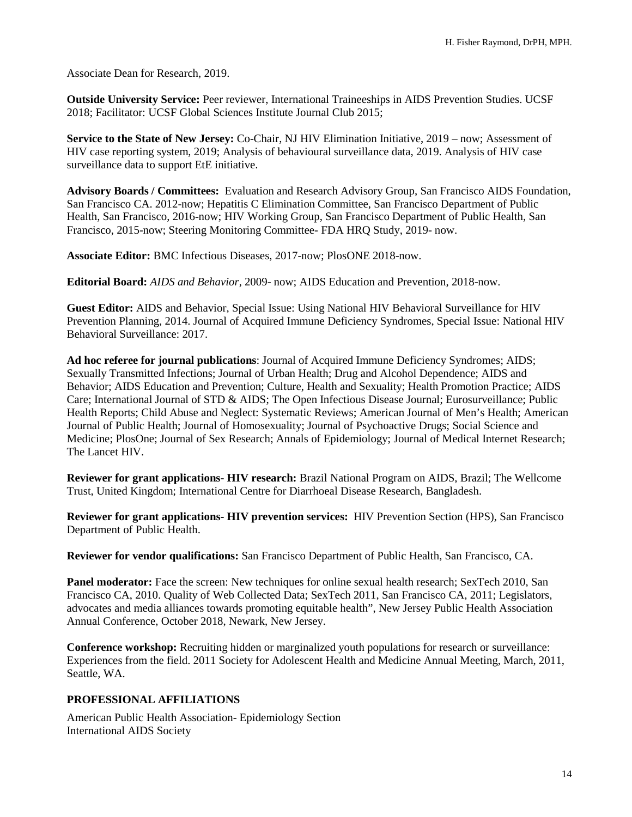Associate Dean for Research, 2019.

**Outside University Service:** Peer reviewer, International Traineeships in AIDS Prevention Studies. UCSF 2018; Facilitator: UCSF Global Sciences Institute Journal Club 2015;

**Service to the State of New Jersey:** Co-Chair, NJ HIV Elimination Initiative, 2019 – now; Assessment of HIV case reporting system, 2019; Analysis of behavioural surveillance data, 2019. Analysis of HIV case surveillance data to support EtE initiative.

**Advisory Boards / Committees:** Evaluation and Research Advisory Group, San Francisco AIDS Foundation, San Francisco CA. 2012-now; Hepatitis C Elimination Committee, San Francisco Department of Public Health, San Francisco, 2016-now; HIV Working Group, San Francisco Department of Public Health, San Francisco, 2015-now; Steering Monitoring Committee- FDA HRQ Study, 2019- now.

**Associate Editor:** BMC Infectious Diseases, 2017-now; PlosONE 2018-now.

**Editorial Board:** *AIDS and Behavior*, 2009- now; AIDS Education and Prevention, 2018-now.

**Guest Editor:** AIDS and Behavior, Special Issue: Using National HIV Behavioral Surveillance for HIV Prevention Planning, 2014. Journal of Acquired Immune Deficiency Syndromes, Special Issue: National HIV Behavioral Surveillance: 2017.

**Ad hoc referee for journal publications**: Journal of Acquired Immune Deficiency Syndromes; AIDS; Sexually Transmitted Infections; Journal of Urban Health; Drug and Alcohol Dependence; AIDS and Behavior; AIDS Education and Prevention; Culture, Health and Sexuality; Health Promotion Practice; AIDS Care; International Journal of STD & AIDS; The Open Infectious Disease Journal; Eurosurveillance; Public Health Reports; Child Abuse and Neglect: Systematic Reviews; American Journal of Men's Health; American Journal of Public Health; Journal of Homosexuality; Journal of Psychoactive Drugs; Social Science and Medicine; PlosOne; Journal of Sex Research; Annals of Epidemiology; Journal of Medical Internet Research; The Lancet HIV.

**Reviewer for grant applications- HIV research:** Brazil National Program on AIDS, Brazil; The Wellcome Trust, United Kingdom; International Centre for Diarrhoeal Disease Research, Bangladesh.

**Reviewer for grant applications- HIV prevention services:** HIV Prevention Section (HPS), San Francisco Department of Public Health.

**Reviewer for vendor qualifications:** San Francisco Department of Public Health, San Francisco, CA.

**Panel moderator:** Face the screen: New techniques for online sexual health research; SexTech 2010, San Francisco CA, 2010. Quality of Web Collected Data; SexTech 2011, San Francisco CA, 2011; Legislators, advocates and media alliances towards promoting equitable health", New Jersey Public Health Association Annual Conference, October 2018, Newark, New Jersey.

**Conference workshop:** Recruiting hidden or marginalized youth populations for research or surveillance: Experiences from the field. 2011 Society for Adolescent Health and Medicine Annual Meeting, March, 2011, Seattle, WA.

#### **PROFESSIONAL AFFILIATIONS**

American Public Health Association- Epidemiology Section International AIDS Society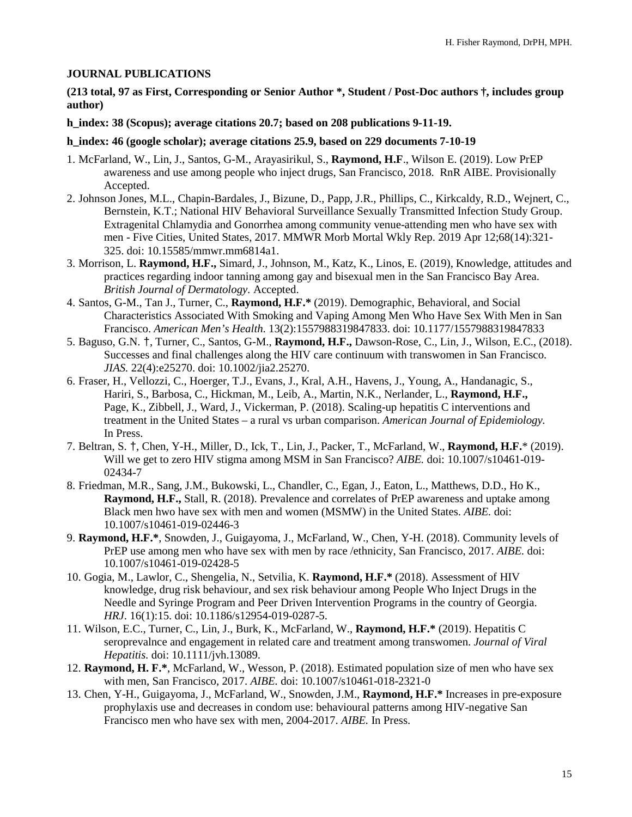#### **JOURNAL PUBLICATIONS**

**(213 total, 97 as First, Corresponding or Senior Author \*, Student / Post-Doc authors †, includes group author)**

**h\_index: 38 (Scopus); average citations 20.7; based on 208 publications 9-11-19.**

#### **h\_index: 46 (google scholar); average citations 25.9, based on 229 documents 7-10-19**

- 1. McFarland, W., Lin, J., Santos, G-M., Arayasirikul, S., **Raymond, H.F**., Wilson E. (2019). Low PrEP awareness and use among people who inject drugs, San Francisco, 2018. RnR AIBE. Provisionally Accepted.
- 2. Johnson Jones, M.L., Chapin-Bardales, J., Bizune, D., Papp, J.R., Phillips, C., Kirkcaldy, R.D., Wejnert, C., Bernstein, K.T.; National HIV Behavioral Surveillance Sexually Transmitted Infection Study Group. Extragenital Chlamydia and Gonorrhea among community venue-attending men who have sex with men - Five Cities, United States, 2017. MMWR Morb Mortal Wkly Rep. 2019 Apr 12;68(14):321- 325. doi: 10.15585/mmwr.mm6814a1.
- 3. Morrison, L. **Raymond, H.F.,** Simard, J., Johnson, M., Katz, K., Linos, E. (2019), Knowledge, attitudes and practices regarding indoor tanning among gay and bisexual men in the San Francisco Bay Area. *British Journal of Dermatology.* Accepted.
- 4. Santos, G-M., Tan J., Turner, C., **Raymond, H.F.\*** (2019). [Demographic, Behavioral, and Social](https://www.ncbi.nlm.nih.gov/pubmed/31043125)  [Characteristics Associated With Smoking and Vaping Among Men Who Have Sex With Men in San](https://www.ncbi.nlm.nih.gov/pubmed/31043125)  [Francisco.](https://www.ncbi.nlm.nih.gov/pubmed/31043125) *American Men's Health*. 13(2):1557988319847833. doi: 10.1177/1557988319847833
- 5. Baguso, G.N. †, Turner, C., Santos, G-M., **Raymond, H.F.,** Dawson-Rose, C., Lin, J., Wilson, E.C., (2018). Successes and final challenges along the HIV care continuum with transwomen in San Francisco. *JIAS.* 22(4):e25270. doi: 10.1002/jia2.25270.
- 6. Fraser, H., Vellozzi, C., Hoerger, T.J., Evans, J., Kral, A.H., Havens, J., Young, A., Handanagic, S., Hariri, S., Barbosa, C., Hickman, M., Leib, A., Martin, N.K., Nerlander, L., **Raymond, H.F.,** Page, K., Zibbell, J., Ward, J., Vickerman, P. (2018). Scaling-up hepatitis C interventions and treatment in the United States – a rural vs urban comparison. *American Journal of Epidemiology.*  In Press.
- 7. Beltran, S. †, Chen, Y-H., Miller, D., Ick, T., Lin, J., Packer, T., McFarland, W., **Raymond, H.F.**\* (2019). Will we get to zero HIV stigma among MSM in San Francisco? *AIBE.* doi: 10.1007/s10461-019- 02434-7
- 8. Friedman, M.R., Sang, J.M., Bukowski, L., Chandler, C., Egan, J., Eaton, L., Matthews, D.D., Ho K., **Raymond, H.F.,** Stall, R. (2018). Prevalence and correlates of PrEP awareness and uptake among Black men hwo have sex with men and women (MSMW) in the United States. *AIBE.* doi: 10.1007/s10461-019-02446-3
- 9. **Raymond, H.F.\***, Snowden, J., Guigayoma, J., McFarland, W., Chen, Y-H. (2018). Community levels of PrEP use among men who have sex with men by race /ethnicity, San Francisco, 2017. *AIBE.* doi: 10.1007/s10461-019-02428-5
- 10. Gogia, M., Lawlor, C., Shengelia, N., Setvilia, K. **Raymond, H.F.\*** (2018). Assessment of HIV knowledge, drug risk behaviour, and sex risk behaviour among People Who Inject Drugs in the Needle and Syringe Program and Peer Driven Intervention Programs in the country of Georgia. *HRJ*. 16(1):15. doi: 10.1186/s12954-019-0287-5.
- 11. Wilson, E.C., Turner, C., Lin, J., Burk, K., McFarland, W., **Raymond, H.F.\*** (2019). Hepatitis C seroprevalnce and engagement in related care and treatment among transwomen. *Journal of Viral Hepatitis.* doi: 10.1111/jvh.13089.
- 12. **Raymond, H. F.\***, McFarland, W., Wesson, P. (2018). Estimated population size of men who have sex with men, San Francisco, 2017. *AIBE.* doi: 10.1007/s10461-018-2321-0
- 13. Chen, Y-H., Guigayoma, J., McFarland, W., Snowden, J.M., **Raymond, H.F.\*** Increases in pre-exposure prophylaxis use and decreases in condom use: behavioural patterns among HIV-negative San Francisco men who have sex with men, 2004-2017. *AIBE.* In Press.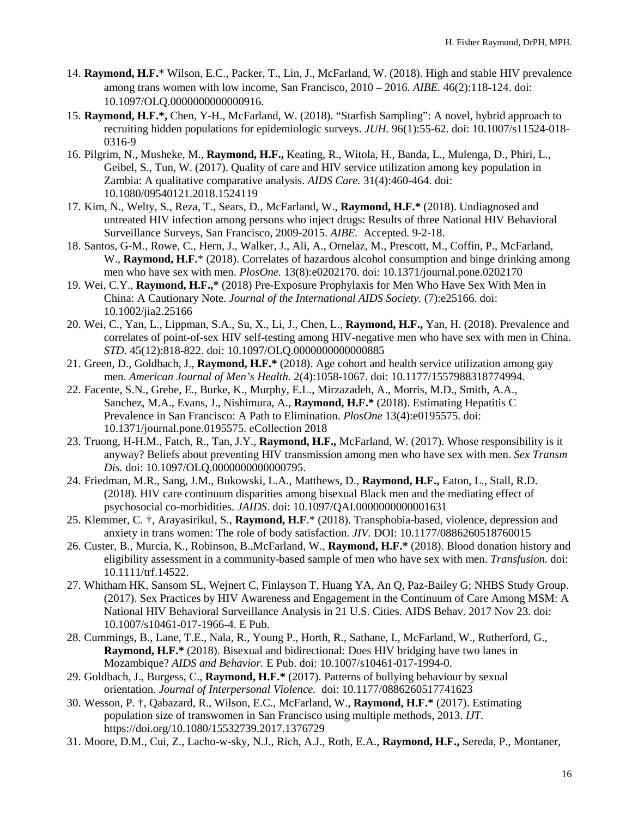- 14. **Raymond, H.F.**\* Wilson, E.C., Packer, T., Lin, J., McFarland, W. (2018). High and stable HIV prevalence among trans women with low income, San Francisco, 2010 – 2016. *AIBE.* 46(2):118-124. doi: 10.1097/OLQ.0000000000000916.
- 15. **Raymond, H.F.\*,** Chen, Y-H., McFarland, W. (2018). "Starfish Sampling": A novel, hybrid approach to recruiting hidden populations for epidemiologic surveys. *JUH.* 96(1):55-62. doi: 10.1007/s11524-018- 0316-9
- 16. Pilgrim, N., Musheke, M., **Raymond, H.F.,** Keating, R., Witola, H., Banda, L., Mulenga, D., Phiri, L., Geibel, S., Tun, W. (2017). Quality of care and HIV service utilization among key population in Zambia: A qualitative comparative analysis. *AIDS Care.* 31(4):460-464. doi: 10.1080/09540121.2018.1524119
- 17. Kim, N., Welty, S., Reza, T., Sears, D., McFarland, W., **Raymond, H.F.\*** (2018). Undiagnosed and untreated HIV infection among persons who inject drugs: Results of three National HIV Behavioral Surveillance Surveys, San Francisco, 2009-2015. *AIBE.* Accepted. 9-2-18.
- 18. Santos, G-M., Rowe, C., Hern, J., Walker, J., Ali, A., Ornelaz, M., Prescott, M., Coffin, P., McFarland, W., **Raymond, H.F.**\* (2018). Correlates of hazardous alcohol consumption and binge drinking among men who have sex with men. *PlosOne.* 13(8):e0202170. doi: 10.1371/journal.pone.0202170
- 19. Wei, C.Y., **Raymond, H.F.,\*** (2018) Pre-Exposure Prophylaxis for Men Who Have Sex With Men in China: A Cautionary Note. *Journal of the International AIDS Society.* (7):e25166. doi: 10.1002/jia2.25166
- 20. Wei, C., Yan, L., Lippman, S.A., Su, X., Li, J., Chen, L., **Raymond, H.F.,** Yan, H. (2018). Prevalence and correlates of point-of-sex HIV self-testing among HIV-negative men who have sex with men in China. *STD.* 45(12):818-822. doi: 10.1097/OLQ.0000000000000885
- 21. Green, D., Goldbach, J., **Raymond, H.F.\*** (2018). Age cohort and health service utilization among gay men. *American Journal of Men's Health.* 2(4):1058-1067. doi: 10.1177/1557988318774994.
- 22. Facente, S.N., Grebe, E., Burke, K., Murphy, E.L., Mirzazadeh, A., Morris, M.D., Smith, A.A., Sanchez, M.A., Evans, J., Nishimura, A., **Raymond, H.F.\*** (2018). Estimating Hepatitis C Prevalence in San Francisco: A Path to Elimination. *PlosOne* 13(4):e0195575. doi: 10.1371/journal.pone.0195575. eCollection 2018
- 23. Truong, H-H.M., Fatch, R., Tan, J.Y., **Raymond, H.F.,** McFarland, W. (2017). Whose responsibility is it anyway? Beliefs about preventing HIV transmission among men who have sex with men. *Sex Transm Dis.* doi: 10.1097/OLQ.0000000000000795.
- 24. Friedman, M.R., Sang, J.M., Bukowski, L.A., Matthews, D., **Raymond, H.F.,** Eaton, L., Stall, R.D. (2018). HIV care continuum disparities among bisexual Black men and the mediating effect of psychosocial co-morbidities. *JAIDS*. doi: 10.1097/QAI.0000000000001631
- 25. Klemmer, C. †, Arayasirikul, S., **Raymond, H.F**.\* (2018). Transphobia-based, violence, depression and anxiety in trans women: The role of body satisfaction. *JIV.* DOI: 10.1177/0886260518760015
- 26. Custer, B., Murcia, K., Robinson, B.,McFarland, W., **Raymond, H.F.\*** (2018). Blood donation history and eligibility assessment in a community-based sample of men who have sex with men. *Transfusion.* doi: 10.1111/trf.14522.
- 27. Whitham HK, Sansom SL, Wejnert C, Finlayson T, Huang YA, An Q, Paz-Bailey G; NHBS Study Group. (2017). Sex Practices by HIV Awareness and Engagement in the Continuum of Care Among MSM: A National HIV Behavioral Surveillance Analysis in 21 U.S. Cities. AIDS Behav. 2017 Nov 23. doi: 10.1007/s10461-017-1966-4. E Pub.
- 28. Cummings, B., Lane, T.E., Nala, R., Young P., Horth, R., Sathane, I., McFarland, W., Rutherford, G., **Raymond, H.F.\*** (2018). Bisexual and bidirectional: Does HIV bridging have two lanes in Mozambique? *AIDS and Behavior.* E Pub. doi: 10.1007/s10461-017-1994-0.
- 29. Goldbach, J., Burgess, C., **Raymond, H.F.\*** (2017). Patterns of bullying behaviour by sexual orientation. *Journal of Interpersonal Violence.* doi: 10.1177/0886260517741623
- 30. Wesson, P. †, Qabazard, R., Wilson, E.C., McFarland, W., **Raymond, H.F.\*** (2017). Estimating population size of transwomen in San Francisco using multiple methods, 2013. *IJT.*  https://doi.org/10.1080/15532739.2017.1376729
- 31. Moore, D.M., Cui, Z., Lacho-w-sky, N.J., Rich, A.J., Roth, E.A., **Raymond, H.F.,** Sereda, P., Montaner,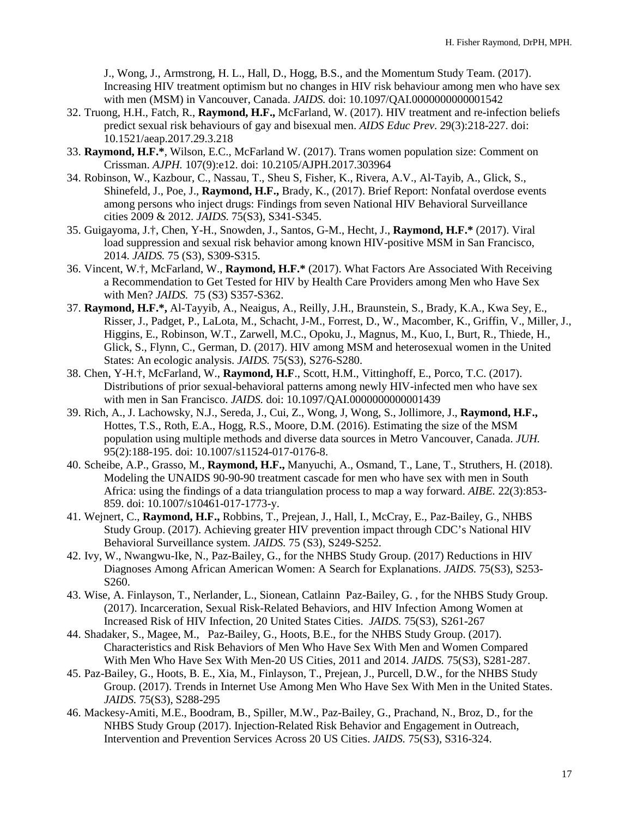J., Wong, J., Armstrong, H. L., Hall, D., Hogg, B.S., and the Momentum Study Team. (2017). Increasing HIV treatment optimism but no changes in HIV risk behaviour among men who have sex with men (MSM) in Vancouver, Canada. *JAIDS.* doi: 10.1097/QAI.0000000000001542

- 32. Truong, H.H., Fatch, R., **Raymond, H.F.,** McFarland, W. (2017). HIV treatment and re-infection beliefs predict sexual risk behaviours of gay and bisexual men. *AIDS Educ Prev*. 29(3):218-227. doi: 10.1521/aeap.2017.29.3.218
- 33. **Raymond, H.F.\***, Wilson, E.C., McFarland W. (2017). Trans women population size: Comment on Crissman. *AJPH.* 107(9):e12. doi: 10.2105/AJPH.2017.303964
- 34. Robinson, W., Kazbour, C., Nassau, T., Sheu S, Fisher, K., Rivera, A.V., Al-Tayib, A., Glick, S., Shinefeld, J., Poe, J., **Raymond, H.F.,** Brady, K., (2017). Brief Report: Nonfatal overdose events among persons who inject drugs: Findings from seven National HIV Behavioral Surveillance cities 2009 & 2012. *JAIDS.* 75(S3), S341-S345.
- 35. Guigayoma, J.†, Chen, Y-H., Snowden, J., Santos, G-M., Hecht, J., **Raymond, H.F.\*** (2017). Viral load suppression and sexual risk behavior among known HIV-positive MSM in San Francisco, 2014. *JAIDS.* 75 (S3), S309-S315.
- 36. Vincent, W.†, McFarland, W., **Raymond, H.F.\*** (2017). What Factors Are Associated With Receiving a Recommendation to Get Tested for HIV by Health Care Providers among Men who Have Sex with Men? *JAIDS.* 75 (S3) S357-S362.
- 37. **Raymond, H.F.\*,** Al-Tayyib, A., Neaigus, A., Reilly, J.H., Braunstein, S., Brady, K.A., Kwa Sey, E., Risser, J., Padget, P., LaLota, M., Schacht, J-M., Forrest, D., W., Macomber, K., Griffin, V., Miller, J., Higgins, E., Robinson, W.T., Zarwell, M.C., Opoku, J., Magnus, M., Kuo, I., Burt, R., Thiede, H., Glick, S., Flynn, C., German, D. (2017). HIV among MSM and heterosexual women in the United States: An ecologic analysis. *JAIDS.* 75(S3), S276-S280.
- 38. Chen, Y-H.†, McFarland, W., **Raymond, H.F**., Scott, H.M., Vittinghoff, E., Porco, T.C. (2017). Distributions of prior sexual-behavioral patterns among newly HIV-infected men who have sex with men in San Francisco. *JAIDS.* doi: 10.1097/QAI.0000000000001439
- 39. Rich, A., J. Lachowsky, N.J., Sereda, J., Cui, Z., Wong, J, Wong, S., Jollimore, J., **Raymond, H.F.,** Hottes, T.S., Roth, E.A., Hogg, R.S., Moore, D.M. (2016). Estimating the size of the MSM population using multiple methods and diverse data sources in Metro Vancouver, Canada. *JUH.*  95(2):188-195. doi: 10.1007/s11524-017-0176-8.
- 40. Scheibe, A.P., Grasso, M., **Raymond, H.F.,** Manyuchi, A., Osmand, T., Lane, T., Struthers, H. (2018). Modeling the UNAIDS 90-90-90 treatment cascade for men who have sex with men in South Africa: using the findings of a data triangulation process to map a way forward. *AIBE.* 22(3):853- 859. doi: 10.1007/s10461-017-1773-y.
- 41. Wejnert, C., **Raymond, H.F.,** Robbins, T., Prejean, J., Hall, I., McCray, E., Paz-Bailey, G., NHBS Study Group. (2017). Achieving greater HIV prevention impact through CDC's National HIV Behavioral Surveillance system. *JAIDS.* 75 (S3), S249-S252.
- 42. Ivy, W., Nwangwu-Ike, N., Paz-Bailey, G., for the NHBS Study Group. (2017) [Reductions in HIV](http://ovidsp.tx.ovid.com.ucsf.idm.oclc.org/sp-3.25.0a/ovidweb.cgi?&S=BHEMFPGPFIDDAMJPNCGKNDIBLKFJAA00&Link+Set=S.sh.22.23.26%7c2%7csl_10)  [Diagnoses Among African American Women: A Search for Explanations.](http://ovidsp.tx.ovid.com.ucsf.idm.oclc.org/sp-3.25.0a/ovidweb.cgi?&S=BHEMFPGPFIDDAMJPNCGKNDIBLKFJAA00&Link+Set=S.sh.22.23.26%7c2%7csl_10) *JAIDS.* 75(S3), S253- S260.
- 43. Wise, A. Finlayson, T., Nerlander, L., Sionean, Catlainn Paz-Bailey, G. , for the NHBS Study Group. (2017). [Incarceration, Sexual Risk-Related Behaviors, and HIV Infection Among Women at](http://ovidsp.tx.ovid.com.ucsf.idm.oclc.org/sp-3.25.0a/ovidweb.cgi?&S=BHEMFPGPFIDDAMJPNCGKNDIBLKFJAA00&Link+Set=S.sh.22.23.26%7c3%7csl_10)  [Increased Risk of HIV Infection, 20 United States Cities.](http://ovidsp.tx.ovid.com.ucsf.idm.oclc.org/sp-3.25.0a/ovidweb.cgi?&S=BHEMFPGPFIDDAMJPNCGKNDIBLKFJAA00&Link+Set=S.sh.22.23.26%7c3%7csl_10) *JAIDS.* 75(S3), S261-267
- 44. Shadaker, S., Magee, M., Paz-Bailey, G., Hoots, B.E., for the NHBS Study Group. (2017). [Characteristics and Risk Behaviors of Men Who Have Sex With Men and Women Compared](http://ovidsp.tx.ovid.com.ucsf.idm.oclc.org/sp-3.25.0a/ovidweb.cgi?&S=BHEMFPGPFIDDAMJPNCGKNDIBLKFJAA00&Link+Set=S.sh.22.23.26%7c6%7csl_10)  [With Men Who Have Sex With Men-20 US Cities, 2011 and 2014.](http://ovidsp.tx.ovid.com.ucsf.idm.oclc.org/sp-3.25.0a/ovidweb.cgi?&S=BHEMFPGPFIDDAMJPNCGKNDIBLKFJAA00&Link+Set=S.sh.22.23.26%7c6%7csl_10) *JAIDS.* 75(S3), S281-287.
- 45. Paz-Bailey, G., Hoots, B. E., Xia, M., Finlayson, T., Prejean, J., Purcell, D.W., for the NHBS Study Group. (2017). [Trends in Internet Use Among Men Who Have Sex With Men in the United States.](http://ovidsp.tx.ovid.com.ucsf.idm.oclc.org/sp-3.25.0a/ovidweb.cgi?&S=BHEMFPGPFIDDAMJPNCGKNDIBLKFJAA00&Link+Set=S.sh.22.23.26%7c7%7csl_10) *JAIDS.* 75(S3), S288-295
- 46. Mackesy-Amiti, M.E., Boodram, B., Spiller, M.W., Paz-Bailey, G., Prachand, N., Broz, D., for the NHBS Study Group (2017). [Injection-Related Risk Behavior and Engagement in Outreach,](http://ovidsp.tx.ovid.com.ucsf.idm.oclc.org/sp-3.25.0a/ovidweb.cgi?&S=BHEMFPGPFIDDAMJPNCGKNDIBLKFJAA00&Link+Set=S.sh.22.23.26%7c10%7csl_10)  [Intervention and Prevention Services Across 20 US Cities.](http://ovidsp.tx.ovid.com.ucsf.idm.oclc.org/sp-3.25.0a/ovidweb.cgi?&S=BHEMFPGPFIDDAMJPNCGKNDIBLKFJAA00&Link+Set=S.sh.22.23.26%7c10%7csl_10) *JAIDS.* 75(S3), S316-324.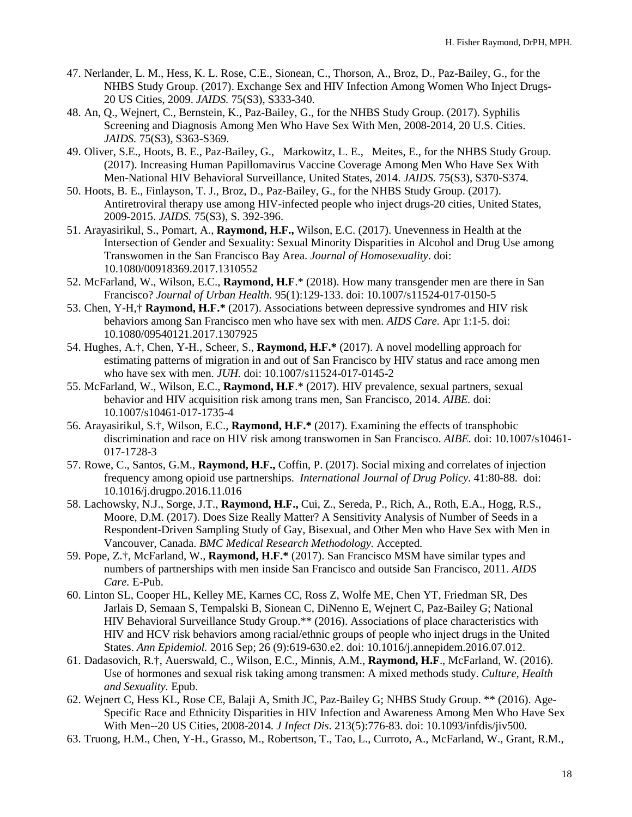- 47. Nerlander, L. M., Hess, K. L. Rose, C.E., Sionean, C., Thorson, A., Broz, D., Paz-Bailey, G., for the NHBS Study Group. (2017)[. Exchange Sex and HIV Infection Among Women Who Inject Drugs-](http://ovidsp.tx.ovid.com.ucsf.idm.oclc.org/sp-3.25.0a/ovidweb.cgi?&S=BHEMFPGPFIDDAMJPNCGKNDIBLKFJAA00&Link+Set=S.sh.22.23.26%7c12%7csl_10)[20 US Cities, 2009.](http://ovidsp.tx.ovid.com.ucsf.idm.oclc.org/sp-3.25.0a/ovidweb.cgi?&S=BHEMFPGPFIDDAMJPNCGKNDIBLKFJAA00&Link+Set=S.sh.22.23.26%7c12%7csl_10) *JAIDS.* 75(S3), S333-340.
- 48. An, Q., Wejnert, C., Bernstein, K., Paz-Bailey, G., for the NHBS Study Group. (2017). [Syphilis](http://ovidsp.tx.ovid.com.ucsf.idm.oclc.org/sp-3.25.0a/ovidweb.cgi?&S=BHEMFPGPFIDDAMJPNCGKNDIBLKFJAA00&Link+Set=S.sh.22.23.26%7c17%7csl_10)  [Screening and Diagnosis Among Men Who Have Sex With Men, 2008-2014, 20 U.S. Cities.](http://ovidsp.tx.ovid.com.ucsf.idm.oclc.org/sp-3.25.0a/ovidweb.cgi?&S=BHEMFPGPFIDDAMJPNCGKNDIBLKFJAA00&Link+Set=S.sh.22.23.26%7c17%7csl_10) *JAIDS.* 75(S3), S363-S369.
- 49. Oliver, S.E., Hoots, B. E., Paz-Bailey, G., Markowitz, L. E., Meites, E., for the NHBS Study Group. (2017). [Increasing Human Papillomavirus Vaccine Coverage Among Men Who Have Sex With](http://ovidsp.tx.ovid.com.ucsf.idm.oclc.org/sp-3.25.0a/ovidweb.cgi?&S=BHEMFPGPFIDDAMJPNCGKNDIBLKFJAA00&Link+Set=S.sh.22.23.26%7c18%7csl_10)  [Men-National HIV Behavioral Surveillance, United States, 2014.](http://ovidsp.tx.ovid.com.ucsf.idm.oclc.org/sp-3.25.0a/ovidweb.cgi?&S=BHEMFPGPFIDDAMJPNCGKNDIBLKFJAA00&Link+Set=S.sh.22.23.26%7c18%7csl_10) *JAIDS.* 75(S3), S370-S374.
- 50. Hoots, B. E., Finlayson, T. J., Broz, D., Paz-Bailey, G., for the NHBS Study Group. (2017). Antiretroviral therapy use among HIV-infected people who inject drugs-20 cities, United States, 2009-2015. *JAIDS.* 75(S3), S. 392-396.
- 51. Arayasirikul, S., Pomart, A., **Raymond, H.F.,** Wilson, E.C. (2017). [Unevenness in Health at the](https://www.ncbi.nlm.nih.gov/pubmed/28332945)  [Intersection of Gender and Sexuality: Sexual Minority Disparities in Alcohol and Drug Use among](https://www.ncbi.nlm.nih.gov/pubmed/28332945)  [Transwomen in the San Francisco Bay Area.](https://www.ncbi.nlm.nih.gov/pubmed/28332945) *Journal of Homosexuality*. doi: 10.1080/00918369.2017.1310552
- 52. McFarland, W., Wilson, E.C., **Raymond, H.F**.\* (2018). How many transgender men are there in San Francisco? *Journal of Urban Health.* 95(1):129-133. doi: 10.1007/s11524-017-0150-5
- 53. Chen, Y-H,† **Raymond, H.F.\*** (2017). Associations between depressive syndromes and HIV risk behaviors among San Francisco men who have sex with men. *AIDS Care.* Apr 1:1-5. doi: 10.1080/09540121.2017.1307925
- 54. Hughes, A.†, Chen, Y-H., Scheer, S., **Raymond, H.F.\*** (2017). A novel modelling approach for estimating patterns of migration in and out of San Francisco by HIV status and race among men who have sex with men. *JUH.* doi: 10.1007/s11524-017-0145-2
- 55. McFarland, W., Wilson, E.C., **Raymond, H.F**.\* (2017). HIV prevalence, sexual partners, sexual behavior and HIV acquisition risk among trans men, San Francisco, 2014. *AIBE.* doi: 10.1007/s10461-017-1735-4
- 56. Arayasirikul, S.†, Wilson, E.C., **Raymond, H.F.\*** (2017). Examining the effects of transphobic discrimination and race on HIV risk among transwomen in San Francisco. *AIBE.* doi: 10.1007/s10461- 017-1728-3
- 57. Rowe, C., Santos, G.M., **Raymond, H.F.,** Coffin, P. (2017). Social mixing and correlates of injection frequency among opioid use partnerships. *International Journal of Drug Policy.* 41:80-88. doi: 10.1016/j.drugpo.2016.11.016
- 58. Lachowsky, N.J., Sorge, J.T., **Raymond, H.F.,** Cui, Z., Sereda, P., Rich, A., Roth, E.A., Hogg, R.S., Moore, D.M. (2017). Does Size Really Matter? A Sensitivity Analysis of Number of Seeds in a Respondent-Driven Sampling Study of Gay, Bisexual, and Other Men who Have Sex with Men in Vancouver, Canada. *BMC Medical Research Methodology.* Accepted.
- 59. Pope, Z.†, McFarland, W., **Raymond, H.F.\*** (2017). San Francisco MSM have similar types and numbers of partnerships with men inside San Francisco and outside San Francisco, 2011. *AIDS Care.* E-Pub.
- 60. Linton SL, Cooper HL, Kelley ME, Karnes CC, Ross Z, Wolfe ME, Chen YT, Friedman SR, Des Jarlais D, Semaan S, Tempalski B, Sionean C, DiNenno E, Wejnert C, Paz-Bailey G; National HIV Behavioral Surveillance Study Group.\*\* (2016). Associations of place characteristics with HIV and HCV risk behaviors among racial/ethnic groups of people who inject drugs in the United States. *Ann Epidemiol.* 2016 Sep; 26 (9):619-630.e2. doi: 10.1016/j.annepidem.2016.07.012.
- 61. Dadasovich, R.†, Auerswald, C., Wilson, E.C., Minnis, A.M., **Raymond, H.F**., McFarland, W. (2016). Use of hormones and sexual risk taking among transmen: A mixed methods study. *Culture, Health and Sexuality.* Epub.
- 62. Wejnert C, Hess KL, Rose CE, Balaji A, Smith JC, Paz-Bailey G; NHBS Study Group. \*\* (2016). Age-Specific Race and Ethnicity Disparities in HIV Infection and Awareness Among Men Who Have Sex With Men--20 US Cities, 2008-2014. *J Infect Dis*. 213(5):776-83. doi: 10.1093/infdis/jiv500.
- 63. Truong, H.M., Chen, Y-H., Grasso, M., Robertson, T., Tao, L., Curroto, A., McFarland, W., Grant, R.M.,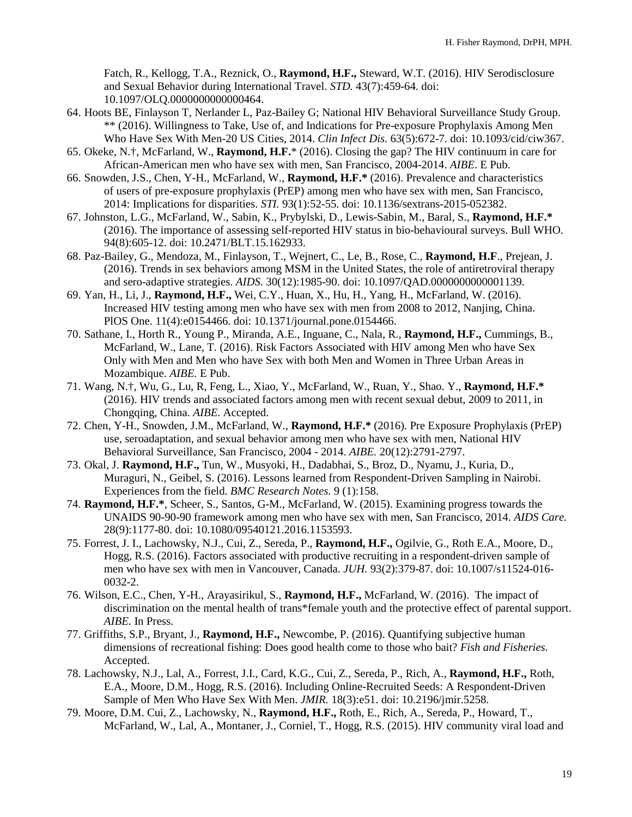Fatch, R., Kellogg, T.A., Reznick, O., **Raymond, H.F.,** Steward, W.T. (2016). HIV Serodisclosure and Sexual Behavior during International Travel. *STD.* 43(7):459-64. doi: 10.1097/OLQ.0000000000000464.

- 64. Hoots BE, Finlayson T, Nerlander L, Paz-Bailey G; National HIV Behavioral Surveillance Study Group. \*\* (2016). Willingness to Take, Use of, and Indications for Pre-exposure Prophylaxis Among Men Who Have Sex With Men-20 US Cities, 2014. *Clin Infect Dis*. 63(5):672-7. doi: 10.1093/cid/ciw367.
- 65. Okeke, N.†, McFarland, W., **Raymond, H.F.**\* (2016). Closing the gap? The HIV continuum in care for African-American men who have sex with men, San Francisco, 2004-2014. *AIBE*. E Pub.
- 66. Snowden, J.S., Chen, Y-H., McFarland, W., **Raymond, H.F.\*** (2016). Prevalence and characteristics of users of pre-exposure prophylaxis (PrEP) among men who have sex with men, San Francisco, 2014: Implications for disparities. *STI.* 93(1):52-55. doi: 10.1136/sextrans-2015-052382.
- 67. Johnston, L.G., McFarland, W., Sabin, K., Prybylski, D., Lewis-Sabin, M., Baral, S., **Raymond, H.F.\***  (2016). The importance of assessing self-reported HIV status in bio-behavioural surveys. Bull WHO. 94(8):605-12. doi: 10.2471/BLT.15.162933.
- 68. Paz-Bailey, G., Mendoza, M., Finlayson, T., Wejnert, C., Le, B., Rose, C., **Raymond, H.F**., Prejean, J. (2016). Trends in sex behaviors among MSM in the United States, the role of antiretroviral therapy and sero-adaptive strategies. *AIDS.* 30(12):1985-90. doi: 10.1097/QAD.0000000000001139.
- 69. Yan, H., Li, J., **Raymond, H.F.,** Wei, C.Y., Huan, X., Hu, H., Yang, H., McFarland, W. (2016). Increased HIV testing among men who have sex with men from 2008 to 2012, Nanjing, China. PlOS One. 11(4):e0154466. doi: 10.1371/journal.pone.0154466.
- 70. Sathane, I., Horth R., Young P., Miranda, A.E., Inguane, C., Nala, R., **Raymond, H.F.,** Cummings, B., McFarland, W., Lane, T. (2016). Risk Factors Associated with HIV among Men who have Sex Only with Men and Men who have Sex with both Men and Women in Three Urban Areas in Mozambique. *AIBE.* E Pub.
- 71. Wang, N.†, Wu, G., Lu, R, Feng, L., Xiao, Y., McFarland, W., Ruan, Y., Shao. Y., **Raymond, H.F.\*** (2016). HIV trends and associated factors among men with recent sexual debut, 2009 to 2011, in Chongqing, China. *AIBE.* Accepted.
- 72. Chen, Y-H., Snowden, J.M., McFarland, W., **Raymond, H.F.\*** (2016). Pre Exposure Prophylaxis (PrEP) use, seroadaptation, and sexual behavior among men who have sex with men, National HIV Behavioral Surveillance, San Francisco, 2004 - 2014. *AIBE.* 20(12):2791-2797.
- 73. Okal, J. **Raymond, H.F.,** Tun, W., Musyoki, H., Dadabhai, S., Broz, D., Nyamu, J., Kuria, D., Muraguri, N., Geibel, S. (2016). Lessons learned from Respondent-Driven Sampling in Nairobi. Experiences from the field. *BMC Research Notes.* 9 (1):158.
- 74. **Raymond, H.F.\***, Scheer, S., Santos, G-M., McFarland, W. (2015). Examining progress towards the UNAIDS 90-90-90 framework among men who have sex with men, San Francisco, 2014. *AIDS Care.*  28(9):1177-80. doi: 10.1080/09540121.2016.1153593.
- 75. Forrest, J. I., Lachowsky, N.J., Cui, Z., Sereda, P., **Raymond, H.F.,** Ogilvie, G., Roth E.A., Moore, D., Hogg, R.S. (2016). Factors associated with productive recruiting in a respondent-driven sample of men who have sex with men in Vancouver, Canada. *JUH.* 93(2):379-87. doi: 10.1007/s11524-016- 0032-2.
- 76. Wilson, E.C., Chen, Y-H., Arayasirikul, S., **Raymond, H.F.,** McFarland, W. (2016). The impact of discrimination on the mental health of trans\*female youth and the protective effect of parental support. *AIBE.* In Press.
- 77. Griffiths, S.P., Bryant, J., **Raymond, H.F.,** Newcombe, P. (2016). Quantifying subjective human dimensions of recreational fishing: Does good health come to those who bait? *Fish and Fisheries.* Accepted.
- 78. Lachowsky, N.J., Lal, A., Forrest, J.I., Card, K.G., Cui, Z., Sereda, P., Rich, A., **Raymond, H.F.,** Roth, E.A., Moore, D.M., Hogg, R.S. (2016). Including Online-Recruited Seeds: A Respondent-Driven Sample of Men Who Have Sex With Men. *JMIR.* 18(3):e51. doi: 10.2196/jmir.5258.
- 79. Moore, D.M. Cui, Z., Lachowsky, N., **Raymond, H.F.,** Roth, E., Rich, A., Sereda, P., Howard, T., McFarland, W., Lal, A., Montaner, J., Corniel, T., Hogg, R.S. (2015). HIV community viral load and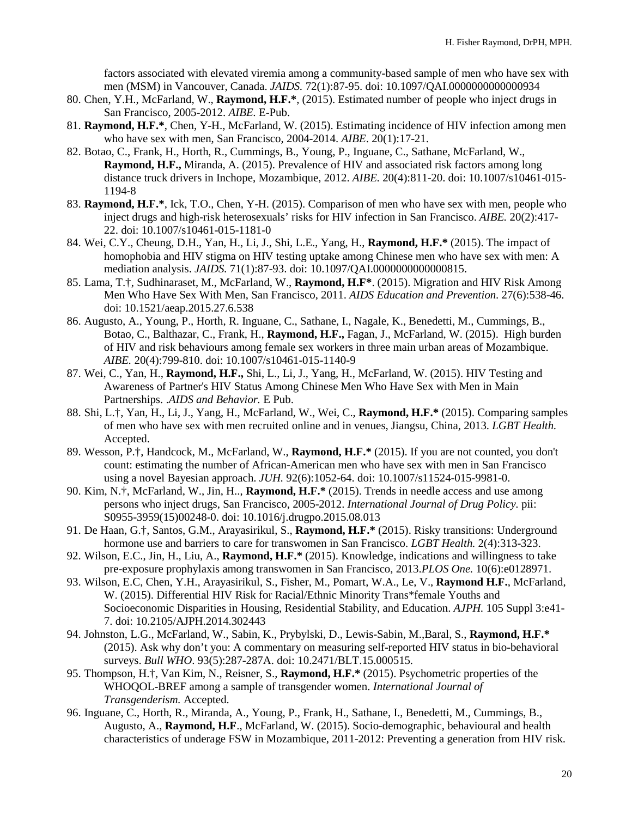factors associated with elevated viremia among a community-based sample of men who have sex with men (MSM) in Vancouver, Canada. *JAIDS.* 72(1):87-95. doi: 10.1097/QAI.0000000000000934

- 80. Chen, Y.H., McFarland, W., **Raymond, H.F.\***, (2015). Estimated number of people who inject drugs in San Francisco, 2005-2012. *AIBE.* E-Pub.
- 81. **Raymond, H.F.\***, Chen, Y-H., McFarland, W. (2015). Estimating incidence of HIV infection among men who have sex with men, San Francisco, 2004-2014. *AIBE*. 20(1):17-21.
- 82. Botao, C., Frank, H., Horth, R., Cummings, B., Young, P., Inguane, C., Sathane, McFarland, W., **Raymond, H.F.,** Miranda, A. (2015). Prevalence of HIV and associated risk factors among long distance truck drivers in Inchope, Mozambique, 2012. *AIBE.* 20(4):811-20. doi: 10.1007/s10461-015- 1194-8
- 83. **Raymond, H.F.\***, Ick, T.O., Chen, Y-H. (2015). Comparison of men who have sex with men, people who inject drugs and high-risk heterosexuals' risks for HIV infection in San Francisco. *AIBE.* 20(2):417- 22. doi: 10.1007/s10461-015-1181-0
- 84. Wei, C.Y., Cheung, D.H., Yan, H., Li, J., Shi, L.E., Yang, H., **Raymond, H.F.\*** (2015). The impact of homophobia and HIV stigma on HIV testing uptake among Chinese men who have sex with men: A mediation analysis. *JAIDS.* 71(1):87-93. doi: 10.1097/QAI.0000000000000815.
- 85. Lama, T.†, Sudhinaraset, M., McFarland, W., **Raymond, H.F\***. (2015). Migration and HIV Risk Among Men Who Have Sex With Men, San Francisco, 2011. *AIDS Education and Prevention*. 27(6):538-46. doi: 10.1521/aeap.2015.27.6.538
- 86. Augusto, A., Young, P., Horth, R. Inguane, C., Sathane, I., Nagale, K., Benedetti, M., Cummings, B., Botao, C., Balthazar, C., Frank, H., **Raymond, H.F.,** Fagan, J., McFarland, W. (2015). High burden of HIV and risk behaviours among female sex workers in three main urban areas of Mozambique. *AIBE.* 20(4):799-810. doi: 10.1007/s10461-015-1140-9
- 87. Wei, C., Yan, H., **Raymond, H.F.,** Shi, L., Li, J., Yang, H., McFarland, W. (2015). [HIV Testing and](http://www.ncbi.nlm.nih.gov/pubmed/26122649)  [Awareness of Partner's HIV Status Among Chinese Men Who Have Sex with Men in Main](http://www.ncbi.nlm.nih.gov/pubmed/26122649)  [Partnerships. .](http://www.ncbi.nlm.nih.gov/pubmed/26122649)*AIDS and Behavior.* E Pub.
- 88. Shi, L.†, Yan, H., Li, J., Yang, H., McFarland, W., Wei, C., **Raymond, H.F.\*** (2015). Comparing samples of men who have sex with men recruited online and in venues, Jiangsu, China, 2013. *LGBT Health.*  Accepted.
- 89. Wesson, P.†, Handcock, M., McFarland, W., **Raymond, H.F.\*** (2015). If you are not counted, you don't count: estimating the number of African-American men who have sex with men in San Francisco using a novel Bayesian approach. *JUH.* 92(6):1052-64. doi: 10.1007/s11524-015-9981-0.
- 90. Kim, N.†, McFarland, W., Jin, H.., **Raymond, H.F.\*** (2015). Trends in needle access and use among persons who inject drugs, San Francisco, 2005-2012. *International Journal of Drug Policy.* pii: S0955-3959(15)00248-0. doi: 10.1016/j.drugpo.2015.08.013
- 91. De Haan, G.†, Santos, G.M., Arayasirikul, S., **Raymond, H.F.\*** (2015). Risky transitions: Underground hormone use and barriers to care for transwomen in San Francisco. *LGBT Health.* 2(4):313-323.
- 92. Wilson, E.C., Jin, H., Liu, A., **Raymond, H.F.\*** (2015). Knowledge, indications and willingness to take pre-exposure prophylaxis among transwomen in San Francisco, 2013.*PLOS One.* 10(6):e0128971.
- 93. Wilson, E.C, Chen, Y.H., Arayasirikul, S., Fisher, M., Pomart, W.A., Le, V., **Raymond H.F.**, McFarland, W. (2015). D[ifferential HIV Risk for Racial/Ethnic Minority Trans\\*female Youths and](http://www.ncbi.nlm.nih.gov/pubmed/25905826)  [Socioeconomic Disparities in Housing, Residential Stability, and Education.](http://www.ncbi.nlm.nih.gov/pubmed/25905826) *AJPH.* 105 Suppl 3:e41- 7. doi: 10.2105/AJPH.2014.302443
- 94. Johnston, L.G., McFarland, W., Sabin, K., Prybylski, D., Lewis-Sabin, M.,Baral, S., **Raymond, H.F.\***  (2015). Ask why don't you: A commentary on measuring self-reported HIV status in bio-behavioral surveys. *Bull WHO*. 93(5):287-287A. doi: 10.2471/BLT.15.000515.
- 95. Thompson, H.†, Van Kim, N., Reisner, S., **Raymond, H.F.\*** (2015). Psychometric properties of the WHOQOL-BREF among a sample of transgender women. *International Journal of Transgenderism.* Accepted.
- 96. Inguane, C., Horth, R., Miranda, A., Young, P., Frank, H., Sathane, I., Benedetti, M., Cummings, B., Augusto, A., **Raymond, H.F**., McFarland, W. (2015). Socio-demographic, behavioural and health characteristics of underage FSW in Mozambique, 2011-2012: Preventing a generation from HIV risk.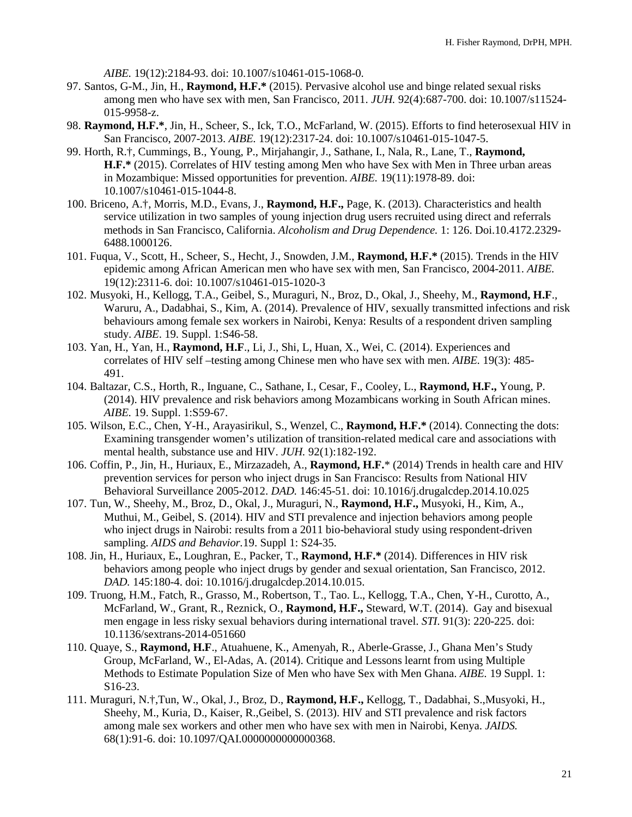*AIBE.* 19(12):2184-93. doi: 10.1007/s10461-015-1068-0.

- 97. Santos, G-M., Jin, H., **Raymond, H.F.\*** (2015). Pervasive alcohol use and binge related sexual risks among men who have sex with men, San Francisco, 2011. *JUH.* 92(4):687-700. doi: 10.1007/s11524- 015-9958-z.
- 98. **Raymond, H.F.\***, Jin, H., Scheer, S., Ick, T.O., McFarland, W. (2015). Efforts to find heterosexual HIV in San Francisco, 2007-2013. *AIBE.* 19(12):2317-24. doi: 10.1007/s10461-015-1047-5.
- 99. Horth, R.†, Cummings, B., Young, P., Mirjahangir, J., Sathane, I., Nala, R., Lane, T., **Raymond, H.F.\*** (2015). Correlates of HIV testing among Men who have Sex with Men in Three urban areas in Mozambique: Missed opportunities for prevention. *AIBE.* 19(11):1978-89. doi: 10.1007/s10461-015-1044-8.
- 100. Briceno, A.†, Morris, M.D., Evans, J., **Raymond, H.F.,** Page, K. (2013). Characteristics and health service utilization in two samples of young injection drug users recruited using direct and referrals methods in San Francisco, California. *Alcoholism and Drug Dependence.* 1: 126. Doi.10.4172.2329- 6488.1000126.
- 101. Fuqua, V., Scott, H., Scheer, S., Hecht, J., Snowden, J.M., **Raymond, H.F.\*** (2015). Trends in the HIV epidemic among African American men who have sex with men, San Francisco, 2004-2011. *AIBE.* 19(12):2311-6. doi: 10.1007/s10461-015-1020-3
- 102. Musyoki, H., Kellogg, T.A., Geibel, S., Muraguri, N., Broz, D., Okal, J., Sheehy, M., **Raymond, H.F**., Waruru, A., Dadabhai, S., Kim, A. (2014). Prevalence of HIV, sexually transmitted infections and risk behaviours among female sex workers in Nairobi, Kenya: Results of a respondent driven sampling study. *AIBE*. 19. Suppl. 1:S46-58.
- 103. Yan, H., Yan, H., **Raymond, H.F**., Li, J., Shi, L, Huan, X., Wei, C. (2014). Experiences and correlates of HIV self –testing among Chinese men who have sex with men. *AIBE.* 19(3): 485- 491.
- 104. Baltazar, C.S., Horth, R., Inguane, C., Sathane, I., Cesar, F., Cooley, L., **Raymond, H.F.,** Young, P. (2014). HIV prevalence and risk behaviors among Mozambicans working in South African mines. *AIBE.* 19. Suppl. 1:S59-67.
- 105. Wilson, E.C., Chen, Y-H., Arayasirikul, S., Wenzel, C., **Raymond, H.F.\*** (2014). Connecting the dots: Examining transgender women's utilization of transition-related medical care and associations with mental health, substance use and HIV. *JUH.* 92(1):182-192.
- 106. Coffin, P., Jin, H., Huriaux, E., Mirzazadeh, A., **Raymond, H.F.**\* (2014) Trends in health care and HIV prevention services for person who inject drugs in San Francisco: Results from National HIV Behavioral Surveillance 2005-2012. *DAD.* 146:45-51. doi: 10.1016/j.drugalcdep.2014.10.025
- 107. Tun, W., Sheehy, M., Broz, D., Okal, J., Muraguri, N., **Raymond, H.F.,** Musyoki, H., Kim, A., Muthui, M., Geibel, S. (2014). HIV and STI prevalence and injection behaviors among people who inject drugs in Nairobi: results from a 2011 bio-behavioral study using respondent-driven sampling. *AIDS and Behavior.*19. Suppl 1: S24-35.
- 108. Jin, H., Huriaux, E**.**, Loughran, E., Packer, T., **Raymond, H.F.\*** (2014). Differences in HIV risk behaviors among people who inject drugs by gender and sexual orientation, San Francisco, 2012. *DAD.* 145:180-4. doi: 10.1016/j.drugalcdep.2014.10.015.
- 109. Truong, H.M., Fatch, R., Grasso, M., Robertson, T., Tao. L., Kellogg, T.A., Chen, Y-H., Curotto, A., McFarland, W., Grant, R., Reznick, O., **Raymond, H.F.,** Steward, W.T. (2014). Gay and bisexual men engage in less risky sexual behaviors during international travel. *STI.* 91(3): 220-225. doi: 10.1136/sextrans-2014-051660
- 110. Quaye, S., **Raymond, H.F**., Atuahuene, K., Amenyah, R., Aberle-Grasse, J., Ghana Men's Study Group, McFarland, W., El-Adas, A. (2014). Critique and Lessons learnt from using Multiple Methods to Estimate Population Size of Men who have Sex with Men Ghana. *AIBE.* 19 Suppl. 1: S16-23.
- 111. Muraguri, N.†,Tun, W., Okal, J., Broz, D., **Raymond, H.F.,** Kellogg, T., Dadabhai, S.,Musyoki, H., Sheehy, M., Kuria, D., Kaiser, R.,Geibel, S. (2013). HIV and STI prevalence and risk factors among male sex workers and other men who have sex with men in Nairobi, Kenya. *JAIDS.* 68(1):91-6. doi: 10.1097/QAI.0000000000000368.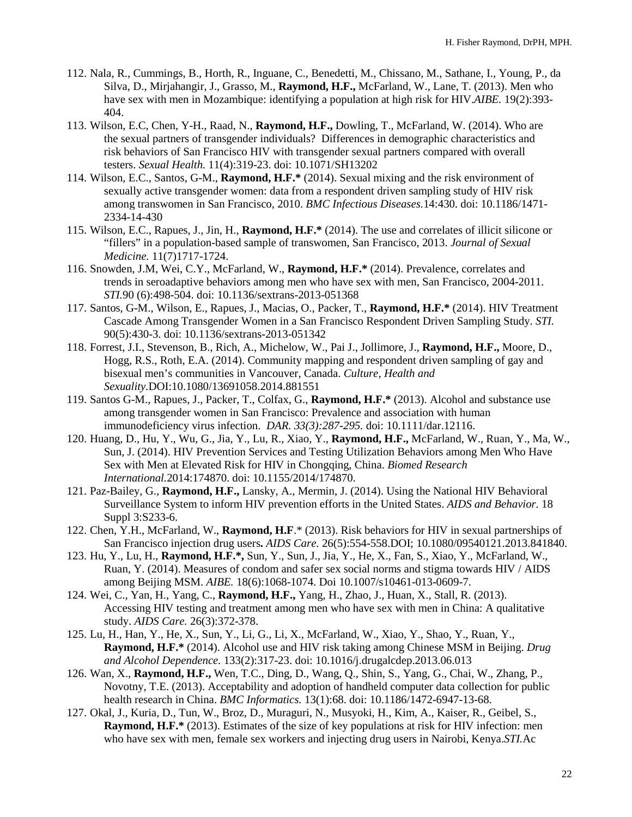- 112. Nala, R., Cummings, B., Horth, R., Inguane, C., Benedetti, M., Chissano, M., Sathane, I., Young, P., da Silva, D., Mirjahangir, J., Grasso, M., **Raymond, H.F.,** McFarland, W., Lane, T. (2013). Men who have sex with men in Mozambique: identifying a population at high risk for HIV.*AIBE.* 19(2):393- 404.
- 113. Wilson, E.C, Chen, Y-H., Raad, N., **Raymond, H.F.,** Dowling, T., McFarland, W. (2014). Who are the sexual partners of transgender individuals? Differences in demographic characteristics and risk behaviors of San Francisco HIV with transgender sexual partners compared with overall testers. *Sexual Health.* 11(4):319-23. doi: 10.1071/SH13202
- 114. Wilson, E.C., Santos, G-M., **Raymond, H.F.\*** (2014). Sexual mixing and the risk environment of sexually active transgender women: data from a respondent driven sampling study of HIV risk among transwomen in San Francisco, 2010. *BMC Infectious Diseases.*14:430. doi: 10.1186/1471- 2334-14-430
- 115. Wilson, E.C., Rapues, J., Jin, H., **Raymond, H.F.\*** (2014). The use and correlates of illicit silicone or "fillers" in a population-based sample of transwomen, San Francisco, 2013. *Journal of Sexual Medicine.* 11(7)1717-1724.
- 116. Snowden, J.M, Wei, C.Y., McFarland, W., **Raymond, H.F.\*** (2014). Prevalence, correlates and trends in seroadaptive behaviors among men who have sex with men, San Francisco, 2004-2011. *STI.*90 (6):498-504. doi: 10.1136/sextrans-2013-051368
- 117. Santos, G-M., Wilson, E., Rapues, J., Macias, O., Packer, T., **Raymond, H.F.\*** (2014). HIV Treatment Cascade Among Transgender Women in a San Francisco Respondent Driven Sampling Study. *STI.*  90(5):430-3. doi: 10.1136/sextrans-2013-051342
- 118. Forrest, J.I., Stevenson, B., Rich, A., Michelow, W., Pai J., Jollimore, J., **Raymond, H.F.,** Moore, D., Hogg, R.S., Roth, E.A. (2014). Community mapping and respondent driven sampling of gay and bisexual men's communities in Vancouver, Canada. *Culture, Health and Sexuality.*DOI:10.1080/13691058.2014.881551
- 119. Santos G-M., Rapues, J., Packer, T., Colfax, G., **Raymond, H.F.\*** (2013). Alcohol and substance use among transgender women in San Francisco: Prevalence and association with human immunodeficiency virus infection. *DAR. 33(3):287-295.* doi: 10.1111/dar.12116.
- 120. Huang, D., Hu, Y., Wu, G., Jia, Y., Lu, R., Xiao, Y., **Raymond, H.F.,** McFarland, W., Ruan, Y., Ma, W., Sun, J. (2014). HIV Prevention Services and Testing Utilization Behaviors among Men Who Have Sex with Men at Elevated Risk for HIV in Chongqing, China. *Biomed Research International.*2014:174870. doi: 10.1155/2014/174870.
- 121. Paz-Bailey, G., **Raymond, H.F.,** Lansky, A., Mermin, J. (2014). Using the National HIV Behavioral Surveillance System to inform HIV prevention efforts in the United States. *AIDS and Behavior.* 18 Suppl 3:S233-6.
- 122. Chen, Y.H., McFarland, W., **Raymond, H.F**.\* (2013). Risk behaviors for HIV in sexual partnerships of San Francisco injection drug users**.** *AIDS Care.* 26(5):554-558.DOI; 10.1080/09540121.2013.841840.
- 123. Hu, Y., Lu, H., **Raymond, H.F.\*,** Sun, Y., Sun, J., Jia, Y., He, X., Fan, S., Xiao, Y., McFarland, W., Ruan, Y. (2014). Measures of condom and safer sex social norms and stigma towards HIV / AIDS among Beijing MSM. *AIBE.* 18(6):1068-1074. Doi 10.1007/s10461-013-0609-7.
- 124. Wei, C., Yan, H., Yang, C., **Raymond, H.F.,** Yang, H., Zhao, J., Huan, X., Stall, R. (2013). Accessing HIV testing and treatment among men who have sex with men in China: A qualitative study. *AIDS Care.* 26(3):372-378.
- 125. Lu, H., Han, Y., He, X., Sun, Y., Li, G., Li, X., McFarland, W., Xiao, Y., Shao, Y., Ruan, Y., **Raymond, H.F.\*** (2014). Alcohol use and HIV risk taking among Chinese MSM in Beijing. *Drug and Alcohol Dependence.* 133(2):317-23. doi: 10.1016/j.drugalcdep.2013.06.013
- 126. Wan, X., **Raymond, H.F.,** Wen, T.C., Ding, D., Wang, Q., Shin, S., Yang, G., Chai, W., Zhang, P., Novotny, T.E. (2013). Acceptability and adoption of handheld computer data collection for public health research in China. *BMC Informatics.* 13(1):68. doi: 10.1186/1472-6947-13-68.
- 127. Okal, J., Kuria, D., Tun, W., Broz, D., Muraguri, N., Musyoki, H., Kim, A., Kaiser, R., Geibel, S., **Raymond, H.F.\*** (2013). Estimates of the size of key populations at risk for HIV infection: men who have sex with men, female sex workers and injecting drug users in Nairobi, Kenya.*STI.*Ac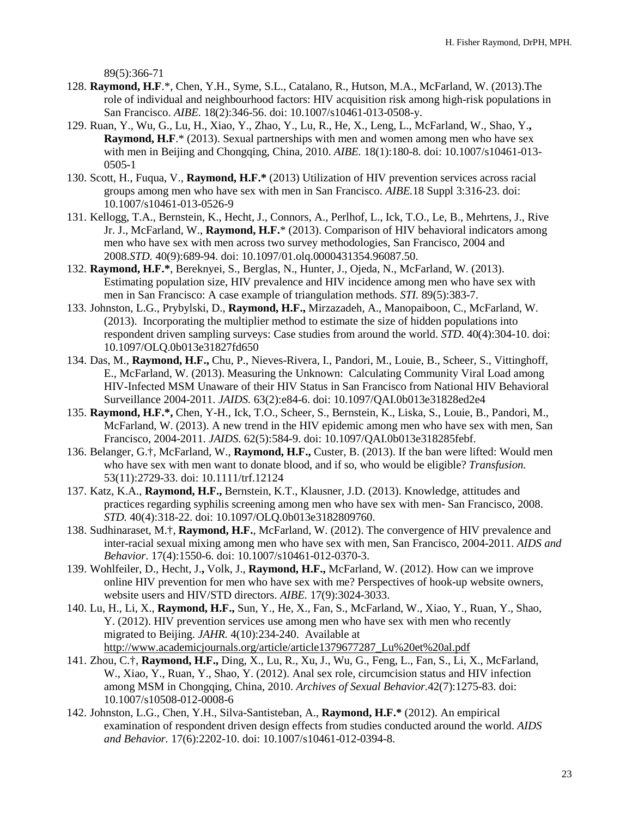89(5):366-71

- 128. **Raymond, H.F**.\*, Chen, Y.H., Syme, S.L., Catalano, R., Hutson, M.A., McFarland, W. (2013).The role of individual and neighbourhood factors: HIV acquisition risk among high-risk populations in San Francisco. *AIBE.* 18(2):346-56. doi: 10.1007/s10461-013-0508-y.
- 129. Ruan, Y., Wu, G., Lu, H., Xiao, Y., Zhao, Y., Lu, R., He, X., Leng, L., McFarland, W., Shao, Y.**, Raymond, H.F.**\* (2013). Sexual partnerships with men and women among men who have sex with men in Beijing and Chongqing, China, 2010. *AIBE.* 18(1):180-8. doi: 10.1007/s10461-013- 0505-1
- 130. Scott, H., Fuqua, V., **Raymond, H.F.\*** (2013) Utilization of HIV prevention services across racial groups among men who have sex with men in San Francisco. *AIBE.*18 Suppl 3:316-23. doi: 10.1007/s10461-013-0526-9
- 131. Kellogg, T.A., Bernstein, K., Hecht, J., Connors, A., Perlhof, L., Ick, T.O., Le, B., Mehrtens, J., Rive Jr. J., McFarland, W., **Raymond, H.F.**\* (2013). Comparison of HIV behavioral indicators among men who have sex with men across two survey methodologies, San Francisco, 2004 and 2008.*STD.* 40(9):689-94. doi: 10.1097/01.olq.0000431354.96087.50.
- 132. **Raymond, H.F.\***, Bereknyei, S., Berglas, N., Hunter, J., Ojeda, N., McFarland, W. (2013). Estimating population size, HIV prevalence and HIV incidence among men who have sex with men in San Francisco: A case example of triangulation methods. *STI.* 89(5):383-7.
- 133. Johnston, L.G., Prybylski, D., **Raymond, H.F.,** Mirzazadeh, A., Manopaiboon, C., McFarland, W. (2013). Incorporating the multiplier method to estimate the size of hidden populations into respondent driven sampling surveys: Case studies from around the world. *STD*. 40(4):304-10. doi: 10.1097/OLQ.0b013e31827fd650
- 134. Das, M., **Raymond, H.F.,** Chu, P., Nieves-Rivera, I., Pandori, M., Louie, B., Scheer, S., Vittinghoff, E., McFarland, W. (2013). Measuring the Unknown: Calculating Community Viral Load among HIV-Infected MSM Unaware of their HIV Status in San Francisco from National HIV Behavioral Surveillance 2004-2011. *JAIDS.* 63(2):e84-6. doi: 10.1097/QAI.0b013e31828ed2e4
- 135. **Raymond, H.F.\*,** Chen, Y-H., Ick, T.O., Scheer, S., Bernstein, K., Liska, S., Louie, B., Pandori, M., McFarland, W. (2013). A new trend in the HIV epidemic among men who have sex with men, San Francisco, 2004-2011. *JAIDS.* 62(5):584-9. doi: 10.1097/QAI.0b013e318285febf.
- 136. Belanger, G.†, McFarland, W., **Raymond, H.F.,** Custer, B. (2013). If the ban were lifted: Would men who have sex with men want to donate blood, and if so, who would be eligible? *Transfusion.* 53(11):2729-33. doi: 10.1111/trf.12124
- 137. Katz, K.A., **Raymond, H.F.,** Bernstein, K.T., Klausner, J.D. (2013). Knowledge, attitudes and practices regarding syphilis screening among men who have sex with men- San Francisco, 2008. *STD.* 40(4):318-22. doi: 10.1097/OLQ.0b013e3182809760.
- 138. Sudhinaraset, M.†, **Raymond, H.F.**, McFarland, W. (2012). The convergence of HIV prevalence and inter-racial sexual mixing among men who have sex with men, San Francisco, 2004-2011. *AIDS and Behavior*. 17(4):1550-6. doi: 10.1007/s10461-012-0370-3.
- 139. Wohlfeiler, D., Hecht, J.**,** Volk, J., **Raymond, H.F.,** McFarland, W. (2012). How can we improve online HIV prevention for men who have sex with me? Perspectives of hook-up website owners, website users and HIV/STD directors. *AIBE.* 17(9):3024-3033.
- 140. Lu, H., Li, X., **Raymond, H.F.,** Sun, Y., He, X., Fan, S., McFarland, W., Xiao, Y., Ruan, Y., Shao, Y. (2012). HIV prevention services use among men who have sex with men who recently migrated to Beijing. *JAHR.* 4(10):234-240. Available at [http://www.academicjournals.org/article/article1379677287\\_Lu%20et%20al.pdf](http://www.academicjournals.org/article/article1379677287_Lu%20et%20al.pdf)
- 141. Zhou, C.†, **Raymond, H.F.,** Ding, X., Lu, R., Xu, J., Wu, G., Feng, L., Fan, S., Li, X., McFarland, W., Xiao, Y., Ruan, Y., Shao, Y. (2012). Anal sex role, circumcision status and HIV infection among MSM in Chongqing, China, 2010. *Archives of Sexual Behavior.*42(7):1275-83. doi: 10.1007/s10508-012-0008-6
- 142. Johnston, L.G., Chen, Y.H., Silva-Santisteban, A., **Raymond, H.F.\*** (2012). An empirical examination of respondent driven design effects from studies conducted around the world. *AIDS and Behavior.* 17(6):2202-10. doi: 10.1007/s10461-012-0394-8.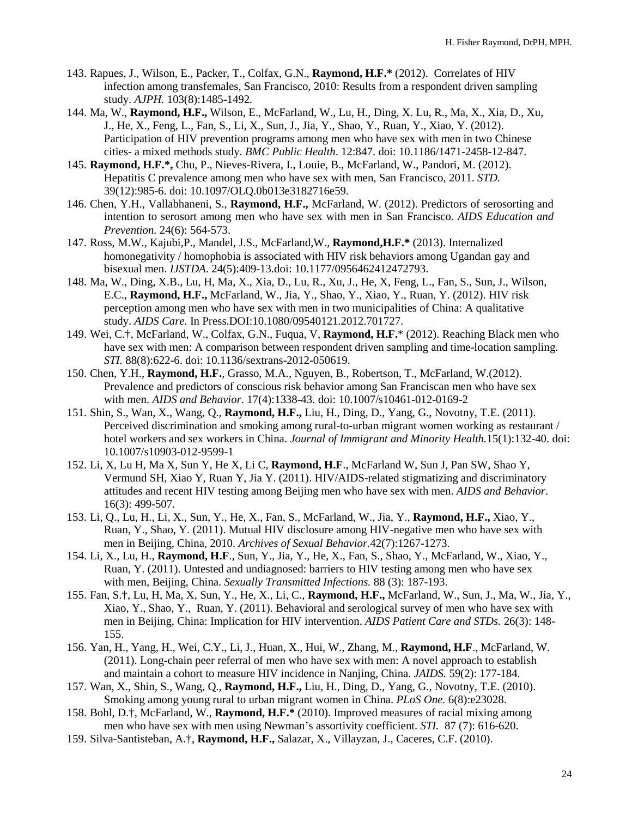- 143. Rapues, J., Wilson, E., Packer, T., Colfax, G.N., **Raymond, H.F.\*** (2012). Correlates of HIV infection among transfemales, San Francisco, 2010: Results from a respondent driven sampling study. *AJPH.* 103(8):1485-1492*.*
- 144. Ma, W., **Raymond, H.F.,** Wilson, E., McFarland, W., Lu, H., Ding, X. Lu, R., Ma, X., Xia, D., Xu, J., He, X., Feng, L., Fan, S., Li, X., Sun, J., Jia, Y., Shao, Y., Ruan, Y., Xiao, Y. (2012). Participation of HIV prevention programs among men who have sex with men in two Chinese cities- a mixed methods study. *BMC Public Health*. 12:847. doi: 10.1186/1471-2458-12-847.
- 145. **Raymond, H.F.\*,** Chu, P., Nieves-Rivera, I., Louie, B., McFarland, W., Pandori, M. (2012). Hepatitis C prevalence among men who have sex with men, San Francisco, 2011. *STD.* 39(12):985-6. doi: 10.1097/OLQ.0b013e3182716e59.
- 146. Chen, Y.H., Vallabhaneni, S., **Raymond, H.F.,** McFarland, W. (2012). Predictors of serosorting and intention to serosort among men who have sex with men in San Francisco. *AIDS Education and Prevention.* 24(6): 564-573.
- 147. Ross, M.W., Kajubi,P., Mandel, J.S., McFarland,W., **Raymond,H.F.\*** (2013). Internalized homonegativity / homophobia is associated with HIV risk behaviors among Ugandan gay and bisexual men. *IJSTDA*. 24(5):409-13.doi: 10.1177/0956462412472793.
- 148. Ma, W., Ding, X.B., Lu, H, Ma, X., Xia, D., Lu, R., Xu, J., He, X, Feng, L., Fan, S., Sun, J., Wilson, E.C., **Raymond, H.F.,** McFarland, W., Jia, Y., Shao, Y., Xiao, Y., Ruan, Y. (2012). HIV risk perception among men who have sex with men in two municipalities of China: A qualitative study. *AIDS Care.* In Press.DOI:10.1080/09540121.2012.701727.
- 149. Wei, C.†, McFarland, W., Colfax, G.N., Fuqua, V, **Raymond, H.F.**\* (2012). Reaching Black men who have sex with men: A comparison between respondent driven sampling and time-location sampling. *STI.* 88(8):622-6. doi: 10.1136/sextrans-2012-050619.
- 150. Chen, Y.H., **Raymond, H.F.**, Grasso, M.A., Nguyen, B., Robertson, T., McFarland, W.(2012). [Prevalence and predictors of conscious risk behavior among San Franciscan men who have sex](http://www.ncbi.nlm.nih.gov/pubmed/22392158)  [with men.](http://www.ncbi.nlm.nih.gov/pubmed/22392158) *AIDS and Behavior*. 17(4):1338-43. doi: 10.1007/s10461-012-0169-2
- 151. Shin, S., Wan, X., Wang, Q., **Raymond, H.F.,** Liu, H., Ding, D., Yang, G., Novotny, T.E. (2011). Perceived discrimination and smoking among rural-to-urban migrant women working as restaurant / hotel workers and sex workers in China. *Journal of Immigrant and Minority Health.*15(1):132-40. doi: 10.1007/s10903-012-9599-1
- 152. Li, X, Lu H, Ma X, Sun Y, He X, Li C, **Raymond, H.F**., McFarland W, Sun J, Pan SW, Shao Y, Vermund SH, Xiao Y, Ruan Y, Jia Y. (2011). HIV/AIDS-related stigmatizing and discriminatory attitudes and recent HIV testing among Beijing men who have sex with men. *AIDS and Behavior*. 16(3): 499-507.
- 153. Li, Q., Lu, H., Li, X., Sun, Y., He, X., Fan, S., McFarland, W., Jia, Y., **Raymond, H.F.,** Xiao, Y., Ruan, Y., Shao, Y. (2011). Mutual HIV disclosure among HIV-negative men who have sex with men in Beijing, China, 2010. *Archives of Sexual Behavior.*42(7):1267-1273.
- 154. Li, X., Lu, H., **Raymond, H.F**., Sun, Y., Jia, Y., He, X., Fan, S., Shao, Y., McFarland, W., Xiao, Y., Ruan, Y. (2011). Untested and undiagnosed: barriers to HIV testing among men who have sex with men, Beijing, China. *Sexually Transmitted Infections.* 88 (3): 187-193.
- 155. Fan, S.†, Lu, H, Ma, X, Sun, Y., He, X., Li, C., **Raymond, H.F.,** McFarland, W., Sun, J., Ma, W., Jia, Y., Xiao, Y., Shao, Y., Ruan, Y. (2011). Behavioral and serological survey of men who have sex with men in Beijing, China: Implication for HIV intervention. *AIDS Patient Care and STDs.* 26(3): 148- 155.
- 156. Yan, H., Yang, H., Wei, C.Y., Li, J., Huan, X., Hui, W., Zhang, M., **Raymond, H.F**., McFarland, W. (2011). Long-chain peer referral of men who have sex with men: A novel approach to establish and maintain a cohort to measure HIV incidence in Nanjing, China. *JAIDS.* 59(2): 177-184*.*
- 157. Wan, X., Shin, S., Wang, Q., **Raymond, H.F.,** Liu, H., Ding, D., Yang, G., Novotny, T.E. (2010). Smoking among young rural to urban migrant women in China. *PLoS One.* 6(8):e23028.
- 158. Bohl, D.†, McFarland, W., **Raymond, H.F.\*** (2010). Improved measures of racial mixing among men who have sex with men using Newman's assortivity coefficient. *STI.* 87 (7): 616-620.
- 159. Silva-Santisteban, A.†, **Raymond, H.F.,** Salazar, X., Villayzan, J., Caceres, C.F. (2010).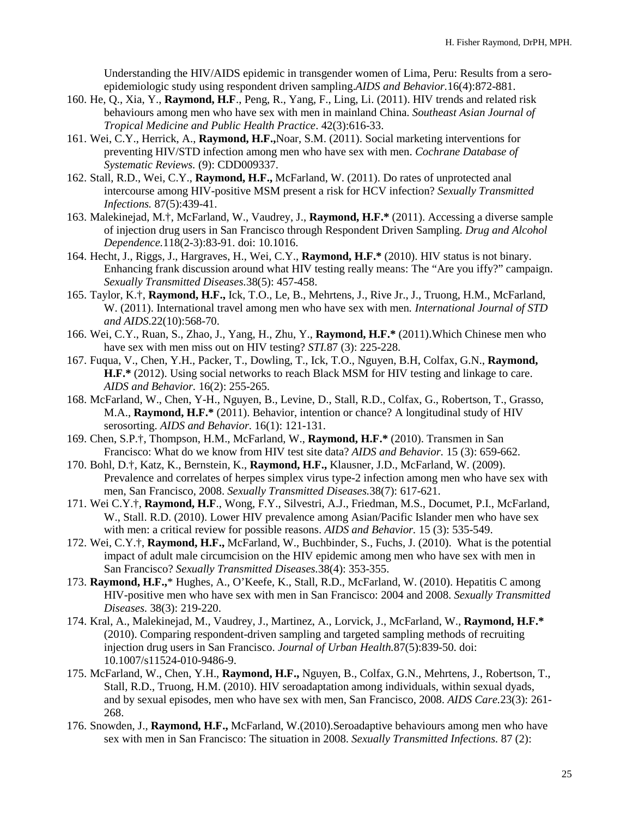Understanding the HIV/AIDS epidemic in transgender women of Lima, Peru: Results from a seroepidemiologic study using respondent driven sampling.*AIDS and Behavior.*16(4):872-881.

- 160. He, Q., Xia, Y., **Raymond, H.F**., Peng, R., Yang, F., Ling, Li. (2011). HIV trends and related risk behaviours among men who have sex with men in mainland China. *Southeast Asian Journal of Tropical Medicine and Public Health Practice*. 42(3):616-33.
- 161. Wei, C.Y., Herrick, A., **Raymond, H.F.,**Noar, S.M. (2011). Social marketing interventions for preventing HIV/STD infection among men who have sex with men. *Cochrane Database of Systematic Reviews.* (9): CDD009337.
- 162. Stall, R.D., Wei, C.Y., **Raymond, H.F.,** McFarland, W. (2011). Do rates of unprotected anal intercourse among HIV-positive MSM present a risk for HCV infection? *Sexually Transmitted Infections.* 87(5):439-41.
- 163. Malekinejad, M.†, McFarland, W., Vaudrey, J., **Raymond, H.F.\*** (2011). Accessing a diverse sample of injection drug users in San Francisco through Respondent Driven Sampling. *Drug and Alcohol Dependence.*118(2-3):83-91. doi: 10.1016.
- 164. Hecht, J., Riggs, J., Hargraves, H., Wei, C.Y., **Raymond, H.F.\*** (2010). HIV status is not binary. Enhancing frank discussion around what HIV testing really means: The "Are you iffy?" campaign. *Sexually Transmitted Diseases.*38(5): 457-458.
- 165. Taylor, K.†, **Raymond, H.F.,** Ick, T.O., Le, B., Mehrtens, J., Rive Jr., J., Truong, H.M., McFarland, W. (2011). International travel among men who have sex with men*. International Journal of STD and AIDS*.22(10):568-70.
- 166. Wei, C.Y., Ruan, S., Zhao, J., Yang, H., Zhu, Y., **Raymond, H.F.\*** (2011).Which Chinese men who have sex with men miss out on HIV testing? *STI.*87 (3): 225-228.
- 167. Fuqua, V., Chen, Y.H., Packer, T., Dowling, T., Ick, T.O., Nguyen, B.H, Colfax, G.N., **Raymond, H.F.\*** (2012). Using social networks to reach Black MSM for HIV testing and linkage to care. *AIDS and Behavior.* 16(2): 255-265.
- 168. McFarland, W., Chen, Y-H., Nguyen, B., Levine, D., Stall, R.D., Colfax, G., Robertson, T., Grasso, M.A., **Raymond, H.F.\*** (2011). Behavior, intention or chance? A longitudinal study of HIV serosorting. *AIDS and Behavior.* 16(1): 121-131.
- 169. Chen, S.P.†, Thompson, H.M., McFarland, W., **Raymond, H.F.\*** (2010). Transmen in San Francisco: What do we know from HIV test site data? *AIDS and Behavior.* 15 (3): 659-662.
- 170. Bohl, D.†, Katz, K., Bernstein, K., **Raymond, H.F.,** Klausner, J.D., McFarland, W. (2009). Prevalence and correlates of herpes simplex virus type-2 infection among men who have sex with men, San Francisco, 2008. *Sexually Transmitted Diseases.*38(7): 617-621.
- 171. Wei C.Y.†, **Raymond, H.F**., Wong, F.Y., Silvestri, A.J., Friedman, M.S., Documet, P.I., McFarland, W., Stall. R.D. (2010). Lower HIV prevalence among Asian/Pacific Islander men who have sex with men: a critical review for possible reasons. *AIDS and Behavior.* 15 (3): 535-549.
- 172. Wei, C.Y.†, **Raymond, H.F.,** McFarland, W., Buchbinder, S., Fuchs, J. (2010). What is the potential impact of adult male circumcision on the HIV epidemic among men who have sex with men in San Francisco? *Sexually Transmitted Diseases.*38(4): 353-355.
- 173. **Raymond, H.F.,**\* Hughes, A., O'Keefe, K., Stall, R.D., McFarland, W. (2010). Hepatitis C among HIV-positive men who have sex with men in San Francisco: 2004 and 2008. *Sexually Transmitted Diseases.* 38(3): 219-220.
- 174. Kral, A., Malekinejad, M., Vaudrey, J., Martinez, A., Lorvick, J., McFarland, W., **Raymond, H.F.\***  (2010). Comparing respondent-driven sampling and targeted sampling methods of recruiting injection drug users in San Francisco. *Journal of Urban Health.*87(5):839-50. doi: 10.1007/s11524-010-9486-9.
- 175. McFarland, W., Chen, Y.H., **Raymond, H.F.,** Nguyen, B., Colfax, G.N., Mehrtens, J., Robertson, T., Stall, R.D., Truong, H.M. (2010). HIV seroadaptation among individuals, within sexual dyads, and by sexual episodes, men who have sex with men, San Francisco, 2008. *AIDS Care.*23(3): 261- 268.
- 176. Snowden, J., **Raymond, H.F.,** McFarland, W.(2010).Seroadaptive behaviours among men who have sex with men in San Francisco: The situation in 2008. *Sexually Transmitted Infections.* 87 (2):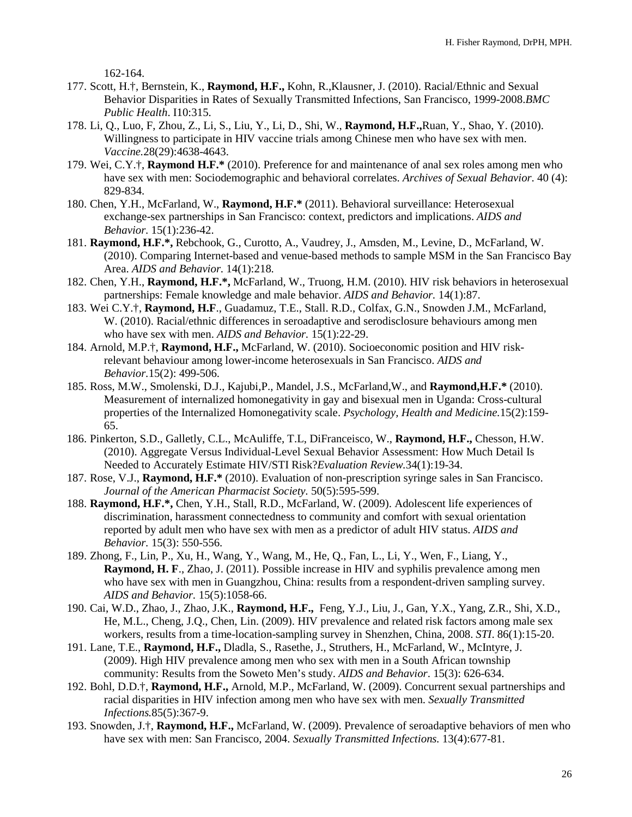162-164.

- 177. Scott, H.†, Bernstein, K., **Raymond, H.F.,** Kohn, R.,Klausner, J. (2010). Racial/Ethnic and Sexual Behavior Disparities in Rates of Sexually Transmitted Infections, San Francisco, 1999-2008.*BMC Public Health*. I10:315.
- 178. Li, Q., Luo, F, Zhou, Z., Li, S., Liu, Y., Li, D., Shi, W., **Raymond, H.F.,**Ruan, Y., Shao, Y. (2010). Willingness to participate in HIV vaccine trials among Chinese men who have sex with men. *Vaccine.*28(29):4638-4643.
- 179. Wei, C.Y.†, **Raymond H.F.\*** (2010). Preference for and maintenance of anal sex roles among men who have sex with men: Sociodemographic and behavioral correlates. *Archives of Sexual Behavior*. 40 (4): 829-834.
- 180. Chen, Y.H., McFarland, W., **Raymond, H.F.\*** (2011). Behavioral surveillance: Heterosexual exchange-sex partnerships in San Francisco: context, predictors and implications. *AIDS and Behavior.* 15(1):236-42.
- 181. **Raymond, H.F.\*,** Rebchook, G., Curotto, A., Vaudrey, J., Amsden, M., Levine, D., McFarland, W. (2010). Comparing Internet-based and venue-based methods to sample MSM in the San Francisco Bay Area. *AIDS and Behavior.* 14(1):218.
- 182. Chen, Y.H., **Raymond, H.F.\*,** McFarland, W., Truong, H.M. (2010). HIV risk behaviors in heterosexual partnerships: Female knowledge and male behavior. *AIDS and Behavior.* 14(1):87.
- 183. Wei C.Y.†, **Raymond, H.F**., Guadamuz, T.E., Stall. R.D., Colfax, G.N., Snowden J.M., McFarland, W. (2010). Racial/ethnic differences in seroadaptive and serodisclosure behaviours among men who have sex with men. *AIDS and Behavior*. 15(1):22-29.
- 184. Arnold, M.P.†, **Raymond, H.F.,** McFarland, W. (2010). Socioeconomic position and HIV riskrelevant behaviour among lower-income heterosexuals in San Francisco. *AIDS and Behavior.*15(2): 499-506.
- 185. Ross, M.W., Smolenski, D.J., Kajubi,P., Mandel, J.S., McFarland,W., and **Raymond,H.F.\*** (2010). Measurement of internalized homonegativity in gay and bisexual men in Uganda: Cross-cultural properties of the Internalized Homonegativity scale. *Psychology, Health and Medicine.*15(2):159- 65.
- 186. Pinkerton, S.D., Galletly, C.L., McAuliffe, T.L, DiFranceisco, W., **Raymond, H.F.,** Chesson, H.W. (2010). Aggregate Versus Individual-Level Sexual Behavior Assessment: How Much Detail Is Needed to Accurately Estimate HIV/STI Risk?*Evaluation Review.*34(1):19-34.
- 187. Rose, V.J., **Raymond, H.F.\*** (2010). Evaluation of non-prescription syringe sales in San Francisco. *Journal of the American Pharmacist Society.* 50(5):595-599.
- 188. **Raymond, H.F.\*,** Chen, Y.H., Stall, R.D., McFarland, W. (2009). Adolescent life experiences of discrimination, harassment connectedness to community and comfort with sexual orientation reported by adult men who have sex with men as a predictor of adult HIV status. *AIDS and Behavior.* 15(3): 550-556.
- 189. Zhong, F., Lin, P., Xu, H., Wang, Y., Wang, M., He, Q., Fan, L., Li, Y., Wen, F., Liang, Y., **Raymond, H. F**., Zhao, J. (2011). Possible increase in HIV and syphilis prevalence among men who have sex with men in Guangzhou, China: results from a respondent-driven sampling survey. *AIDS and Behavior.* 15(5):1058-66.
- 190. Cai, W.D., Zhao, J., Zhao, J.K., **Raymond, H.F.,** Feng, Y.J., Liu, J., Gan, Y.X., Yang, Z.R., Shi, X.D., He, M.L., Cheng, J.Q., Chen, Lin. (2009). HIV prevalence and related risk factors among male sex workers, results from a time-location-sampling survey in Shenzhen, China, 2008. *STI*. 86(1):15-20.
- 191. Lane, T.E., **Raymond, H.F.,** Dladla, S., Rasethe, J., Struthers, H., McFarland, W., McIntyre, J. (2009). High HIV prevalence among men who sex with men in a South African township community: Results from the Soweto Men's study. *AIDS and Behavior*. 15(3): 626-634.
- 192. Bohl, D.D.†, **Raymond, H.F.,** Arnold, M.P., McFarland, W. (2009). Concurrent sexual partnerships and racial disparities in HIV infection among men who have sex with men. *Sexually Transmitted Infections.*85(5):367-9.
- 193. Snowden, J.†, **Raymond, H.F.,** McFarland, W. (2009). Prevalence of seroadaptive behaviors of men who have sex with men: San Francisco, 2004. *Sexually Transmitted Infections.* 13(4):677-81.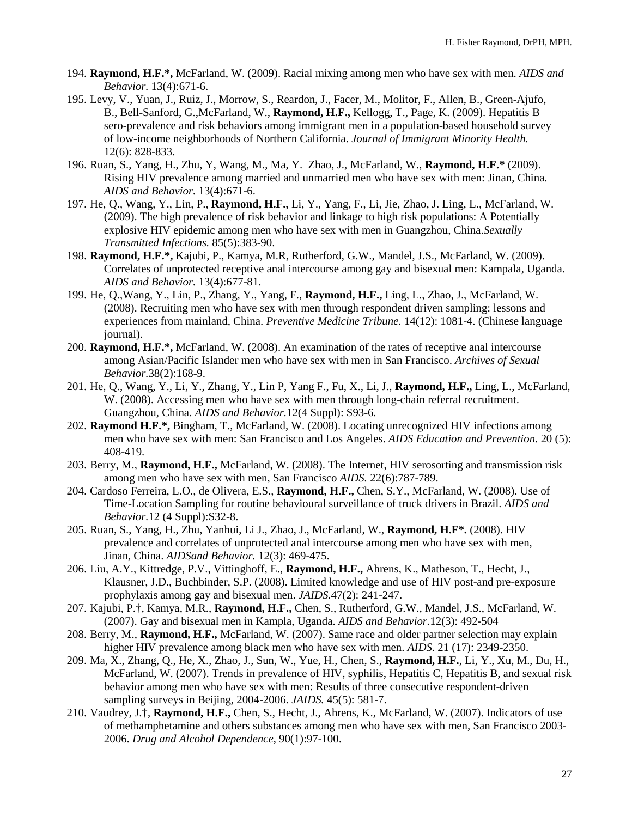- 194. **Raymond, H.F.\*,** McFarland, W. (2009). Racial mixing among men who have sex with men. *AIDS and Behavior.* 13(4):671-6.
- 195. Levy, V., Yuan, J., Ruiz, J., Morrow, S., Reardon, J., Facer, M., Molitor, F., Allen, B., Green-Ajufo, B., Bell-Sanford, G.,McFarland, W., **Raymond, H.F.,** Kellogg, T., Page, K. (2009). Hepatitis B sero-prevalence and risk behaviors among immigrant men in a population-based household survey of low-income neighborhoods of Northern California. *Journal of Immigrant Minority Health.* 12(6): 828-833.
- 196. Ruan, S., Yang, H., Zhu, Y, Wang, M., Ma, Y. Zhao, J., McFarland, W., **Raymond, H.F.\*** (2009). Rising HIV prevalence among married and unmarried men who have sex with men: Jinan, China. *AIDS and Behavior.* 13(4):671-6.
- 197. He, Q., Wang, Y., Lin, P., **Raymond, H.F.,** Li, Y., Yang, F., Li, Jie, Zhao, J. Ling, L., McFarland, W. (2009). The high prevalence of risk behavior and linkage to high risk populations: A Potentially explosive HIV epidemic among men who have sex with men in Guangzhou, China.*Sexually Transmitted Infections.* 85(5):383-90.
- 198. **Raymond, H.F.\*,** Kajubi, P., Kamya, M.R, Rutherford, G.W., Mandel, J.S., McFarland, W. (2009). Correlates of unprotected receptive anal intercourse among gay and bisexual men: Kampala, Uganda. *AIDS and Behavior.* 13(4):677-81.
- 199. He, Q.,Wang, Y., Lin, P., Zhang, Y., Yang, F., **Raymond, H.F.,** Ling, L., Zhao, J., McFarland, W. (2008). Recruiting men who have sex with men through respondent driven sampling: lessons and experiences from mainland, China. *Preventive Medicine Tribune.* 14(12): 1081-4. (Chinese language journal).
- 200. **Raymond, H.F.\*,** McFarland, W. (2008). An examination of the rates of receptive anal intercourse among Asian/Pacific Islander men who have sex with men in San Francisco. *Archives of Sexual Behavior.*38(2):168-9.
- 201. He, Q., Wang, Y., Li, Y., Zhang, Y., Lin P, Yang F., Fu, X., Li, J., **Raymond, H.F.,** Ling, L., McFarland, W. (2008). Accessing men who have sex with men through long-chain referral recruitment. Guangzhou, China. *AIDS and Behavior.*12(4 Suppl): S93-6.
- 202. **Raymond H.F.\*,** Bingham, T., McFarland, W. (2008). Locating unrecognized HIV infections among men who have sex with men: San Francisco and Los Angeles. *AIDS Education and Prevention.* 20 (5): 408-419.
- 203. Berry, M., **Raymond, H.F.,** McFarland, W. (2008). The Internet, HIV serosorting and transmission risk among men who have sex with men, San Francisco *AIDS.* 22(6):787-789.
- 204. Cardoso Ferreira, L.O., de Olivera, E.S., **Raymond, H.F.,** Chen, S.Y., McFarland, W. (2008). Use of Time-Location Sampling for routine behavioural surveillance of truck drivers in Brazil. *AIDS and Behavior.*12 (4 Suppl):S32-8.
- 205. Ruan, S., Yang, H., Zhu, Yanhui, Li J., Zhao, J., McFarland, W., **Raymond, H.F\*.** (2008). HIV prevalence and correlates of unprotected anal intercourse among men who have sex with men, Jinan, China. *AIDSand Behavior.* 12(3): 469-475.
- 206. Liu, A.Y., Kittredge, P.V., Vittinghoff, E., **Raymond, H.F.,** Ahrens, K., Matheson, T., Hecht, J., Klausner, J.D., Buchbinder, S.P. (2008). Limited knowledge and use of HIV post-and pre-exposure prophylaxis among gay and bisexual men. *JAIDS.*47(2): 241-247.
- 207. Kajubi, P.†, Kamya, M.R., **Raymond, H.F.,** Chen, S., Rutherford, G.W., Mandel, J.S., McFarland, W. (2007). Gay and bisexual men in Kampla, Uganda. *AIDS and Behavior.*12(3): 492-504
- 208. Berry, M., **Raymond, H.F.,** McFarland, W. (2007). Same race and older partner selection may explain higher HIV prevalence among black men who have sex with men. *AIDS.* 21 (17): 2349-2350.
- 209. Ma, X., Zhang, Q., He, X., Zhao, J., Sun, W., Yue, H., Chen, S., **Raymond, H.F.**, Li, Y., Xu, M., Du, H., McFarland, W. (2007). Trends in prevalence of HIV, syphilis, Hepatitis C, Hepatitis B, and sexual risk behavior among men who have sex with men: Results of three consecutive respondent-driven sampling surveys in Beijing, 2004-2006. *JAIDS.* 45(5): 581-7.
- 210. Vaudrey, J.†, **Raymond, H.F.,** Chen, S., Hecht, J., Ahrens, K., McFarland, W. (2007). Indicators of use of methamphetamine and others substances among men who have sex with men, San Francisco 2003- 2006. *Drug and Alcohol Dependence*, 90(1):97-100.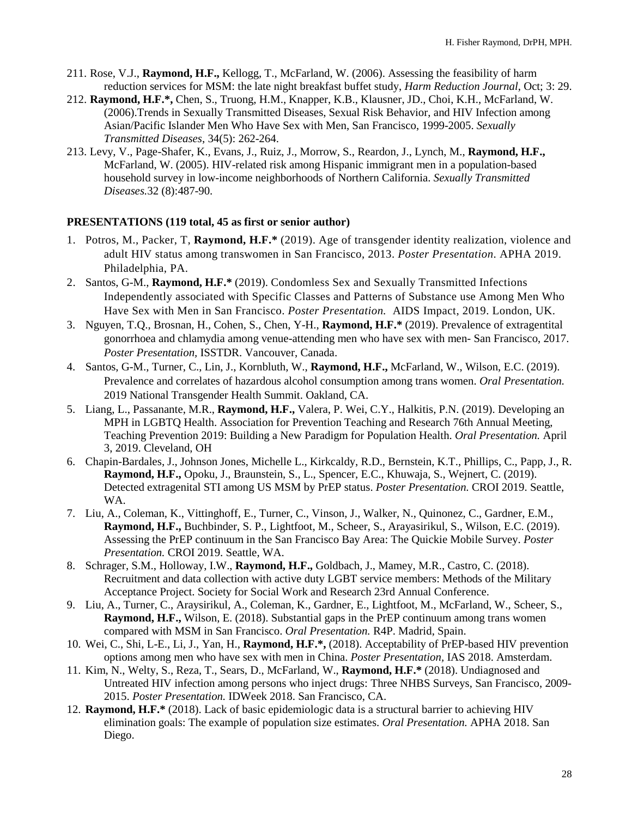- 211. Rose, V.J., **Raymond, H.F.,** Kellogg, T., McFarland, W. (2006). Assessing the feasibility of harm reduction services for MSM: the late night breakfast buffet study, *Harm Reduction Journal*, Oct; 3: 29.
- 212. **Raymond, H.F.\*,** Chen, S., Truong, H.M., Knapper, K.B., Klausner, JD., Choi, K.H., McFarland, W. (2006).Trends in Sexually Transmitted Diseases, Sexual Risk Behavior, and HIV Infection among Asian/Pacific Islander Men Who Have Sex with Men, San Francisco, 1999-2005. *Sexually Transmitted Diseases*, 34(5): 262-264.
- 213. Levy, V., Page-Shafer, K., Evans, J., Ruiz, J., Morrow, S., Reardon, J., Lynch, M., **Raymond, H.F.,** McFarland, W. (2005). HIV-related risk among Hispanic immigrant men in a population-based household survey in low-income neighborhoods of Northern California. *Sexually Transmitted Diseases.*32 (8):487-90.

#### **PRESENTATIONS (119 total, 45 as first or senior author)**

- 1. Potros, M., Packer, T, **Raymond, H.F.\*** (2019). Age of transgender identity realization, violence and adult HIV status among transwomen in San Francisco, 2013. *Poster Presentation*. APHA 2019. Philadelphia, PA.
- 2. Santos, G-M., **Raymond, H.F.\*** (2019). Condomless Sex and Sexually Transmitted Infections Independently associated with Specific Classes and Patterns of Substance use Among Men Who Have Sex with Men in San Francisco. *Poster Presentation.* AIDS Impact, 2019. London, UK.
- 3. Nguyen, T.Q., Brosnan, H., Cohen, S., Chen, Y-H., **Raymond, H.F.\*** (2019). Prevalence of extragentital gonorrhoea and chlamydia among venue-attending men who have sex with men- San Francisco, 2017. *Poster Presentation,* ISSTDR. Vancouver, Canada.
- 4. Santos, G-M., Turner, C., Lin, J., Kornbluth, W., **Raymond, H.F.,** McFarland, W., Wilson, E.C. (2019). Prevalence and correlates of hazardous alcohol consumption among trans women. *Oral Presentation.* 2019 National Transgender Health Summit. Oakland, CA.
- 5. Liang, L., Passanante, M.R., **Raymond, H.F.,** Valera, P. Wei, C.Y., Halkitis, P.N. (2019). Developing an MPH in LGBTQ Health. Association for Prevention Teaching and Research 76th Annual Meeting, Teaching Prevention 2019: Building a New Paradigm for Population Health. *Oral Presentation.* April 3, 2019. Cleveland, OH
- 6. Chapin-Bardales, J., Johnson Jones, Michelle L., Kirkcaldy, R.D., Bernstein, K.T., Phillips, C., Papp, J., R. **Raymond, H.F.,** Opoku, J., Braunstein, S., L., Spencer, E.C., Khuwaja, S., Wejnert, C. (2019). Detected extragenital STI among US MSM by PrEP status. *Poster Presentation.* CROI 2019. Seattle, WA.
- 7. Liu, A., Coleman, K., Vittinghoff, E., Turner, C., Vinson, J., Walker, N., Quinonez, C., Gardner, E.M., **Raymond, H.F.,** Buchbinder, S. P., Lightfoot, M., Scheer, S., Arayasirikul, S., Wilson, E.C. (2019). Assessing the PrEP continuum in the San Francisco Bay Area: The Quickie Mobile Survey. *Poster Presentation.* CROI 2019. Seattle, WA.
- 8. Schrager, S.M., Holloway, I.W., **Raymond, H.F.,** Goldbach, J., Mamey, M.R., Castro, C. (2018). Recruitment and data collection with active duty LGBT service members: Methods of the Military Acceptance Project. Society for Social Work and Research 23rd Annual Conference.
- 9. Liu, A., Turner, C., Araysirikul, A., Coleman, K., Gardner, E., Lightfoot, M., McFarland, W., Scheer, S., **Raymond, H.F.,** Wilson, E. (2018). Substantial gaps in the PrEP continuum among trans women compared with MSM in San Francisco. *Oral Presentation.* R4P. Madrid, Spain.
- 10. Wei, C., Shi, L-E., Li, J., Yan, H., **Raymond, H.F.\*,** (2018). Acceptability of PrEP-based HIV prevention options among men who have sex with men in China. *Poster Presentation,* IAS 2018. Amsterdam.
- 11. Kim, N., Welty, S., Reza, T., Sears, D., McFarland, W., **Raymond, H.F.\*** (2018). Undiagnosed and Untreated HIV infection among persons who inject drugs: Three NHBS Surveys, San Francisco, 2009- 2015. *Poster Presentation.* IDWeek 2018. San Francisco, CA.
- 12. **Raymond, H.F.\*** (2018). Lack of basic epidemiologic data is a structural barrier to achieving HIV elimination goals: The example of population size estimates. *Oral Presentation.* APHA 2018. San Diego.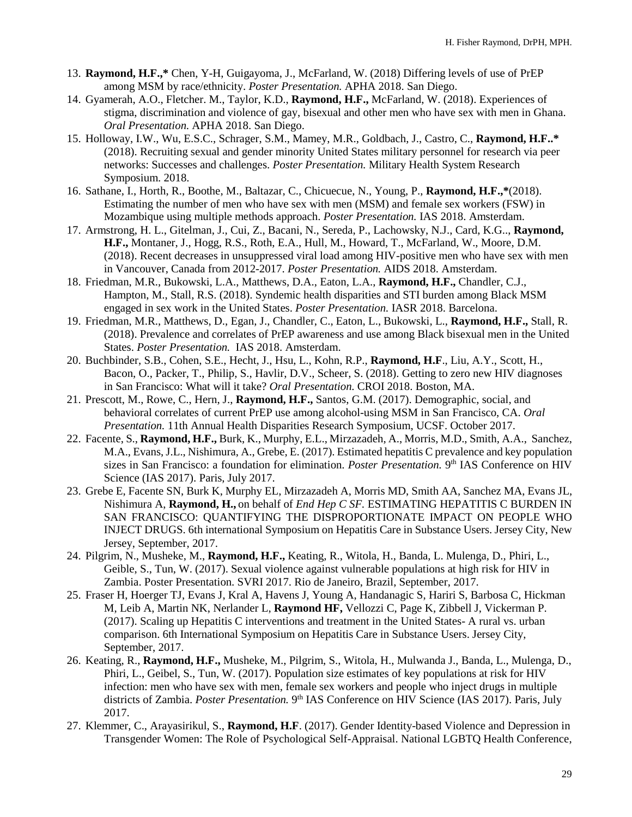- 13. **Raymond, H.F.,\*** Chen, Y-H, Guigayoma, J., McFarland, W. (2018) Differing levels of use of PrEP among MSM by race/ethnicity. *Poster Presentation.* APHA 2018. San Diego.
- 14. Gyamerah, A.O., Fletcher. M., Taylor, K.D., **Raymond, H.F.,** McFarland, W. (2018). Experiences of stigma, discrimination and violence of gay, bisexual and other men who have sex with men in Ghana. *Oral Presentation.* APHA 2018. San Diego.
- 15. Holloway, I.W., Wu, E.S.C., Schrager, S.M., Mamey, M.R., Goldbach, J., Castro, C., **Raymond, H.F..\*** (2018). Recruiting sexual and gender minority United States military personnel for research via peer networks: Successes and challenges. *Poster Presentation.* Military Health System Research Symposium. 2018.
- 16. Sathane, I., Horth, R., Boothe, M., Baltazar, C., Chicuecue, N., Young, P., **Raymond, H.F.,\***(2018). Estimating the number of men who have sex with men (MSM) and female sex workers (FSW) in Mozambique using multiple methods approach. *Poster Presentation.* IAS 2018. Amsterdam.
- 17. Armstrong, H. L., Gitelman, J., Cui, Z., Bacani, N., Sereda, P., Lachowsky, N.J., Card, K.G.., **Raymond, H.F.,** Montaner, J., Hogg, R.S., Roth, E.A., Hull, M., Howard, T., McFarland, W., Moore, D.M. (2018). Recent decreases in unsuppressed viral load among HIV-positive men who have sex with men in Vancouver, Canada from 2012-2017. *Poster Presentation.* AIDS 2018. Amsterdam.
- 18. Friedman, M.R., Bukowski, L.A., Matthews, D.A., Eaton, L.A., **Raymond, H.F.,** Chandler, C.J., Hampton, M., Stall, R.S. (2018). Syndemic health disparities and STI burden among Black MSM engaged in sex work in the United States. *Poster Presentation.* IASR 2018. Barcelona.
- 19. Friedman, M.R., Matthews, D., Egan, J., Chandler, C., Eaton, L., Bukowski, L., **Raymond, H.F.,** Stall, R. (2018). Prevalence and correlates of PrEP awareness and use among Black bisexual men in the United States. *Poster Presentation.* IAS 2018. Amsterdam.
- 20. Buchbinder, S.B., Cohen, S.E., Hecht, J., Hsu, L., Kohn, R.P., **Raymond, H.F**., Liu, A.Y., Scott, H., Bacon, O., Packer, T., Philip, S., Havlir, D.V., Scheer, S. (2018). Getting to zero new HIV diagnoses in San Francisco: What will it take? *Oral Presentation.* CROI 2018. Boston, MA.
- 21. Prescott, M., Rowe, C., Hern, J., **Raymond, H.F.,** Santos, G.M. (2017). Demographic, social, and behavioral correlates of current PrEP use among alcohol-using MSM in San Francisco, CA. *Oral Presentation.* 11th Annual Health Disparities Research Symposium, UCSF. October 2017.
- 22. Facente, S., **Raymond, H.F.,** Burk, K., Murphy, E.L., Mirzazadeh, A., Morris, M.D., Smith, A.A., Sanchez, M.A., Evans, J.L., Nishimura, A., Grebe, E. (2017). Estimated hepatitis C prevalence and key population sizes in San Francisco: a foundation for elimination. *Poster Presentation*. 9<sup>th</sup> IAS Conference on HIV Science (IAS 2017). Paris, July 2017.
- 23. Grebe E, Facente SN, Burk K, Murphy EL, Mirzazadeh A, Morris MD, Smith AA, Sanchez MA, Evans JL, Nishimura A, **Raymond, H.,** on behalf of *End Hep C SF.* ESTIMATING HEPATITIS C BURDEN IN SAN FRANCISCO: QUANTIFYING THE DISPROPORTIONATE IMPACT ON PEOPLE WHO INJECT DRUGS. 6th international Symposium on Hepatitis Care in Substance Users. Jersey City, New Jersey, September, 2017.
- 24. Pilgrim, N., Musheke, M., **Raymond, H.F.,** Keating, R., Witola, H., Banda, L. Mulenga, D., Phiri, L., Geible, S., Tun, W. (2017). Sexual violence against vulnerable populations at high risk for HIV in Zambia. Poster Presentation. SVRI 2017. Rio de Janeiro, Brazil, September, 2017.
- 25. Fraser H, Hoerger TJ, Evans J, Kral A, Havens J, Young A, Handanagic S, Hariri S, Barbosa C, Hickman M, Leib A, Martin NK, Nerlander L, **Raymond HF,** Vellozzi C, Page K, Zibbell J, Vickerman P. (2017). Scaling up Hepatitis C interventions and treatment in the United States- A rural vs. urban comparison. 6th International Symposium on Hepatitis Care in Substance Users. Jersey City, September, 2017.
- 26. Keating, R., **Raymond, H.F.,** Musheke, M., Pilgrim, S., Witola, H., Mulwanda J., Banda, L., Mulenga, D., Phiri, L., Geibel, S., Tun, W. (2017). Population size estimates of key populations at risk for HIV infection: men who have sex with men, female sex workers and people who inject drugs in multiple districts of Zambia. *Poster Presentation*. 9<sup>th</sup> IAS Conference on HIV Science (IAS 2017). Paris, July 2017.
- 27. Klemmer, C., Arayasirikul, S., **Raymond, H.F**. (2017). Gender Identity-based Violence and Depression in Transgender Women: The Role of Psychological Self-Appraisal. National LGBTQ Health Conference,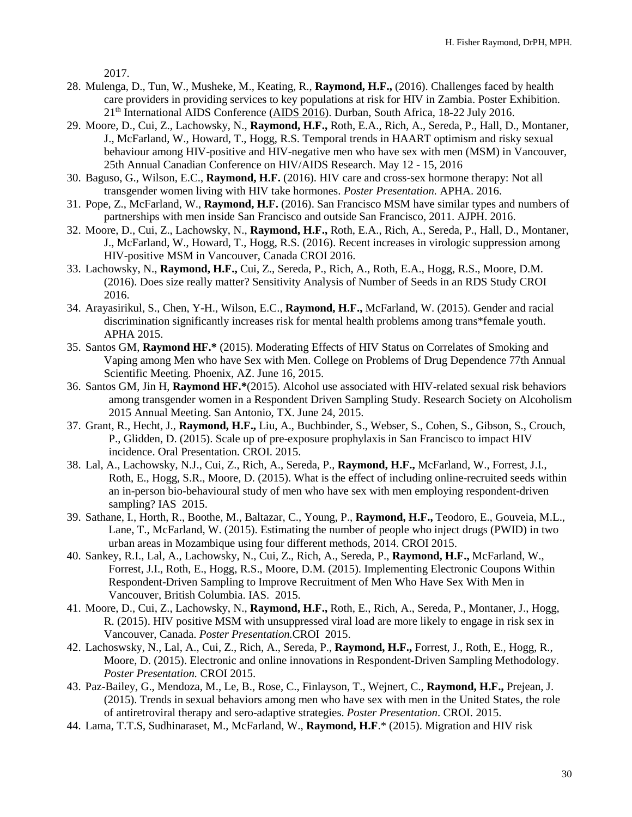2017.

- 28. Mulenga, D., Tun, W., Musheke, M., Keating, R., **Raymond, H.F.,** (2016). Challenges faced by health care providers in providing services to key populations at risk for HIV in Zambia. Poster Exhibition. 21th International AIDS Conference [\(AIDS 2016\)](http://www.aids2016.org/). Durban, South Africa, 18-22 July 2016.
- 29. Moore, D., Cui, Z., Lachowsky, N., **Raymond, H.F.,** Roth, E.A., Rich, A., Sereda, P., Hall, D., Montaner, J., McFarland, W., Howard, T., Hogg, R.S. Temporal trends in HAART optimism and risky sexual behaviour among HIV-positive and HIV-negative men who have sex with men (MSM) in Vancouver, 25th Annual Canadian Conference on HIV/AIDS Research. May 12 - 15, 2016
- 30. Baguso, G., Wilson, E.C., **Raymond, H.F.** (2016). HIV care and cross-sex hormone therapy: Not all transgender women living with HIV take hormones. *Poster Presentation.* APHA. 2016.
- 31. Pope, Z., McFarland, W., **Raymond, H.F.** (2016). San Francisco MSM have similar types and numbers of partnerships with men inside San Francisco and outside San Francisco, 2011. AJPH. 2016.
- 32. Moore, D., Cui, Z., Lachowsky, N., **Raymond, H.F.,** Roth, E.A., Rich, A., Sereda, P., Hall, D., Montaner, J., McFarland, W., Howard, T., Hogg, R.S. (2016). Recent increases in virologic suppression among HIV-positive MSM in Vancouver, Canada CROI 2016.
- 33. Lachowsky, N., **Raymond, H.F.,** Cui, Z., Sereda, P., Rich, A., Roth, E.A., Hogg, R.S., Moore, D.M. (2016). Does size really matter? Sensitivity Analysis of Number of Seeds in an RDS Study CROI 2016.
- 34. Arayasirikul, S., Chen, Y-H., Wilson, E.C., **Raymond, H.F.,** McFarland, W. (2015). Gender and racial discrimination significantly increases risk for mental health problems among trans\*female youth. APHA 2015.
- 35. Santos GM, **Raymond HF.\*** (2015). Moderating Effects of HIV Status on Correlates of Smoking and Vaping among Men who have Sex with Men. College on Problems of Drug Dependence 77th Annual Scientific Meeting. Phoenix, AZ. June 16, 2015.
- 36. Santos GM, Jin H, **Raymond HF.\***(2015). Alcohol use associated with HIV-related sexual risk behaviors among transgender women in a Respondent Driven Sampling Study. Research Society on Alcoholism 2015 Annual Meeting. San Antonio, TX. June 24, 2015.
- 37. Grant, R., Hecht, J., **Raymond, H.F.,** Liu, A., Buchbinder, S., Webser, S., Cohen, S., Gibson, S., Crouch, P., Glidden, D. (2015). Scale up of pre-exposure prophylaxis in San Francisco to impact HIV incidence. Oral Presentation. CROI. 2015.
- 38. Lal, A., Lachowsky, N.J., Cui, Z., Rich, A., Sereda, P., **Raymond, H.F.,** McFarland, W., Forrest, J.I., Roth, E., Hogg, S.R., Moore, D. (2015). What is the effect of including online-recruited seeds within an in-person bio-behavioural study of men who have sex with men employing respondent-driven sampling? IAS 2015.
- 39. Sathane, I., Horth, R., Boothe, M., Baltazar, C., Young, P., **Raymond, H.F.,** Teodoro, E., Gouveia, M.L., Lane, T., McFarland, W. (2015). Estimating the number of people who inject drugs (PWID) in two urban areas in Mozambique using four different methods, 2014. CROI 2015.
- 40. Sankey, R.I., Lal, A., Lachowsky, N., Cui, Z., Rich, A., Sereda, P., **Raymond, H.F.,** McFarland, W., Forrest, J.I., Roth, E., Hogg, R.S., Moore, D.M. (2015). Implementing Electronic Coupons Within Respondent-Driven Sampling to Improve Recruitment of Men Who Have Sex With Men in Vancouver, British Columbia. IAS. 2015.
- 41. Moore, D., Cui, Z., Lachowsky, N., **Raymond, H.F.,** Roth, E., Rich, A., Sereda, P., Montaner, J., Hogg, R. (2015). HIV positive MSM with unsuppressed viral load are more likely to engage in risk sex in Vancouver, Canada. *Poster Presentation.*CROI 2015.
- 42. Lachoswsky, N., Lal, A., Cui, Z., Rich, A., Sereda, P., **Raymond, H.F.,** Forrest, J., Roth, E., Hogg, R., Moore, D. (2015). Electronic and online innovations in Respondent-Driven Sampling Methodology. *Poster Presentation.* CROI 2015.
- 43. Paz-Bailey, G., Mendoza, M., Le, B., Rose, C., Finlayson, T., Wejnert, C., **Raymond, H.F.,** Prejean, J. (2015). Trends in sexual behaviors among men who have sex with men in the United States, the role of antiretroviral therapy and sero-adaptive strategies. *Poster Presentation*. CROI. 2015.
- 44. Lama, T.T.S, Sudhinaraset, M., McFarland, W., **Raymond, H.F**.\* (2015). Migration and HIV risk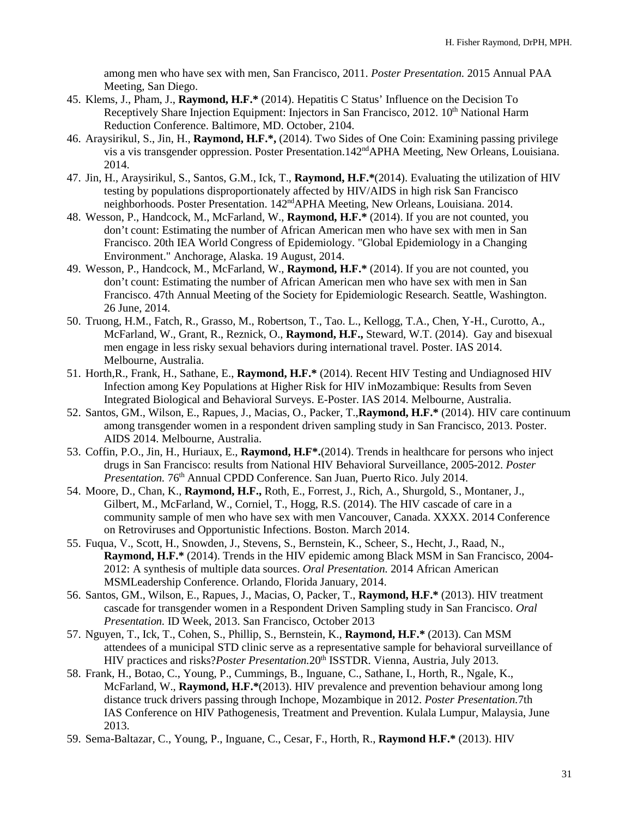among men who have sex with men, San Francisco, 2011. *Poster Presentation.* 2015 Annual PAA Meeting, San Diego.

- 45. Klems, J., Pham, J., **Raymond, H.F.\*** (2014). Hepatitis C Status' Influence on the Decision To Receptively Share Injection Equipment: Injectors in San Francisco, 2012. 10<sup>th</sup> National Harm Reduction Conference. Baltimore, MD. October, 2104.
- 46. Araysirikul, S., Jin, H., **Raymond, H.F.\*,** (2014). Two Sides of One Coin: Examining passing privilege vis a vis transgender oppression. Poster Presentation.142ndAPHA Meeting, New Orleans, Louisiana. 2014.
- 47. Jin, H., Araysirikul, S., Santos, G.M., Ick, T., **Raymond, H.F.\***(2014). Evaluating the utilization of HIV testing by populations disproportionately affected by HIV/AIDS in high risk San Francisco neighborhoods. Poster Presentation. 142<sup>nd</sup>APHA Meeting, New Orleans, Louisiana. 2014.
- 48. Wesson, P., Handcock, M., McFarland, W., **Raymond, H.F.\*** (2014). If you are not counted, you don't count: Estimating the number of African American men who have sex with men in San Francisco. 20th IEA World Congress of Epidemiology. "Global Epidemiology in a Changing Environment." Anchorage, Alaska. 19 August, 2014.
- 49. Wesson, P., Handcock, M., McFarland, W., **Raymond, H.F.\*** (2014). If you are not counted, you don't count: Estimating the number of African American men who have sex with men in San Francisco. 47th Annual Meeting of the Society for Epidemiologic Research. Seattle, Washington. 26 June, 2014.
- 50. Truong, H.M., Fatch, R., Grasso, M., Robertson, T., Tao. L., Kellogg, T.A., Chen, Y-H., Curotto, A., McFarland, W., Grant, R., Reznick, O., **Raymond, H.F.,** Steward, W.T. (2014). Gay and bisexual men engage in less risky sexual behaviors during international travel. Poster. IAS 2014. Melbourne, Australia.
- 51. Horth,R., Frank, H., Sathane, E., **Raymond, H.F.\*** (2014). Recent HIV Testing and Undiagnosed HIV Infection among Key Populations at Higher Risk for HIV inMozambique: Results from Seven Integrated Biological and Behavioral Surveys. E-Poster. IAS 2014. Melbourne, Australia.
- 52. Santos, GM., Wilson, E., Rapues, J., Macias, O., Packer, T.,**Raymond, H.F.\*** (2014). HIV care continuum among transgender women in a respondent driven sampling study in San Francisco, 2013. Poster. AIDS 2014. Melbourne, Australia.
- 53. Coffin, P.O., Jin, H., Huriaux, E., **Raymond, H.F\*.**(2014). Trends in healthcare for persons who inject drugs in San Francisco: results from National HIV Behavioral Surveillance, 2005-2012. *Poster Presentation.* 76<sup>th</sup> Annual CPDD Conference. San Juan, Puerto Rico. July 2014.
- 54. Moore, D., Chan, K., **Raymond, H.F.,** Roth, E., Forrest, J., Rich, A., Shurgold, S., Montaner, J., Gilbert, M., McFarland, W., Corniel, T., Hogg, R.S. (2014). The HIV cascade of care in a community sample of men who have sex with men Vancouver, Canada. XXXX. 2014 Conference on Retroviruses and Opportunistic Infections. Boston. March 2014.
- 55. Fuqua, V., Scott, H., Snowden, J., Stevens, S., Bernstein, K., Scheer, S., Hecht, J., Raad, N., **Raymond, H.F.\*** (2014). Trends in the HIV epidemic among Black MSM in San Francisco, 2004- 2012: A synthesis of multiple data sources. *Oral Presentation.* 2014 African American MSMLeadership Conference. Orlando, Florida January, 2014.
- 56. Santos, GM., Wilson, E., Rapues, J., Macias, O, Packer, T., **Raymond, H.F.\*** (2013). HIV treatment cascade for transgender women in a Respondent Driven Sampling study in San Francisco. *Oral Presentation.* ID Week, 2013. San Francisco, October 2013
- 57. Nguyen, T., Ick, T., Cohen, S., Phillip, S., Bernstein, K., **Raymond, H.F.\*** (2013). Can MSM attendees of a municipal STD clinic serve as a representative sample for behavioral surveillance of HIV practices and risks?*Poster Presentation*.20<sup>th</sup> ISSTDR. Vienna, Austria, July 2013.
- 58. Frank, H., Botao, C., Young, P., Cummings, B., Inguane, C., Sathane, I., Horth, R., Ngale, K., McFarland, W., **Raymond, H.F.\***(2013). HIV prevalence and prevention behaviour among long distance truck drivers passing through Inchope, Mozambique in 2012. *Poster Presentation.*7th IAS Conference on HIV Pathogenesis, Treatment and Prevention. Kulala Lumpur, Malaysia, June 2013.
- 59. Sema-Baltazar, C., Young, P., Inguane, C., Cesar, F., Horth, R., **Raymond H.F.\*** (2013). HIV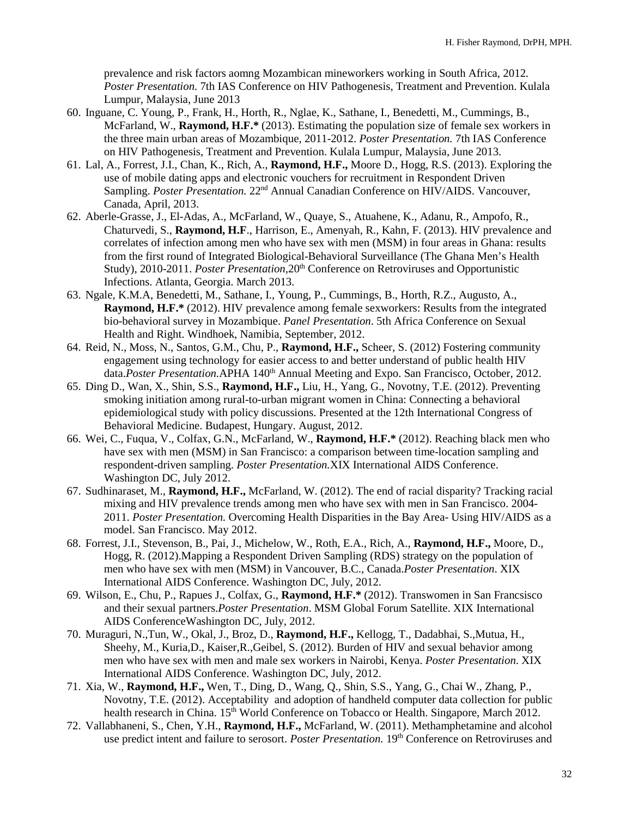prevalence and risk factors aomng Mozambican mineworkers working in South Africa, 2012. *Poster Presentation.* 7th IAS Conference on HIV Pathogenesis, Treatment and Prevention. Kulala Lumpur, Malaysia, June 2013

- 60. Inguane, C. Young, P., Frank, H., Horth, R., Nglae, K., Sathane, I., Benedetti, M., Cummings, B., McFarland, W., **Raymond, H.F.\*** (2013). Estimating the population size of female sex workers in the three main urban areas of Mozambique, 2011-2012. *Poster Presentation.* 7th IAS Conference on HIV Pathogenesis, Treatment and Prevention. Kulala Lumpur, Malaysia, June 2013.
- 61. Lal, A., Forrest, J.I., Chan, K., Rich, A., **Raymond, H.F.,** Moore D., Hogg, R.S. (2013). Exploring the use of mobile dating apps and electronic vouchers for recruitment in Respondent Driven Sampling. *Poster Presentation.* 22<sup>nd</sup> Annual Canadian Conference on HIV/AIDS. Vancouver, Canada, April, 2013.
- 62. Aberle-Grasse, J., El-Adas, A., McFarland, W., Quaye, S., Atuahene, K., Adanu, R., Ampofo, R., Chaturvedi, S., **Raymond, H.F**., Harrison, E., Amenyah, R., Kahn, F. (2013). HIV prevalence and correlates of infection among men who have sex with men (MSM) in four areas in Ghana: results from the first round of Integrated Biological-Behavioral Surveillance (The Ghana Men's Health Study), 2010-2011. *Poster Presentation*, 20<sup>th</sup> Conference on Retroviruses and Opportunistic Infections. Atlanta, Georgia. March 2013.
- 63. Ngale, K.M.A, Benedetti, M., Sathane, I., Young, P., Cummings, B., Horth, R.Z., Augusto, A., **Raymond, H.F.\*** (2012). HIV prevalence among female sexworkers: Results from the integrated bio-behavioral survey in Mozambique. *Panel Presentation*. 5th Africa Conference on Sexual Health and Right. Windhoek, Namibia, September, 2012.
- 64. Reid, N., Moss, N., Santos, G.M., Chu, P., **Raymond, H.F.,** Scheer, S. (2012) Fostering community engagement using technology for easier access to and better understand of public health HIV data.*Poster Presentation*.APHA 140<sup>th</sup> Annual Meeting and Expo. San Francisco, October, 2012.
- 65. Ding D., Wan, X., Shin, S.S., **Raymond, H.F.,** Liu, H., Yang, G., Novotny, T.E. (2012). Preventing smoking initiation among rural-to-urban migrant women in China: Connecting a behavioral epidemiological study with policy discussions. Presented at the 12th International Congress of Behavioral Medicine. Budapest, Hungary. August, 2012.
- 66. Wei, C., Fuqua, V., Colfax, G.N., McFarland, W., **Raymond, H.F.\*** (2012). Reaching black men who have sex with men (MSM) in San Francisco: a comparison between time-location sampling and respondent-driven sampling. *Poster Presentation.*XIX International AIDS Conference. Washington DC, July 2012.
- 67. Sudhinaraset, M., **Raymond, H.F.,** McFarland, W. (2012). The end of racial disparity? Tracking racial mixing and HIV prevalence trends among men who have sex with men in San Francisco. 2004- 2011. *Poster Presentation.* Overcoming Health Disparities in the Bay Area- Using HIV/AIDS as a model. San Francisco. May 2012.
- 68. Forrest, J.I., Stevenson, B., Pai, J., Michelow, W., Roth, E.A., Rich, A., **Raymond, H.F.,** Moore, D., Hogg, R. (2012).Mapping a Respondent Driven Sampling (RDS) strategy on the population of men who have sex with men (MSM) in Vancouver, B.C., Canada.*Poster Presentation*. XIX International AIDS Conference. Washington DC, July, 2012.
- 69. Wilson, E., Chu, P., Rapues J., Colfax, G., **Raymond, H.F.\*** (2012). Transwomen in San Francsisco and their sexual partners.*Poster Presentation*. MSM Global Forum Satellite. XIX International AIDS ConferenceWashington DC, July, 2012.
- 70. Muraguri, N.,Tun, W., Okal, J., Broz, D., **Raymond, H.F.,** Kellogg, T., Dadabhai, S.,Mutua, H., Sheehy, M., Kuria,D., Kaiser,R.,Geibel, S. (2012). Burden of HIV and sexual behavior among men who have sex with men and male sex workers in Nairobi, Kenya. *Poster Presentation*. XIX International AIDS Conference. Washington DC, July, 2012.
- 71. Xia, W., **Raymond, H.F.,** Wen, T., Ding, D., Wang, Q., Shin, S.S., Yang, G., Chai W., Zhang, P., Novotny, T.E. (2012). Acceptability and adoption of handheld computer data collection for public health research in China. 15<sup>th</sup> World Conference on Tobacco or Health. Singapore, March 2012.
- 72. Vallabhaneni, S., Chen, Y.H., **Raymond, H.F.,** McFarland, W. (2011). Methamphetamine and alcohol use predict intent and failure to serosort. *Poster Presentation.* 19th Conference on Retroviruses and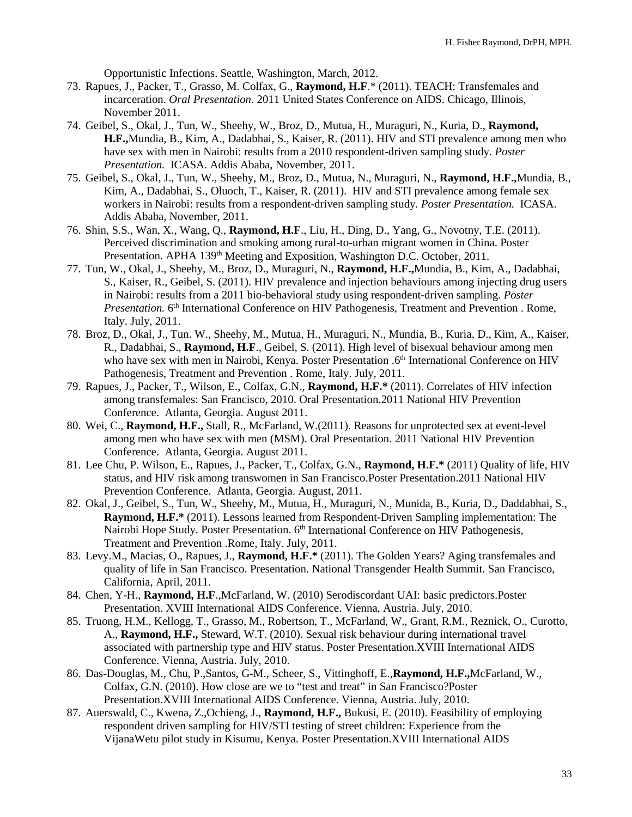Opportunistic Infections. Seattle, Washington, March, 2012.

- 73. Rapues, J., Packer, T., Grasso, M. Colfax, G., **Raymond, H.F**.\* (2011). TEACH: Transfemales and incarceration. *Oral Presentation*. 2011 United States Conference on AIDS. Chicago, Illinois, November 2011.
- 74. Geibel, S., Okal, J., Tun, W., Sheehy, W., Broz, D., Mutua, H., Muraguri, N., Kuria, D., **Raymond, H.F.,**Mundia, B., Kim, A., Dadabhai, S., Kaiser, R. (2011). HIV and STI prevalence among men who have sex with men in Nairobi: results from a 2010 respondent-driven sampling study. *Poster Presentation.* ICASA. Addis Ababa, November, 2011.
- 75. Geibel, S., Okal, J., Tun, W., Sheehy, M., Broz, D., Mutua, N., Muraguri, N., **Raymond, H.F.,**Mundia, B., Kim, A., Dadabhai, S., Oluoch, T., Kaiser, R. (2011). HIV and STI prevalence among female sex workers in Nairobi: results from a respondent-driven sampling study. *Poster Presentation.* ICASA. Addis Ababa, November, 2011.
- 76. Shin, S.S., Wan, X., Wang, Q., **Raymond, H.F**., Liu, H., Ding, D., Yang, G., Novotny, T.E. (2011). Perceived discrimination and smoking among rural-to-urban migrant women in China. Poster Presentation. APHA 139<sup>th</sup> Meeting and Exposition, Washington D.C. October, 2011.
- 77. Tun, W., Okal, J., Sheehy, M., Broz, D., Muraguri, N., **Raymond, H.F.,**Mundia, B., Kim, A., Dadabhai, S., Kaiser, R., Geibel, S. (2011). HIV prevalence and injection behaviours among injecting drug users in Nairobi: results from a 2011 bio-behavioral study using respondent-driven sampling. *Poster Presentation.* 6<sup>th</sup> International Conference on HIV Pathogenesis, Treatment and Prevention . Rome, Italy. July, 2011.
- 78. Broz, D., Okal, J., Tun. W., Sheehy, M., Mutua, H., Muraguri, N., Mundia, B., Kuria, D., Kim, A., Kaiser, R., Dadabhai, S., **Raymond, H.F**., Geibel, S. (2011). High level of bisexual behaviour among men who have sex with men in Nairobi, Kenya. Poster Presentation .6<sup>th</sup> International Conference on HIV Pathogenesis, Treatment and Prevention . Rome, Italy. July, 2011.
- 79. Rapues, J., Packer, T., Wilson, E., Colfax, G.N., **Raymond, H.F.\*** (2011). Correlates of HIV infection among transfemales: San Francisco, 2010. Oral Presentation.2011 National HIV Prevention Conference. Atlanta, Georgia. August 2011.
- 80. Wei, C., **Raymond, H.F.,** Stall, R., McFarland, W.(2011). Reasons for unprotected sex at event-level among men who have sex with men (MSM). Oral Presentation. 2011 National HIV Prevention Conference. Atlanta, Georgia. August 2011.
- 81. Lee Chu, P. Wilson, E., Rapues, J., Packer, T., Colfax, G.N., **Raymond, H.F.\*** (2011) Quality of life, HIV status, and HIV risk among transwomen in San Francisco.Poster Presentation.2011 National HIV Prevention Conference. Atlanta, Georgia. August, 2011.
- 82. Okal, J., Geibel, S., Tun, W., Sheehy, M., Mutua, H., Muraguri, N., Munida, B., Kuria, D., Daddabhai, S., **Raymond, H.F.\*** (2011). Lessons learned from Respondent-Driven Sampling implementation: The Nairobi Hope Study. Poster Presentation. 6<sup>th</sup> International Conference on HIV Pathogenesis, Treatment and Prevention .Rome, Italy. July, 2011.
- 83. Levy.M., Macias, O., Rapues, J., **Raymond, H.F.\*** (2011). The Golden Years? Aging transfemales and quality of life in San Francisco. Presentation. National Transgender Health Summit. San Francisco, California, April, 2011.
- 84. Chen, Y-H., **Raymond, H.F**.,McFarland, W. (2010) Serodiscordant UAI: basic predictors.Poster Presentation. XVIII International AIDS Conference. Vienna, Austria. July, 2010.
- 85. Truong, H.M., Kellogg, T., Grasso, M., Robertson, T., McFarland, W., Grant, R.M., Reznick, O., Curotto, A., **Raymond, H.F.,** Steward, W.T. (2010). Sexual risk behaviour during international travel associated with partnership type and HIV status. Poster Presentation.XVIII International AIDS Conference. Vienna, Austria. July, 2010.
- 86. Das-Douglas, M., Chu, P.,Santos, G-M., Scheer, S., Vittinghoff, E.,**Raymond, H.F.,**McFarland, W., Colfax, G.N. (2010). How close are we to "test and treat" in San Francisco?Poster Presentation.XVIII International AIDS Conference. Vienna, Austria. July, 2010.
- 87. Auerswald, C., Kwena, Z.,Ochieng, J., **Raymond, H.F.,** Bukusi, E. (2010). Feasibility of employing respondent driven sampling for HIV/STI testing of street children: Experience from the VijanaWetu pilot study in Kisumu, Kenya. Poster Presentation.XVIII International AIDS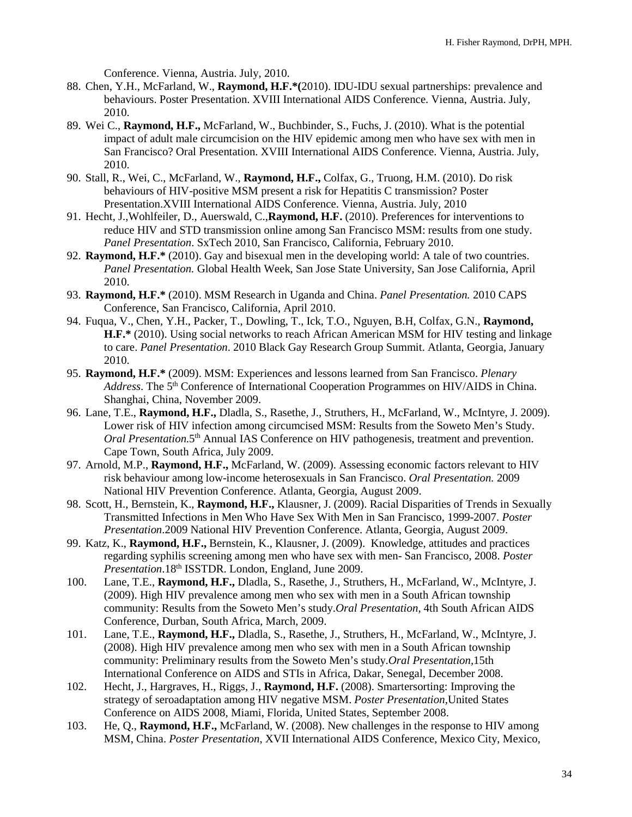Conference. Vienna, Austria. July, 2010.

- 88. Chen, Y.H., McFarland, W., **Raymond, H.F.\*(**2010). IDU-IDU sexual partnerships: prevalence and behaviours. Poster Presentation. XVIII International AIDS Conference. Vienna, Austria. July, 2010.
- 89. Wei C., **Raymond, H.F.,** McFarland, W., Buchbinder, S., Fuchs, J. (2010). What is the potential impact of adult male circumcision on the HIV epidemic among men who have sex with men in San Francisco? Oral Presentation. XVIII International AIDS Conference. Vienna, Austria. July, 2010.
- 90. Stall, R., Wei, C., McFarland, W., **Raymond, H.F.,** Colfax, G., Truong, H.M. (2010). Do risk behaviours of HIV-positive MSM present a risk for Hepatitis C transmission? Poster Presentation.XVIII International AIDS Conference. Vienna, Austria. July, 2010
- 91. Hecht, J.,Wohlfeiler, D., Auerswald, C.,**Raymond, H.F.** (2010). Preferences for interventions to reduce HIV and STD transmission online among San Francisco MSM: results from one study. *Panel Presentation*. SxTech 2010, San Francisco, California, February 2010.
- 92. **Raymond, H.F.\*** (2010). Gay and bisexual men in the developing world: A tale of two countries. *Panel Presentation.* Global Health Week, San Jose State University, San Jose California, April 2010.
- 93. **Raymond, H.F.\*** (2010). MSM Research in Uganda and China. *Panel Presentation.* 2010 CAPS Conference, San Francisco, California, April 2010.
- 94. Fuqua, V., Chen, Y.H., Packer, T., Dowling, T., Ick, T.O., Nguyen, B.H, Colfax, G.N., **Raymond, H.F.\*** (2010). Using social networks to reach African American MSM for HIV testing and linkage to care. *Panel Presentation*. 2010 Black Gay Research Group Summit. Atlanta, Georgia, January 2010.
- 95. **Raymond, H.F.\*** (2009). MSM: Experiences and lessons learned from San Francisco. *Plenary*  Address. The 5<sup>th</sup> Conference of International Cooperation Programmes on HIV/AIDS in China. Shanghai, China, November 2009.
- 96. Lane, T.E., **Raymond, H.F.,** Dladla, S., Rasethe, J., Struthers, H., McFarland, W., McIntyre, J. 2009). Lower risk of HIV infection among circumcised MSM: Results from the Soweto Men's Study. *Oral Presentation.*5th Annual IAS Conference on HIV pathogenesis, treatment and prevention. Cape Town, South Africa, July 2009.
- 97. Arnold, M.P., **Raymond, H.F.,** McFarland, W. (2009). Assessing economic factors relevant to HIV risk behaviour among low-income heterosexuals in San Francisco. *Oral Presentation.* 2009 National HIV Prevention Conference. Atlanta, Georgia, August 2009.
- 98. Scott, H., Bernstein, K., **Raymond, H.F.,** Klausner, J. (2009). Racial Disparities of Trends in Sexually Transmitted Infections in Men Who Have Sex With Men in San Francisco, 1999-2007. *Poster Presentation*.2009 National HIV Prevention Conference. Atlanta, Georgia, August 2009.
- 99. Katz, K., **Raymond, H.F.,** Bernstein, K., Klausner, J. (2009). Knowledge, attitudes and practices regarding syphilis screening among men who have sex with men- San Francisco, 2008. *Poster Presentation*.18th ISSTDR. London, England, June 2009.
- 100. Lane, T.E., **Raymond, H.F.,** Dladla, S., Rasethe, J., Struthers, H., McFarland, W., McIntyre, J. (2009). High HIV prevalence among men who sex with men in a South African township community: Results from the Soweto Men's study.*Oral Presentation*, 4th South African AIDS Conference, Durban, South Africa, March, 2009.
- 101. Lane, T.E., **Raymond, H.F.,** Dladla, S., Rasethe, J., Struthers, H., McFarland, W., McIntyre, J. (2008). High HIV prevalence among men who sex with men in a South African township community: Preliminary results from the Soweto Men's study.*Oral Presentation,*15th International Conference on AIDS and STIs in Africa, Dakar, Senegal, December 2008.
- 102. Hecht, J., Hargraves, H., Riggs, J., **Raymond, H.F.** (2008). Smartersorting: Improving the strategy of seroadaptation among HIV negative MSM. *Poster Presentation,*United States Conference on AIDS 2008, Miami, Florida, United States, September 2008.
- 103. He, Q., **Raymond, H.F.,** McFarland, W. (2008). New challenges in the response to HIV among MSM, China. *Poster Presentation*, XVII International AIDS Conference, Mexico City, Mexico,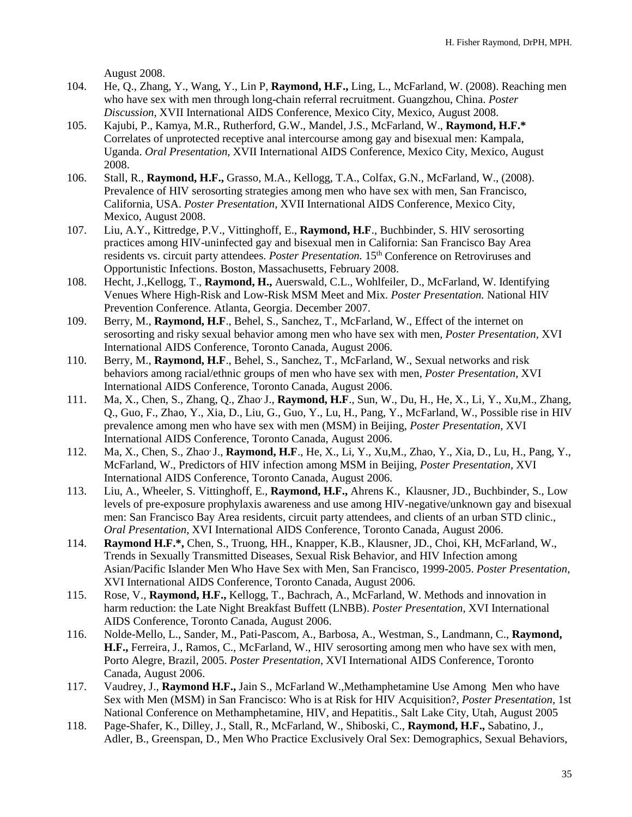August 2008.

- 104. He, Q., Zhang, Y., Wang, Y., Lin P, **Raymond, H.F.,** Ling, L., McFarland, W. (2008). Reaching men who have sex with men through long-chain referral recruitment. Guangzhou, China. *Poster Discussion,* XVII International AIDS Conference, Mexico City, Mexico, August 2008.
- 105. Kajubi, P., Kamya, M.R., Rutherford, G.W., Mandel, J.S., McFarland, W., **Raymond, H.F.\*** Correlates of unprotected receptive anal intercourse among gay and bisexual men: Kampala, Uganda. *Oral Presentation,* XVII International AIDS Conference, Mexico City, Mexico, August 2008.
- 106. Stall, R., **Raymond, H.F.,** Grasso, M.A., Kellogg, T.A., Colfax, G.N., McFarland, W., (2008). Prevalence of HIV serosorting strategies among men who have sex with men, San Francisco, California, USA. *Poster Presentation,* XVII International AIDS Conference, Mexico City, Mexico, August 2008.
- 107. Liu, A.Y., Kittredge, P.V., Vittinghoff, E., **Raymond, H.F**., Buchbinder, S. HIV serosorting practices among HIV-uninfected gay and bisexual men in California: San Francisco Bay Area residents vs. circuit party attendees. *Poster Presentation*. 15<sup>th</sup> Conference on Retroviruses and Opportunistic Infections. Boston, Massachusetts, February 2008.
- 108. Hecht, J.,Kellogg, T., **Raymond, H.,** Auerswald, C.L., Wohlfeiler, D., McFarland, W. Identifying Venues Where High-Risk and Low-Risk MSM Meet and Mix. *Poster Presentation.* National HIV Prevention Conference. Atlanta, Georgia. December 2007.
- 109. Berry, M., **Raymond, H.F**., Behel, S., Sanchez, T., McFarland, W., Effect of the internet on serosorting and risky sexual behavior among men who have sex with men, *Poster Presentation,* XVI International AIDS Conference, Toronto Canada, August 2006.
- 110. Berry, M., **Raymond, H.F**., Behel, S., Sanchez, T., McFarland, W., Sexual networks and risk behaviors among racial/ethnic groups of men who have sex with men, *Poster Presentation,* XVI International AIDS Conference, Toronto Canada, August 2006.
- 111. Ma, X., Chen, S., Zhang, Q., Zhao, J., **Raymond, H.F**., Sun, W., Du, H., He, X., Li, Y., Xu,M., Zhang, Q., Guo, F., Zhao, Y., Xia, D., Liu, G., Guo, Y., Lu, H., Pang, Y., McFarland, W., Possible rise in HIV prevalence among men who have sex with men (MSM) in Beijing, *Poster Presentation,* XVI International AIDS Conference, Toronto Canada, August 2006.
- 112. Ma, X., Chen, S., Zhao, J., **Raymond, H.F**., He, X., Li, Y., Xu,M., Zhao, Y., Xia, D., Lu, H., Pang, Y., McFarland, W., Predictors of HIV infection among MSM in Beijing, *Poster Presentation,* XVI International AIDS Conference, Toronto Canada, August 2006.
- 113. Liu, A., Wheeler, S. Vittinghoff, E., **Raymond, H.F.,** Ahrens K., Klausner, JD., Buchbinder, S., Low levels of pre-exposure prophylaxis awareness and use among HIV-negative/unknown gay and bisexual men: San Francisco Bay Area residents, circuit party attendees, and clients of an urban STD clinic., *Oral Presentation*, XVI International AIDS Conference, Toronto Canada, August 2006.
- 114. **Raymond H.F.\*,** Chen, S., Truong, HH., Knapper, K.B., Klausner, JD., Choi, KH, McFarland, W., Trends in Sexually Transmitted Diseases, Sexual Risk Behavior, and HIV Infection among Asian/Pacific Islander Men Who Have Sex with Men, San Francisco, 1999-2005. *Poster Presentation,* XVI International AIDS Conference, Toronto Canada, August 2006.
- 115. Rose, V., **Raymond, H.F.,** Kellogg, T., Bachrach, A., McFarland, W. Methods and innovation in harm reduction: the Late Night Breakfast Buffett (LNBB). *Poster Presentation,* XVI International AIDS Conference, Toronto Canada, August 2006.
- 116. Nolde-Mello, L., Sander, M., Pati-Pascom, A., Barbosa, A., Westman, S., Landmann, C., **Raymond, H.F.,** Ferreira, J., Ramos, C., McFarland, W., HIV serosorting among men who have sex with men, Porto Alegre, Brazil, 2005. *Poster Presentation*, XVI International AIDS Conference, Toronto Canada, August 2006.
- 117. Vaudrey, J., **Raymond H.F.,** Jain S., McFarland W.,Methamphetamine Use Among Men who have Sex with Men (MSM) in San Francisco: Who is at Risk for HIV Acquisition?, *Poster Presentation,* 1st National Conference on Methamphetamine, HIV, and Hepatitis., Salt Lake City, Utah, August 2005
- 118. Page-Shafer, K., Dilley, J., Stall, R., McFarland, W., Shiboski, C., **Raymond, H.F.,** Sabatino, J., Adler, B., Greenspan, D., Men Who Practice Exclusively Oral Sex: Demographics, Sexual Behaviors,